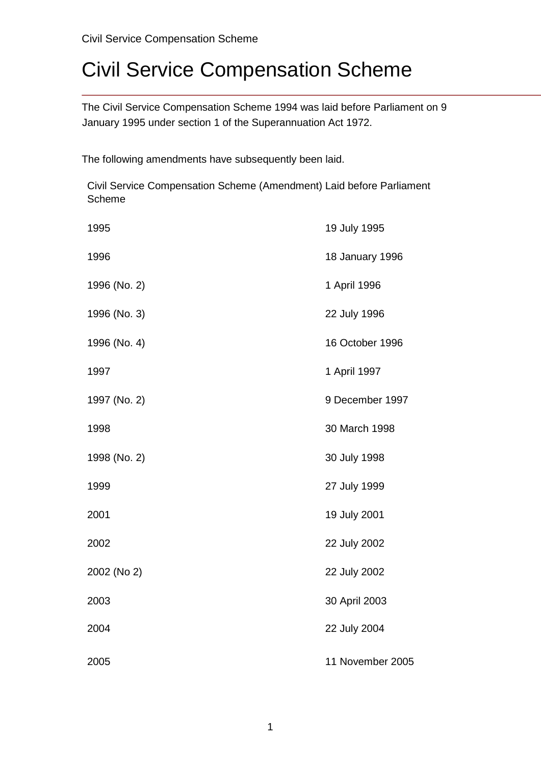The Civil Service Compensation Scheme 1994 was laid before Parliament on 9 January 1995 under section 1 of the Superannuation Act 1972.

The following amendments have subsequently been laid.

Civil Service Compensation Scheme (Amendment) Laid before Parliament Scheme

| 1995         | 19 July 1995     |
|--------------|------------------|
| 1996         | 18 January 1996  |
| 1996 (No. 2) | 1 April 1996     |
| 1996 (No. 3) | 22 July 1996     |
| 1996 (No. 4) | 16 October 1996  |
| 1997         | 1 April 1997     |
| 1997 (No. 2) | 9 December 1997  |
| 1998         | 30 March 1998    |
| 1998 (No. 2) | 30 July 1998     |
| 1999         | 27 July 1999     |
| 2001         | 19 July 2001     |
| 2002         | 22 July 2002     |
| 2002 (No 2)  | 22 July 2002     |
| 2003         | 30 April 2003    |
| 2004         | 22 July 2004     |
| 2005         | 11 November 2005 |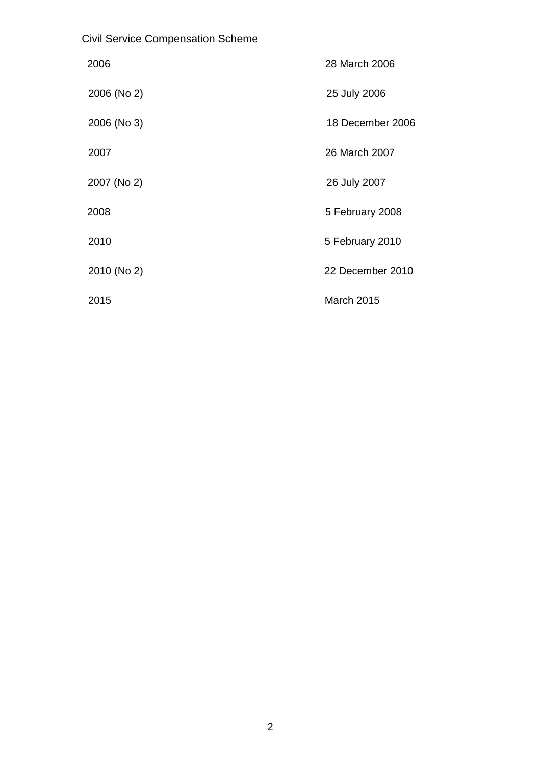| <b>Civil Service Compensation Scheme</b> |  |
|------------------------------------------|--|
|                                          |  |

| 2006        | 28 March 2006    |
|-------------|------------------|
| 2006 (No 2) | 25 July 2006     |
| 2006 (No 3) | 18 December 2006 |
| 2007        | 26 March 2007    |
| 2007 (No 2) | 26 July 2007     |
| 2008        | 5 February 2008  |
| 2010        | 5 February 2010  |
| 2010 (No 2) | 22 December 2010 |
| 2015        | March 2015       |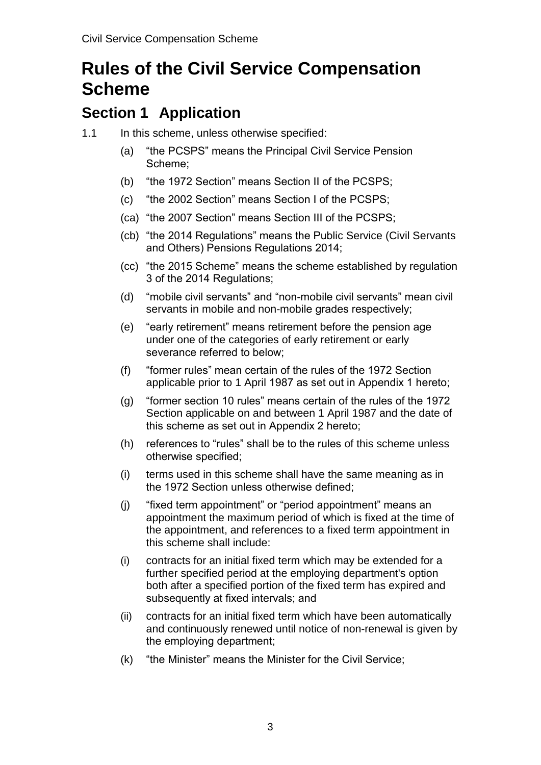# **Rules of the Civil Service Compensation Scheme**

# **Section 1 Application**

- 1.1 In this scheme, unless otherwise specified:
	- (a) "the PCSPS" means the Principal Civil Service Pension Scheme;
	- (b) "the 1972 Section" means Section II of the PCSPS;
	- (c) "the 2002 Section" means Section I of the PCSPS;
	- (ca) "the 2007 Section" means Section III of the PCSPS;
	- (cb) "the 2014 Regulations" means the Public Service (Civil Servants and Others) Pensions Regulations 2014;
	- (cc) "the 2015 Scheme" means the scheme established by regulation 3 of the 2014 Regulations;
	- (d) "mobile civil servants" and "non-mobile civil servants" mean civil servants in mobile and non-mobile grades respectively;
	- (e) "early retirement" means retirement before the pension age under one of the categories of early retirement or early severance referred to below;
	- (f) "former rules" mean certain of the rules of the 1972 Section applicable prior to 1 April 1987 as set out in Appendix 1 hereto;
	- (g) "former section 10 rules" means certain of the rules of the 1972 Section applicable on and between 1 April 1987 and the date of this scheme as set out in Appendix 2 hereto;
	- (h) references to "rules" shall be to the rules of this scheme unless otherwise specified;
	- (i) terms used in this scheme shall have the same meaning as in the 1972 Section unless otherwise defined;
	- (j) "fixed term appointment" or "period appointment" means an appointment the maximum period of which is fixed at the time of the appointment, and references to a fixed term appointment in this scheme shall include:
	- (i) contracts for an initial fixed term which may be extended for a further specified period at the employing department's option both after a specified portion of the fixed term has expired and subsequently at fixed intervals; and
	- (ii) contracts for an initial fixed term which have been automatically and continuously renewed until notice of non-renewal is given by the employing department;
	- (k) "the Minister" means the Minister for the Civil Service;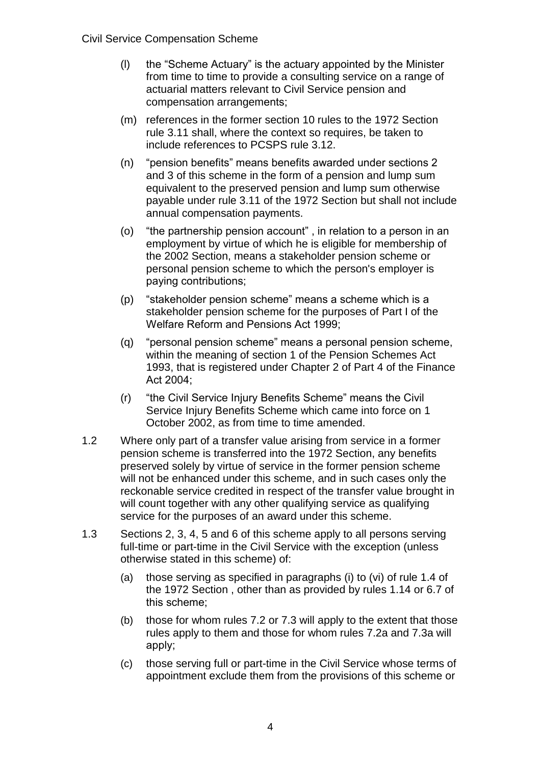- (l) the "Scheme Actuary" is the actuary appointed by the Minister from time to time to provide a consulting service on a range of actuarial matters relevant to Civil Service pension and compensation arrangements;
- (m) references in the former section 10 rules to the 1972 Section rule 3.11 shall, where the context so requires, be taken to include references to PCSPS rule 3.12.
- (n) "pension benefits" means benefits awarded under sections 2 and 3 of this scheme in the form of a pension and lump sum equivalent to the preserved pension and lump sum otherwise payable under rule 3.11 of the 1972 Section but shall not include annual compensation payments.
- (o) "the partnership pension account" , in relation to a person in an employment by virtue of which he is eligible for membership of the 2002 Section, means a stakeholder pension scheme or personal pension scheme to which the person's employer is paying contributions;
- (p) "stakeholder pension scheme" means a scheme which is a stakeholder pension scheme for the purposes of Part I of the Welfare Reform and Pensions Act 1999;
- (q) "personal pension scheme" means a personal pension scheme, within the meaning of section 1 of the Pension Schemes Act 1993, that is registered under Chapter 2 of Part 4 of the Finance Act 2004;
- (r) "the Civil Service Injury Benefits Scheme" means the Civil Service Injury Benefits Scheme which came into force on 1 October 2002, as from time to time amended.
- 1.2 Where only part of a transfer value arising from service in a former pension scheme is transferred into the 1972 Section, any benefits preserved solely by virtue of service in the former pension scheme will not be enhanced under this scheme, and in such cases only the reckonable service credited in respect of the transfer value brought in will count together with any other qualifying service as qualifying service for the purposes of an award under this scheme.
- 1.3 Sections 2, 3, 4, 5 and 6 of this scheme apply to all persons serving full-time or part-time in the Civil Service with the exception (unless otherwise stated in this scheme) of:
	- (a) those serving as specified in paragraphs (i) to (vi) of rule 1.4 of the 1972 Section , other than as provided by rules 1.14 or 6.7 of this scheme;
	- (b) those for whom rules 7.2 or 7.3 will apply to the extent that those rules apply to them and those for whom rules 7.2a and 7.3a will apply;
	- (c) those serving full or part-time in the Civil Service whose terms of appointment exclude them from the provisions of this scheme or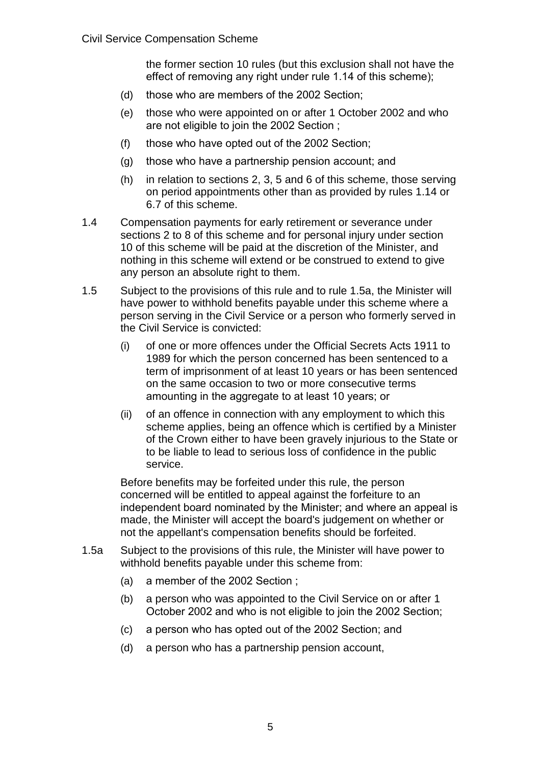the former section 10 rules (but this exclusion shall not have the effect of removing any right under rule 1.14 of this scheme);

- (d) those who are members of the 2002 Section;
- (e) those who were appointed on or after 1 October 2002 and who are not eligible to join the 2002 Section ;
- (f) those who have opted out of the 2002 Section;
- (g) those who have a partnership pension account; and
- (h) in relation to sections 2, 3, 5 and 6 of this scheme, those serving on period appointments other than as provided by rules 1.14 or 6.7 of this scheme.
- 1.4 Compensation payments for early retirement or severance under sections 2 to 8 of this scheme and for personal injury under section 10 of this scheme will be paid at the discretion of the Minister, and nothing in this scheme will extend or be construed to extend to give any person an absolute right to them.
- 1.5 Subject to the provisions of this rule and to rule 1.5a, the Minister will have power to withhold benefits payable under this scheme where a person serving in the Civil Service or a person who formerly served in the Civil Service is convicted:
	- (i) of one or more offences under the Official Secrets Acts 1911 to 1989 for which the person concerned has been sentenced to a term of imprisonment of at least 10 years or has been sentenced on the same occasion to two or more consecutive terms amounting in the aggregate to at least 10 years; or
	- (ii) of an offence in connection with any employment to which this scheme applies, being an offence which is certified by a Minister of the Crown either to have been gravely injurious to the State or to be liable to lead to serious loss of confidence in the public service.

Before benefits may be forfeited under this rule, the person concerned will be entitled to appeal against the forfeiture to an independent board nominated by the Minister; and where an appeal is made, the Minister will accept the board's judgement on whether or not the appellant's compensation benefits should be forfeited.

- 1.5a Subject to the provisions of this rule, the Minister will have power to withhold benefits payable under this scheme from:
	- (a) a member of the 2002 Section ;
	- (b) a person who was appointed to the Civil Service on or after 1 October 2002 and who is not eligible to join the 2002 Section;
	- (c) a person who has opted out of the 2002 Section; and
	- (d) a person who has a partnership pension account,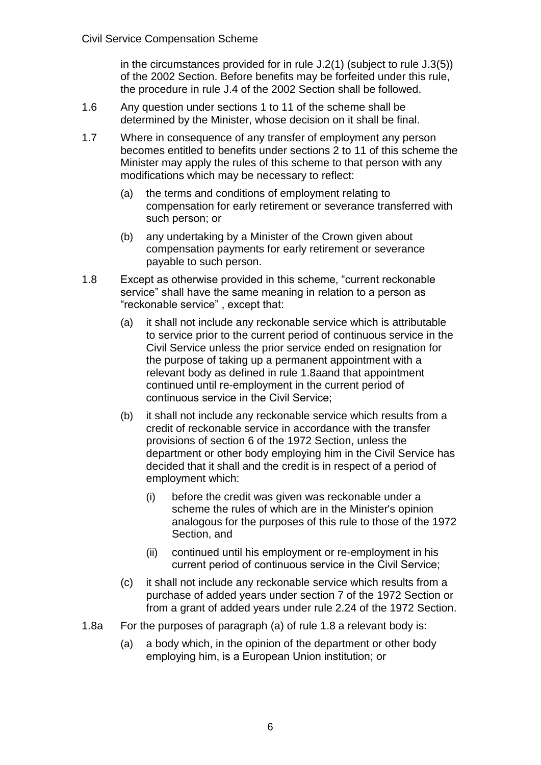in the circumstances provided for in rule J.2(1) (subject to rule J.3(5)) of the 2002 Section. Before benefits may be forfeited under this rule, the procedure in rule J.4 of the 2002 Section shall be followed.

- 1.6 Any question under sections 1 to 11 of the scheme shall be determined by the Minister, whose decision on it shall be final.
- 1.7 Where in consequence of any transfer of employment any person becomes entitled to benefits under sections 2 to 11 of this scheme the Minister may apply the rules of this scheme to that person with any modifications which may be necessary to reflect:
	- (a) the terms and conditions of employment relating to compensation for early retirement or severance transferred with such person; or
	- (b) any undertaking by a Minister of the Crown given about compensation payments for early retirement or severance payable to such person.
- 1.8 Except as otherwise provided in this scheme, "current reckonable service" shall have the same meaning in relation to a person as "reckonable service" , except that:
	- (a) it shall not include any reckonable service which is attributable to service prior to the current period of continuous service in the Civil Service unless the prior service ended on resignation for the purpose of taking up a permanent appointment with a relevant body as defined in rule 1.8aand that appointment continued until re-employment in the current period of continuous service in the Civil Service;
	- (b) it shall not include any reckonable service which results from a credit of reckonable service in accordance with the transfer provisions of section 6 of the 1972 Section, unless the department or other body employing him in the Civil Service has decided that it shall and the credit is in respect of a period of employment which:
		- (i) before the credit was given was reckonable under a scheme the rules of which are in the Minister's opinion analogous for the purposes of this rule to those of the 1972 Section, and
		- (ii) continued until his employment or re-employment in his current period of continuous service in the Civil Service;
	- (c) it shall not include any reckonable service which results from a purchase of added years under section 7 of the 1972 Section or from a grant of added years under rule 2.24 of the 1972 Section.
- 1.8a For the purposes of paragraph (a) of rule 1.8 a relevant body is:
	- (a) a body which, in the opinion of the department or other body employing him, is a European Union institution; or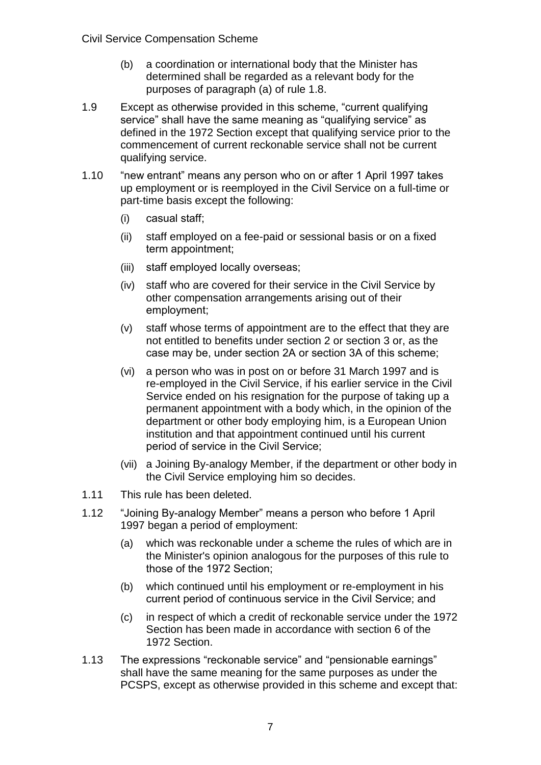- (b) a coordination or international body that the Minister has determined shall be regarded as a relevant body for the purposes of paragraph (a) of rule 1.8.
- 1.9 Except as otherwise provided in this scheme, "current qualifying service" shall have the same meaning as "qualifying service" as defined in the 1972 Section except that qualifying service prior to the commencement of current reckonable service shall not be current qualifying service.
- 1.10 "new entrant" means any person who on or after 1 April 1997 takes up employment or is reemployed in the Civil Service on a full-time or part-time basis except the following:
	- (i) casual staff;
	- (ii) staff employed on a fee-paid or sessional basis or on a fixed term appointment;
	- (iii) staff employed locally overseas;
	- (iv) staff who are covered for their service in the Civil Service by other compensation arrangements arising out of their employment;
	- (v) staff whose terms of appointment are to the effect that they are not entitled to benefits under section 2 or section 3 or, as the case may be, under section 2A or section 3A of this scheme;
	- (vi) a person who was in post on or before 31 March 1997 and is re-employed in the Civil Service, if his earlier service in the Civil Service ended on his resignation for the purpose of taking up a permanent appointment with a body which, in the opinion of the department or other body employing him, is a European Union institution and that appointment continued until his current period of service in the Civil Service;
	- (vii) a Joining By-analogy Member, if the department or other body in the Civil Service employing him so decides.
- 1.11 This rule has been deleted.
- 1.12 "Joining By-analogy Member" means a person who before 1 April 1997 began a period of employment:
	- (a) which was reckonable under a scheme the rules of which are in the Minister's opinion analogous for the purposes of this rule to those of the 1972 Section;
	- (b) which continued until his employment or re-employment in his current period of continuous service in the Civil Service; and
	- (c) in respect of which a credit of reckonable service under the 1972 Section has been made in accordance with section 6 of the 1972 Section.
- 1.13 The expressions "reckonable service" and "pensionable earnings" shall have the same meaning for the same purposes as under the PCSPS, except as otherwise provided in this scheme and except that: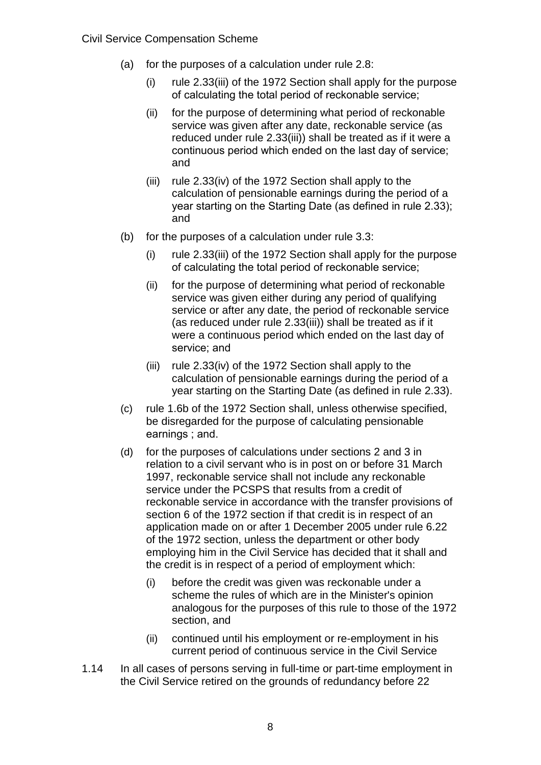- (a) for the purposes of a calculation under rule 2.8:
	- (i) rule 2.33(iii) of the 1972 Section shall apply for the purpose of calculating the total period of reckonable service;
	- (ii) for the purpose of determining what period of reckonable service was given after any date, reckonable service (as reduced under rule 2.33(iii)) shall be treated as if it were a continuous period which ended on the last day of service; and
	- (iii) rule 2.33(iv) of the 1972 Section shall apply to the calculation of pensionable earnings during the period of a year starting on the Starting Date (as defined in rule 2.33); and
- (b) for the purposes of a calculation under rule 3.3:
	- (i) rule 2.33(iii) of the 1972 Section shall apply for the purpose of calculating the total period of reckonable service;
	- (ii) for the purpose of determining what period of reckonable service was given either during any period of qualifying service or after any date, the period of reckonable service (as reduced under rule 2.33(iii)) shall be treated as if it were a continuous period which ended on the last day of service; and
	- (iii) rule 2.33(iv) of the 1972 Section shall apply to the calculation of pensionable earnings during the period of a year starting on the Starting Date (as defined in rule 2.33).
- (c) rule 1.6b of the 1972 Section shall, unless otherwise specified, be disregarded for the purpose of calculating pensionable earnings ; and.
- (d) for the purposes of calculations under sections 2 and 3 in relation to a civil servant who is in post on or before 31 March 1997, reckonable service shall not include any reckonable service under the PCSPS that results from a credit of reckonable service in accordance with the transfer provisions of section 6 of the 1972 section if that credit is in respect of an application made on or after 1 December 2005 under rule 6.22 of the 1972 section, unless the department or other body employing him in the Civil Service has decided that it shall and the credit is in respect of a period of employment which:
	- (i) before the credit was given was reckonable under a scheme the rules of which are in the Minister's opinion analogous for the purposes of this rule to those of the 1972 section, and
	- (ii) continued until his employment or re-employment in his current period of continuous service in the Civil Service
- 1.14 In all cases of persons serving in full-time or part-time employment in the Civil Service retired on the grounds of redundancy before 22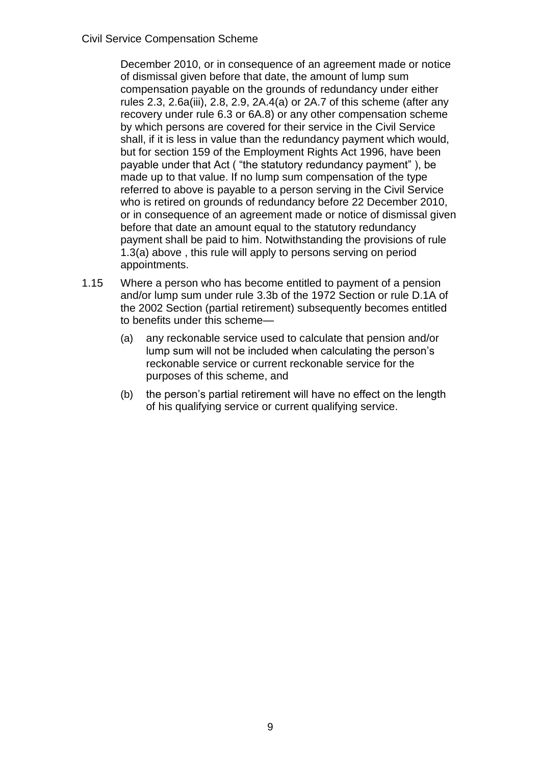December 2010, or in consequence of an agreement made or notice of dismissal given before that date, the amount of lump sum compensation payable on the grounds of redundancy under either rules 2.3, 2.6a(iii), 2.8, 2.9, 2A.4(a) or 2A.7 of this scheme (after any recovery under rule 6.3 or 6A.8) or any other compensation scheme by which persons are covered for their service in the Civil Service shall, if it is less in value than the redundancy payment which would, but for section 159 of the Employment Rights Act 1996, have been payable under that Act ( "the statutory redundancy payment" ), be made up to that value. If no lump sum compensation of the type referred to above is payable to a person serving in the Civil Service who is retired on grounds of redundancy before 22 December 2010, or in consequence of an agreement made or notice of dismissal given before that date an amount equal to the statutory redundancy payment shall be paid to him. Notwithstanding the provisions of rule 1.3(a) above , this rule will apply to persons serving on period appointments.

- 1.15 Where a person who has become entitled to payment of a pension and/or lump sum under rule 3.3b of the 1972 Section or rule D.1A of the 2002 Section (partial retirement) subsequently becomes entitled to benefits under this scheme—
	- (a) any reckonable service used to calculate that pension and/or lump sum will not be included when calculating the person's reckonable service or current reckonable service for the purposes of this scheme, and
	- (b) the person's partial retirement will have no effect on the length of his qualifying service or current qualifying service.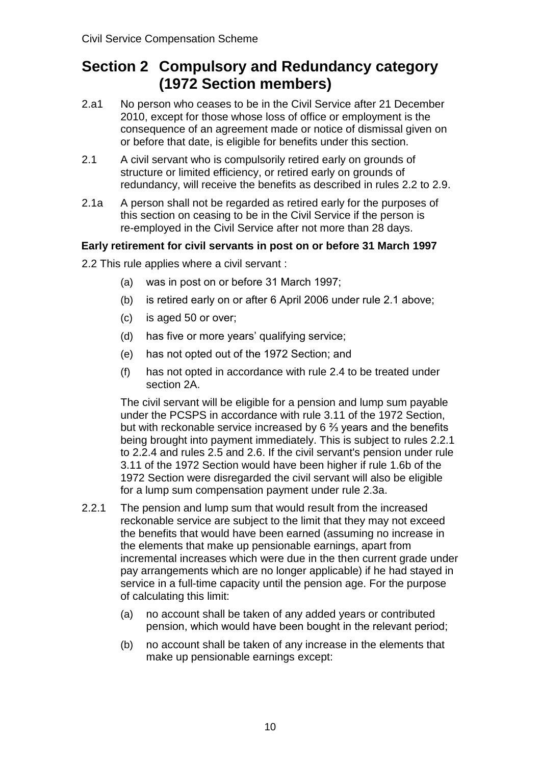# **Section 2 Compulsory and Redundancy category (1972 Section members)**

- 2.a1 No person who ceases to be in the Civil Service after 21 December 2010, except for those whose loss of office or employment is the consequence of an agreement made or notice of dismissal given on or before that date, is eligible for benefits under this section.
- 2.1 A civil servant who is compulsorily retired early on grounds of structure or limited efficiency, or retired early on grounds of redundancy, will receive the benefits as described in rules 2.2 to 2.9.
- 2.1a A person shall not be regarded as retired early for the purposes of this section on ceasing to be in the Civil Service if the person is re-employed in the Civil Service after not more than 28 days.

# **Early retirement for civil servants in post on or before 31 March 1997**

- 2.2 This rule applies where a civil servant :
	- (a) was in post on or before 31 March 1997;
	- (b) is retired early on or after 6 April 2006 under rule 2.1 above;
	- (c) is aged 50 or over;
	- (d) has five or more years' qualifying service;
	- (e) has not opted out of the 1972 Section; and
	- (f) has not opted in accordance with rule 2.4 to be treated under section 2A.

The civil servant will be eligible for a pension and lump sum payable under the PCSPS in accordance with rule 3.11 of the 1972 Section, but with reckonable service increased by 6 ⅔ years and the benefits being brought into payment immediately. This is subject to rules 2.2.1 to 2.2.4 and rules 2.5 and 2.6. If the civil servant's pension under rule 3.11 of the 1972 Section would have been higher if rule 1.6b of the 1972 Section were disregarded the civil servant will also be eligible for a lump sum compensation payment under rule 2.3a.

- 2.2.1 The pension and lump sum that would result from the increased reckonable service are subject to the limit that they may not exceed the benefits that would have been earned (assuming no increase in the elements that make up pensionable earnings, apart from incremental increases which were due in the then current grade under pay arrangements which are no longer applicable) if he had stayed in service in a full-time capacity until the pension age. For the purpose of calculating this limit:
	- (a) no account shall be taken of any added years or contributed pension, which would have been bought in the relevant period;
	- (b) no account shall be taken of any increase in the elements that make up pensionable earnings except: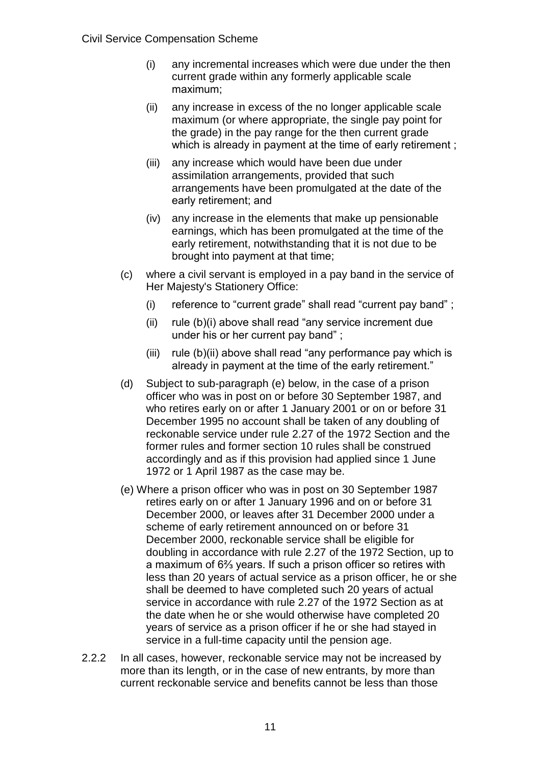- (i) any incremental increases which were due under the then current grade within any formerly applicable scale maximum;
- (ii) any increase in excess of the no longer applicable scale maximum (or where appropriate, the single pay point for the grade) in the pay range for the then current grade which is already in payment at the time of early retirement ;
- (iii) any increase which would have been due under assimilation arrangements, provided that such arrangements have been promulgated at the date of the early retirement; and
- (iv) any increase in the elements that make up pensionable earnings, which has been promulgated at the time of the early retirement, notwithstanding that it is not due to be brought into payment at that time;
- (c) where a civil servant is employed in a pay band in the service of Her Majesty's Stationery Office:
	- (i) reference to "current grade" shall read "current pay band" ;
	- (ii) rule (b)(i) above shall read "any service increment due under his or her current pay band" ;
	- (iii) rule (b)(ii) above shall read "any performance pay which is already in payment at the time of the early retirement."
- (d) Subject to sub-paragraph (e) below, in the case of a prison officer who was in post on or before 30 September 1987, and who retires early on or after 1 January 2001 or on or before 31 December 1995 no account shall be taken of any doubling of reckonable service under rule 2.27 of the 1972 Section and the former rules and former section 10 rules shall be construed accordingly and as if this provision had applied since 1 June 1972 or 1 April 1987 as the case may be.
- (e) Where a prison officer who was in post on 30 September 1987 retires early on or after 1 January 1996 and on or before 31 December 2000, or leaves after 31 December 2000 under a scheme of early retirement announced on or before 31 December 2000, reckonable service shall be eligible for doubling in accordance with rule 2.27 of the 1972 Section, up to a maximum of 6⅔ years. If such a prison officer so retires with less than 20 years of actual service as a prison officer, he or she shall be deemed to have completed such 20 years of actual service in accordance with rule 2.27 of the 1972 Section as at the date when he or she would otherwise have completed 20 years of service as a prison officer if he or she had stayed in service in a full-time capacity until the pension age.
- 2.2.2 In all cases, however, reckonable service may not be increased by more than its length, or in the case of new entrants, by more than current reckonable service and benefits cannot be less than those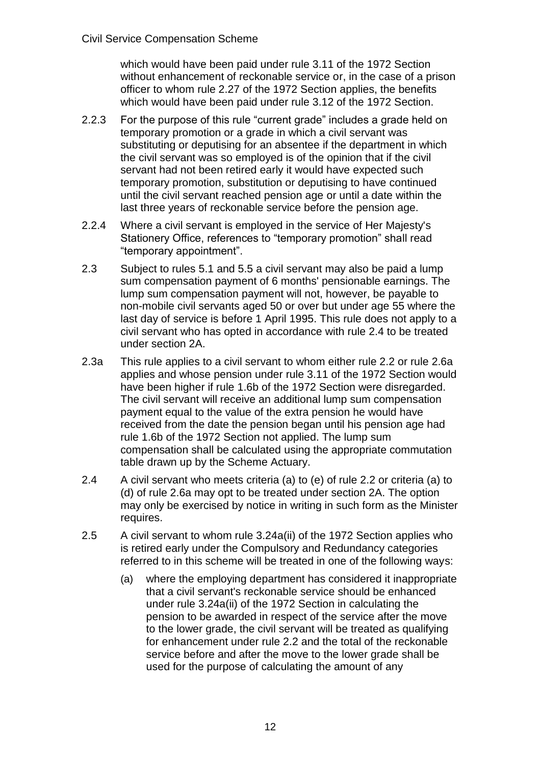which would have been paid under rule 3.11 of the 1972 Section without enhancement of reckonable service or, in the case of a prison officer to whom rule 2.27 of the 1972 Section applies, the benefits which would have been paid under rule 3.12 of the 1972 Section.

- 2.2.3 For the purpose of this rule "current grade" includes a grade held on temporary promotion or a grade in which a civil servant was substituting or deputising for an absentee if the department in which the civil servant was so employed is of the opinion that if the civil servant had not been retired early it would have expected such temporary promotion, substitution or deputising to have continued until the civil servant reached pension age or until a date within the last three years of reckonable service before the pension age.
- 2.2.4 Where a civil servant is employed in the service of Her Majesty's Stationery Office, references to "temporary promotion" shall read "temporary appointment".
- 2.3 Subject to rules 5.1 and 5.5 a civil servant may also be paid a lump sum compensation payment of 6 months' pensionable earnings. The lump sum compensation payment will not, however, be payable to non-mobile civil servants aged 50 or over but under age 55 where the last day of service is before 1 April 1995. This rule does not apply to a civil servant who has opted in accordance with rule 2.4 to be treated under section 2A.
- 2.3a This rule applies to a civil servant to whom either rule 2.2 or rule 2.6a applies and whose pension under rule 3.11 of the 1972 Section would have been higher if rule 1.6b of the 1972 Section were disregarded. The civil servant will receive an additional lump sum compensation payment equal to the value of the extra pension he would have received from the date the pension began until his pension age had rule 1.6b of the 1972 Section not applied. The lump sum compensation shall be calculated using the appropriate commutation table drawn up by the Scheme Actuary.
- 2.4 A civil servant who meets criteria (a) to (e) of rule 2.2 or criteria (a) to (d) of rule 2.6a may opt to be treated under section 2A. The option may only be exercised by notice in writing in such form as the Minister requires.
- 2.5 A civil servant to whom rule 3.24a(ii) of the 1972 Section applies who is retired early under the Compulsory and Redundancy categories referred to in this scheme will be treated in one of the following ways:
	- (a) where the employing department has considered it inappropriate that a civil servant's reckonable service should be enhanced under rule 3.24a(ii) of the 1972 Section in calculating the pension to be awarded in respect of the service after the move to the lower grade, the civil servant will be treated as qualifying for enhancement under rule 2.2 and the total of the reckonable service before and after the move to the lower grade shall be used for the purpose of calculating the amount of any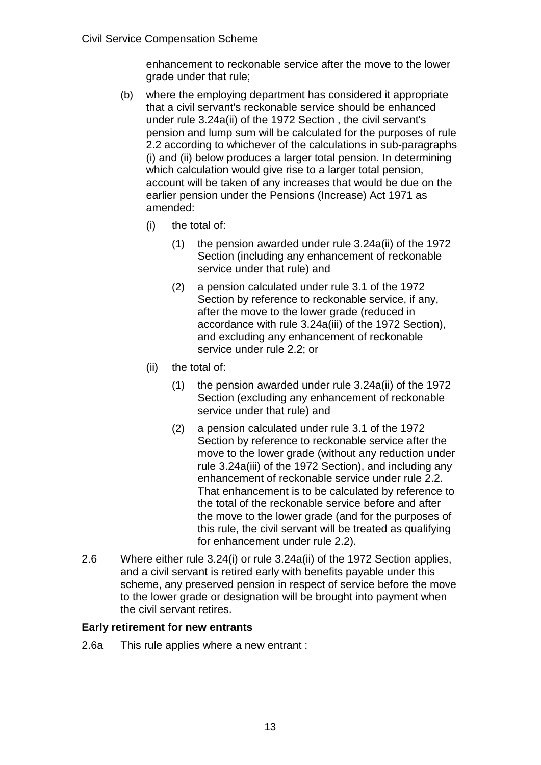enhancement to reckonable service after the move to the lower grade under that rule;

- (b) where the employing department has considered it appropriate that a civil servant's reckonable service should be enhanced under rule 3.24a(ii) of the 1972 Section , the civil servant's pension and lump sum will be calculated for the purposes of rule 2.2 according to whichever of the calculations in sub-paragraphs (i) and (ii) below produces a larger total pension. In determining which calculation would give rise to a larger total pension, account will be taken of any increases that would be due on the earlier pension under the Pensions (Increase) Act 1971 as amended:
	- (i) the total of:
		- (1) the pension awarded under rule 3.24a(ii) of the 1972 Section (including any enhancement of reckonable service under that rule) and
		- (2) a pension calculated under rule 3.1 of the 1972 Section by reference to reckonable service, if any, after the move to the lower grade (reduced in accordance with rule 3.24a(iii) of the 1972 Section), and excluding any enhancement of reckonable service under rule 2.2; or
	- (ii) the total of:
		- (1) the pension awarded under rule 3.24a(ii) of the 1972 Section (excluding any enhancement of reckonable service under that rule) and
		- (2) a pension calculated under rule 3.1 of the 1972 Section by reference to reckonable service after the move to the lower grade (without any reduction under rule 3.24a(iii) of the 1972 Section), and including any enhancement of reckonable service under rule 2.2. That enhancement is to be calculated by reference to the total of the reckonable service before and after the move to the lower grade (and for the purposes of this rule, the civil servant will be treated as qualifying for enhancement under rule 2.2).
- 2.6 Where either rule 3.24(i) or rule 3.24a(ii) of the 1972 Section applies, and a civil servant is retired early with benefits payable under this scheme, any preserved pension in respect of service before the move to the lower grade or designation will be brought into payment when the civil servant retires.

# **Early retirement for new entrants**

2.6a This rule applies where a new entrant :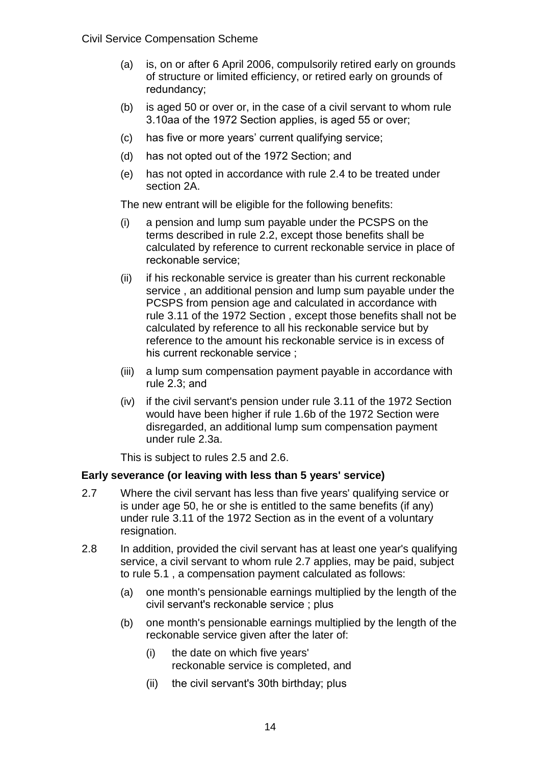- (a) is, on or after 6 April 2006, compulsorily retired early on grounds of structure or limited efficiency, or retired early on grounds of redundancy;
- (b) is aged 50 or over or, in the case of a civil servant to whom rule 3.10aa of the 1972 Section applies, is aged 55 or over;
- (c) has five or more years' current qualifying service;
- (d) has not opted out of the 1972 Section; and
- (e) has not opted in accordance with rule 2.4 to be treated under section 2A.

The new entrant will be eligible for the following benefits:

- (i) a pension and lump sum payable under the PCSPS on the terms described in rule 2.2, except those benefits shall be calculated by reference to current reckonable service in place of reckonable service;
- (ii) if his reckonable service is greater than his current reckonable service , an additional pension and lump sum payable under the PCSPS from pension age and calculated in accordance with rule 3.11 of the 1972 Section , except those benefits shall not be calculated by reference to all his reckonable service but by reference to the amount his reckonable service is in excess of his current reckonable service ;
- (iii) a lump sum compensation payment payable in accordance with rule 2.3; and
- (iv) if the civil servant's pension under rule 3.11 of the 1972 Section would have been higher if rule 1.6b of the 1972 Section were disregarded, an additional lump sum compensation payment under rule 2.3a.

This is subject to rules 2.5 and 2.6.

#### **Early severance (or leaving with less than 5 years' service)**

- 2.7 Where the civil servant has less than five years' qualifying service or is under age 50, he or she is entitled to the same benefits (if any) under rule 3.11 of the 1972 Section as in the event of a voluntary resignation.
- 2.8 In addition, provided the civil servant has at least one year's qualifying service, a civil servant to whom rule 2.7 applies, may be paid, subject to rule 5.1 , a compensation payment calculated as follows:
	- (a) one month's pensionable earnings multiplied by the length of the civil servant's reckonable service ; plus
	- (b) one month's pensionable earnings multiplied by the length of the reckonable service given after the later of:
		- (i) the date on which five years' reckonable service is completed, and
		- (ii) the civil servant's 30th birthday; plus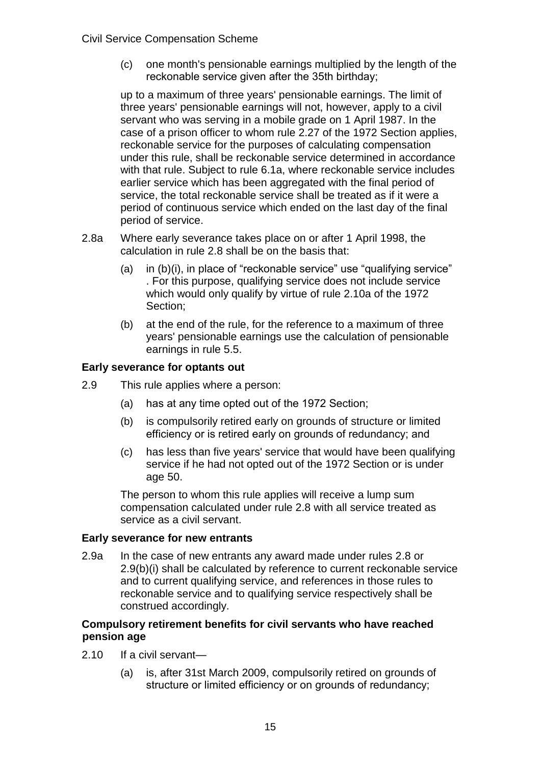(c) one month's pensionable earnings multiplied by the length of the reckonable service given after the 35th birthday;

up to a maximum of three years' pensionable earnings. The limit of three years' pensionable earnings will not, however, apply to a civil servant who was serving in a mobile grade on 1 April 1987. In the case of a prison officer to whom rule 2.27 of the 1972 Section applies, reckonable service for the purposes of calculating compensation under this rule, shall be reckonable service determined in accordance with that rule. Subject to rule 6.1a, where reckonable service includes earlier service which has been aggregated with the final period of service, the total reckonable service shall be treated as if it were a period of continuous service which ended on the last day of the final period of service.

- 2.8a Where early severance takes place on or after 1 April 1998, the calculation in rule 2.8 shall be on the basis that:
	- (a) in (b)(i), in place of "reckonable service" use "qualifying service" . For this purpose, qualifying service does not include service which would only qualify by virtue of rule 2.10a of the 1972 Section;
	- (b) at the end of the rule, for the reference to a maximum of three years' pensionable earnings use the calculation of pensionable earnings in rule 5.5.

#### **Early severance for optants out**

- 2.9 This rule applies where a person:
	- (a) has at any time opted out of the 1972 Section;
	- (b) is compulsorily retired early on grounds of structure or limited efficiency or is retired early on grounds of redundancy; and
	- (c) has less than five years' service that would have been qualifying service if he had not opted out of the 1972 Section or is under age 50.

The person to whom this rule applies will receive a lump sum compensation calculated under rule 2.8 with all service treated as service as a civil servant.

#### **Early severance for new entrants**

2.9a In the case of new entrants any award made under rules 2.8 or 2.9(b)(i) shall be calculated by reference to current reckonable service and to current qualifying service, and references in those rules to reckonable service and to qualifying service respectively shall be construed accordingly.

#### **Compulsory retirement benefits for civil servants who have reached pension age**

- 2.10 If a civil servant—
	- (a) is, after 31st March 2009, compulsorily retired on grounds of structure or limited efficiency or on grounds of redundancy;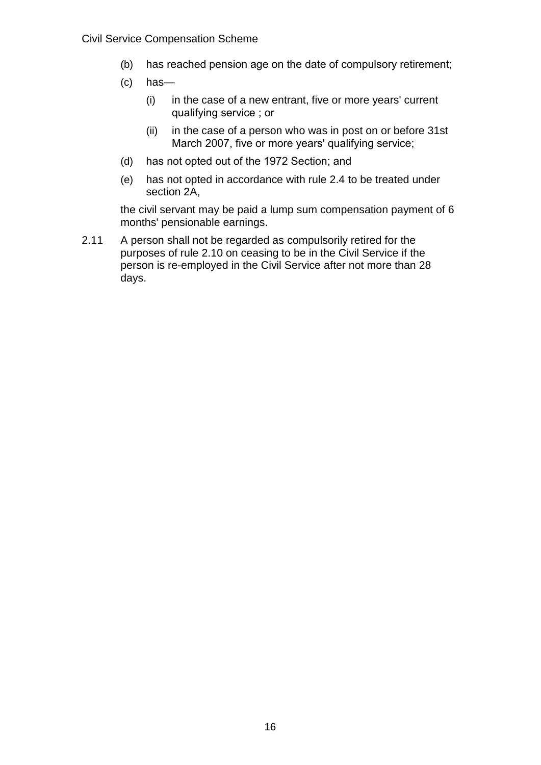- (b) has reached pension age on the date of compulsory retirement;
- (c) has—
	- (i) in the case of a new entrant, five or more years' current qualifying service ; or
	- (ii) in the case of a person who was in post on or before 31st March 2007, five or more years' qualifying service;
- (d) has not opted out of the 1972 Section; and
- (e) has not opted in accordance with rule 2.4 to be treated under section 2A,

the civil servant may be paid a lump sum compensation payment of 6 months' pensionable earnings.

2.11 A person shall not be regarded as compulsorily retired for the purposes of rule 2.10 on ceasing to be in the Civil Service if the person is re-employed in the Civil Service after not more than 28 days.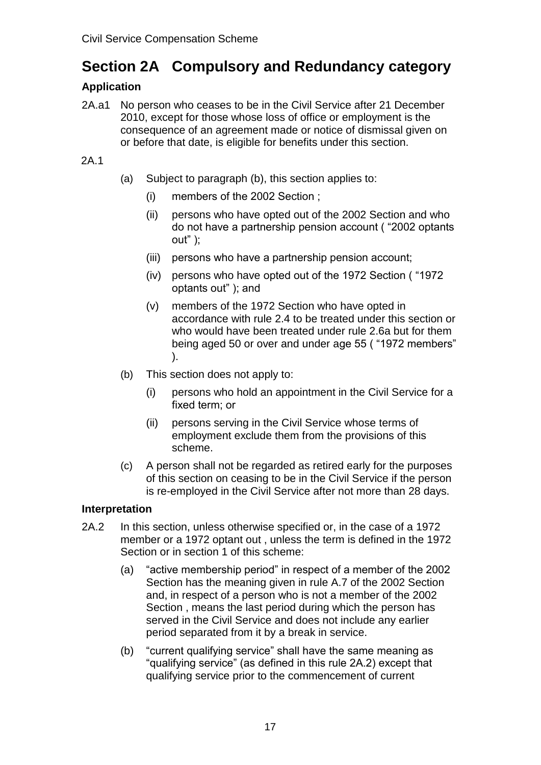# **Section 2A Compulsory and Redundancy category**

# **Application**

2A.a1 No person who ceases to be in the Civil Service after 21 December 2010, except for those whose loss of office or employment is the consequence of an agreement made or notice of dismissal given on or before that date, is eligible for benefits under this section.

# 2A.1

- (a) Subject to paragraph (b), this section applies to:
	- (i) members of the 2002 Section ;
	- (ii) persons who have opted out of the 2002 Section and who do not have a partnership pension account ( "2002 optants out" );
	- (iii) persons who have a partnership pension account;
	- (iv) persons who have opted out of the 1972 Section ( "1972 optants out" ); and
	- (v) members of the 1972 Section who have opted in accordance with rule 2.4 to be treated under this section or who would have been treated under rule 2.6a but for them being aged 50 or over and under age 55 ( "1972 members" ).
- (b) This section does not apply to:
	- (i) persons who hold an appointment in the Civil Service for a fixed term; or
	- (ii) persons serving in the Civil Service whose terms of employment exclude them from the provisions of this scheme.
- (c) A person shall not be regarded as retired early for the purposes of this section on ceasing to be in the Civil Service if the person is re-employed in the Civil Service after not more than 28 days.

# **Interpretation**

- 2A.2 In this section, unless otherwise specified or, in the case of a 1972 member or a 1972 optant out , unless the term is defined in the 1972 Section or in section 1 of this scheme:
	- (a) "active membership period" in respect of a member of the 2002 Section has the meaning given in rule A.7 of the 2002 Section and, in respect of a person who is not a member of the 2002 Section , means the last period during which the person has served in the Civil Service and does not include any earlier period separated from it by a break in service.
	- (b) "current qualifying service" shall have the same meaning as "qualifying service" (as defined in this rule 2A.2) except that qualifying service prior to the commencement of current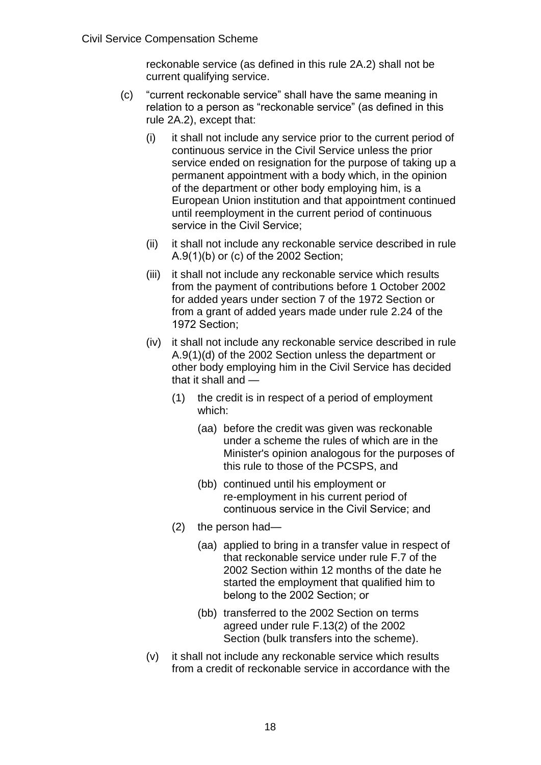reckonable service (as defined in this rule 2A.2) shall not be current qualifying service.

- (c) "current reckonable service" shall have the same meaning in relation to a person as "reckonable service" (as defined in this rule 2A.2), except that:
	- (i) it shall not include any service prior to the current period of continuous service in the Civil Service unless the prior service ended on resignation for the purpose of taking up a permanent appointment with a body which, in the opinion of the department or other body employing him, is a European Union institution and that appointment continued until reemployment in the current period of continuous service in the Civil Service;
	- (ii) it shall not include any reckonable service described in rule A.9(1)(b) or (c) of the 2002 Section;
	- (iii) it shall not include any reckonable service which results from the payment of contributions before 1 October 2002 for added years under section 7 of the 1972 Section or from a grant of added years made under rule 2.24 of the 1972 Section;
	- (iv) it shall not include any reckonable service described in rule A.9(1)(d) of the 2002 Section unless the department or other body employing him in the Civil Service has decided that it shall and —
		- (1) the credit is in respect of a period of employment which:
			- (aa) before the credit was given was reckonable under a scheme the rules of which are in the Minister's opinion analogous for the purposes of this rule to those of the PCSPS, and
			- (bb) continued until his employment or re-employment in his current period of continuous service in the Civil Service; and
		- (2) the person had—
			- (aa) applied to bring in a transfer value in respect of that reckonable service under rule F.7 of the 2002 Section within 12 months of the date he started the employment that qualified him to belong to the 2002 Section; or
			- (bb) transferred to the 2002 Section on terms agreed under rule F.13(2) of the 2002 Section (bulk transfers into the scheme).
	- (v) it shall not include any reckonable service which results from a credit of reckonable service in accordance with the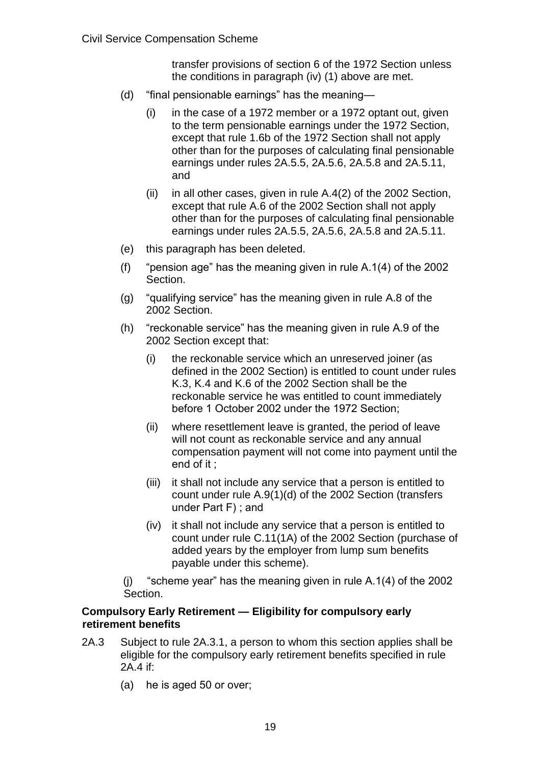transfer provisions of section 6 of the 1972 Section unless the conditions in paragraph (iv) (1) above are met.

- (d) "final pensionable earnings" has the meaning—
	- (i) in the case of a 1972 member or a 1972 optant out, given to the term pensionable earnings under the 1972 Section, except that rule 1.6b of the 1972 Section shall not apply other than for the purposes of calculating final pensionable earnings under rules 2A.5.5, 2A.5.6, 2A.5.8 and 2A.5.11, and
	- $(ii)$  in all other cases, given in rule  $A.4(2)$  of the 2002 Section, except that rule A.6 of the 2002 Section shall not apply other than for the purposes of calculating final pensionable earnings under rules 2A.5.5, 2A.5.6, 2A.5.8 and 2A.5.11.
- (e) this paragraph has been deleted.
- (f) "pension age" has the meaning given in rule A.1(4) of the 2002 Section.
- (g) "qualifying service" has the meaning given in rule A.8 of the 2002 Section.
- (h) "reckonable service" has the meaning given in rule A.9 of the 2002 Section except that:
	- (i) the reckonable service which an unreserved joiner (as defined in the 2002 Section) is entitled to count under rules K.3, K.4 and K.6 of the 2002 Section shall be the reckonable service he was entitled to count immediately before 1 October 2002 under the 1972 Section;
	- (ii) where resettlement leave is granted, the period of leave will not count as reckonable service and any annual compensation payment will not come into payment until the end of it ;
	- (iii) it shall not include any service that a person is entitled to count under rule A.9(1)(d) of the 2002 Section (transfers under Part F) ; and
	- (iv) it shall not include any service that a person is entitled to count under rule C.11(1A) of the 2002 Section (purchase of added years by the employer from lump sum benefits payable under this scheme).
- (j) "scheme year" has the meaning given in rule A.1(4) of the 2002 Section.

#### **Compulsory Early Retirement — Eligibility for compulsory early retirement benefits**

- 2A.3 Subject to rule 2A.3.1, a person to whom this section applies shall be eligible for the compulsory early retirement benefits specified in rule 2A.4 if:
	- (a) he is aged 50 or over;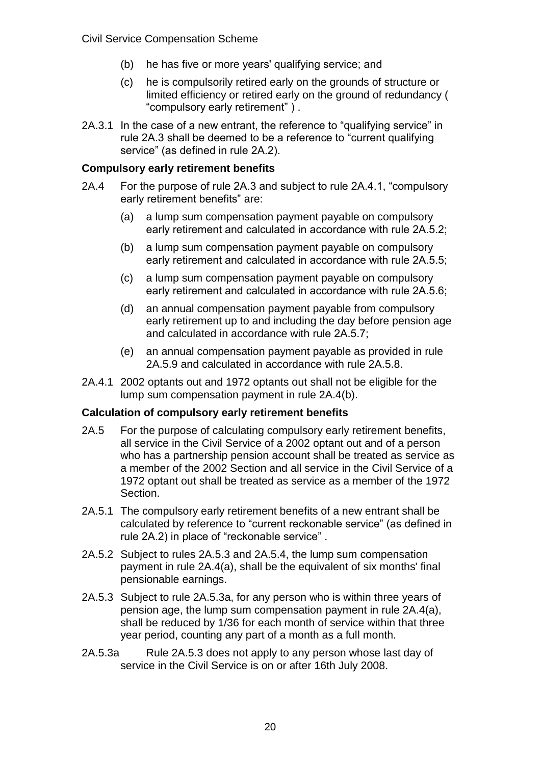- (b) he has five or more years' qualifying service; and
- (c) he is compulsorily retired early on the grounds of structure or limited efficiency or retired early on the ground of redundancy ( "compulsory early retirement" ) .
- 2A.3.1 In the case of a new entrant, the reference to "qualifying service" in rule 2A.3 shall be deemed to be a reference to "current qualifying service" (as defined in rule 2A.2).

#### **Compulsory early retirement benefits**

- 2A.4 For the purpose of rule 2A.3 and subject to rule 2A.4.1, "compulsory early retirement benefits" are:
	- (a) a lump sum compensation payment payable on compulsory early retirement and calculated in accordance with rule 2A.5.2;
	- (b) a lump sum compensation payment payable on compulsory early retirement and calculated in accordance with rule 2A.5.5;
	- (c) a lump sum compensation payment payable on compulsory early retirement and calculated in accordance with rule 2A.5.6;
	- (d) an annual compensation payment payable from compulsory early retirement up to and including the day before pension age and calculated in accordance with rule 2A.5.7;
	- (e) an annual compensation payment payable as provided in rule 2A.5.9 and calculated in accordance with rule 2A.5.8.
- 2A.4.1 2002 optants out and 1972 optants out shall not be eligible for the lump sum compensation payment in rule 2A.4(b).

#### **Calculation of compulsory early retirement benefits**

- 2A.5 For the purpose of calculating compulsory early retirement benefits, all service in the Civil Service of a 2002 optant out and of a person who has a partnership pension account shall be treated as service as a member of the 2002 Section and all service in the Civil Service of a 1972 optant out shall be treated as service as a member of the 1972 Section.
- 2A.5.1 The compulsory early retirement benefits of a new entrant shall be calculated by reference to "current reckonable service" (as defined in rule 2A.2) in place of "reckonable service" .
- 2A.5.2 Subject to rules 2A.5.3 and 2A.5.4, the lump sum compensation payment in rule 2A.4(a), shall be the equivalent of six months' final pensionable earnings.
- 2A.5.3 Subject to rule 2A.5.3a, for any person who is within three years of pension age, the lump sum compensation payment in rule 2A.4(a), shall be reduced by 1/36 for each month of service within that three year period, counting any part of a month as a full month.
- 2A.5.3a Rule 2A.5.3 does not apply to any person whose last day of service in the Civil Service is on or after 16th July 2008.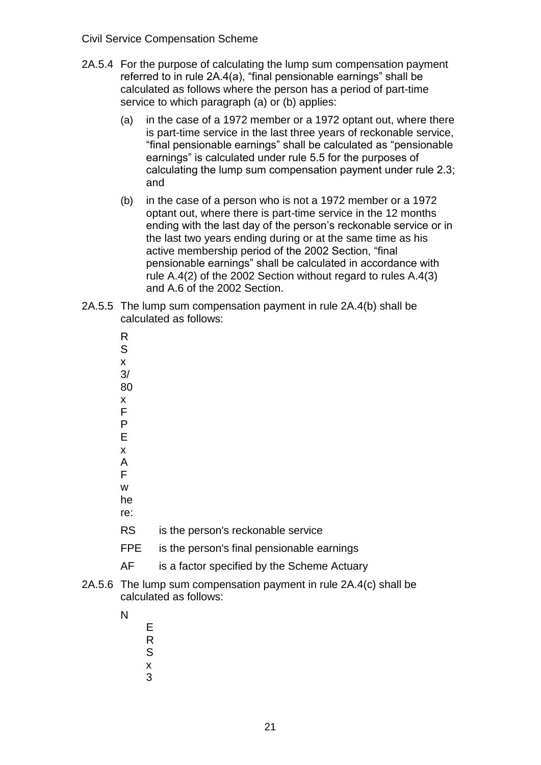- 2A.5.4 For the purpose of calculating the lump sum compensation payment referred to in rule 2A.4(a), "final pensionable earnings" shall be calculated as follows where the person has a period of part-time service to which paragraph (a) or (b) applies:
	- (a) in the case of a 1972 member or a 1972 optant out, where there is part-time service in the last three years of reckonable service, "final pensionable earnings" shall be calculated as "pensionable earnings" is calculated under rule 5.5 for the purposes of calculating the lump sum compensation payment under rule 2.3; and
	- (b) in the case of a person who is not a 1972 member or a 1972 optant out, where there is part-time service in the 12 months ending with the last day of the person's reckonable service or in the last two years ending during or at the same time as his active membership period of the 2002 Section, "final pensionable earnings" shall be calculated in accordance with rule A.4(2) of the 2002 Section without regard to rules A.4(3) and A.6 of the 2002 Section.
- 2A.5.5 The lump sum compensation payment in rule 2A.4(b) shall be calculated as follows:
	- R
	- S x
	- 3/
	- 80
	- x
	- F P
	- E
	- x
	- A
	- F
	- w he
	- re:
	- RS is the person's reckonable service
	- FPE is the person's final pensionable earnings
	- AF is a factor specified by the Scheme Actuary
- 2A.5.6 The lump sum compensation payment in rule 2A.4(c) shall be calculated as follows:
	- N
- E
	- R
	- S x
	- 3

21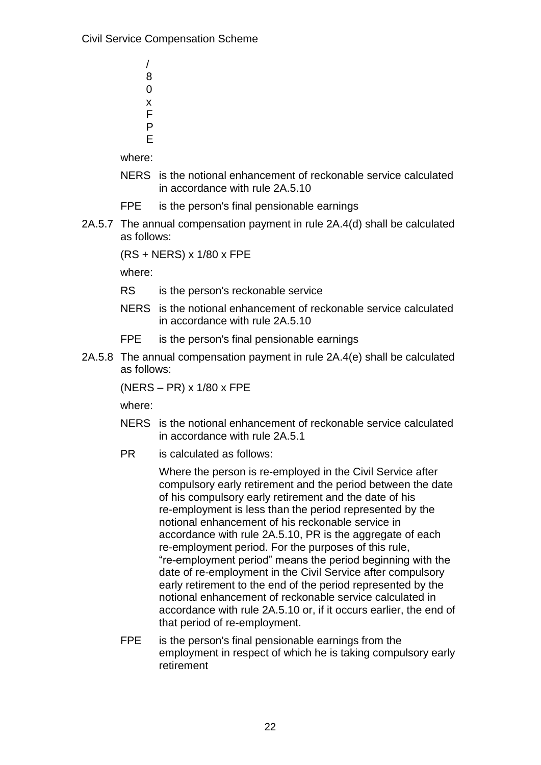/ 8  $\Omega$ x F P E

where:

- NERS is the notional enhancement of reckonable service calculated in accordance with rule 2A.5.10
- FPE is the person's final pensionable earnings
- 2A.5.7 The annual compensation payment in rule 2A.4(d) shall be calculated as follows:

(RS + NERS) x 1/80 x FPE

where:

- RS is the person's reckonable service
- NERS is the notional enhancement of reckonable service calculated in accordance with rule 2A.5.10
- FPE is the person's final pensionable earnings
- 2A.5.8 The annual compensation payment in rule 2A.4(e) shall be calculated as follows:

(NERS – PR) x 1/80 x FPE

where:

- NERS is the notional enhancement of reckonable service calculated in accordance with rule 2A.5.1
- PR is calculated as follows:

Where the person is re-employed in the Civil Service after compulsory early retirement and the period between the date of his compulsory early retirement and the date of his re-employment is less than the period represented by the notional enhancement of his reckonable service in accordance with rule 2A.5.10. PR is the aggregate of each re-employment period. For the purposes of this rule, "re-employment period" means the period beginning with the date of re-employment in the Civil Service after compulsory early retirement to the end of the period represented by the notional enhancement of reckonable service calculated in accordance with rule 2A.5.10 or, if it occurs earlier, the end of that period of re-employment.

FPE is the person's final pensionable earnings from the employment in respect of which he is taking compulsory early retirement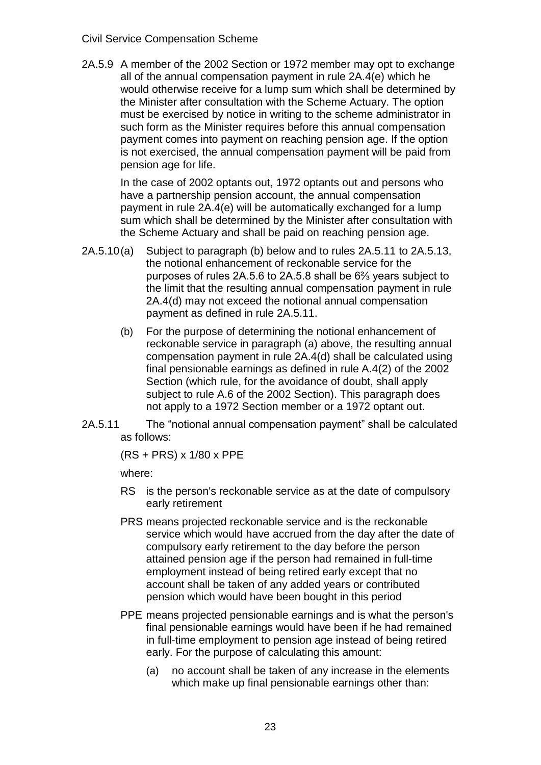2A.5.9 A member of the 2002 Section or 1972 member may opt to exchange all of the annual compensation payment in rule 2A.4(e) which he would otherwise receive for a lump sum which shall be determined by the Minister after consultation with the Scheme Actuary. The option must be exercised by notice in writing to the scheme administrator in such form as the Minister requires before this annual compensation payment comes into payment on reaching pension age. If the option is not exercised, the annual compensation payment will be paid from pension age for life.

In the case of 2002 optants out, 1972 optants out and persons who have a partnership pension account, the annual compensation payment in rule 2A.4(e) will be automatically exchanged for a lump sum which shall be determined by the Minister after consultation with the Scheme Actuary and shall be paid on reaching pension age.

- 2A.5.10(a) Subject to paragraph (b) below and to rules 2A.5.11 to 2A.5.13, the notional enhancement of reckonable service for the purposes of rules 2A.5.6 to 2A.5.8 shall be 6⅔ years subject to the limit that the resulting annual compensation payment in rule 2A.4(d) may not exceed the notional annual compensation payment as defined in rule 2A.5.11.
	- (b) For the purpose of determining the notional enhancement of reckonable service in paragraph (a) above, the resulting annual compensation payment in rule 2A.4(d) shall be calculated using final pensionable earnings as defined in rule A.4(2) of the 2002 Section (which rule, for the avoidance of doubt, shall apply subject to rule A.6 of the 2002 Section). This paragraph does not apply to a 1972 Section member or a 1972 optant out.
- 2A.5.11 The "notional annual compensation payment" shall be calculated as follows:

(RS + PRS) x 1/80 x PPE

where:

- RS is the person's reckonable service as at the date of compulsory early retirement
- PRS means projected reckonable service and is the reckonable service which would have accrued from the day after the date of compulsory early retirement to the day before the person attained pension age if the person had remained in full-time employment instead of being retired early except that no account shall be taken of any added years or contributed pension which would have been bought in this period
- PPE means projected pensionable earnings and is what the person's final pensionable earnings would have been if he had remained in full-time employment to pension age instead of being retired early. For the purpose of calculating this amount:
	- (a) no account shall be taken of any increase in the elements which make up final pensionable earnings other than: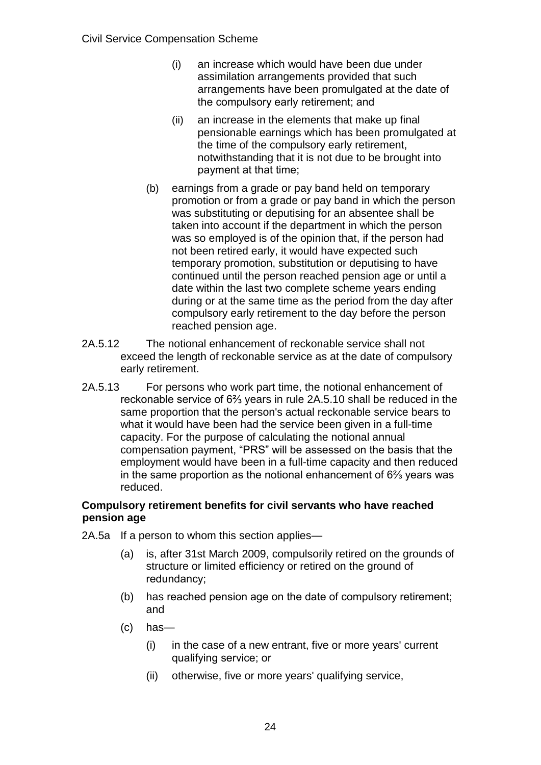- (i) an increase which would have been due under assimilation arrangements provided that such arrangements have been promulgated at the date of the compulsory early retirement; and
- (ii) an increase in the elements that make up final pensionable earnings which has been promulgated at the time of the compulsory early retirement, notwithstanding that it is not due to be brought into payment at that time;
- (b) earnings from a grade or pay band held on temporary promotion or from a grade or pay band in which the person was substituting or deputising for an absentee shall be taken into account if the department in which the person was so employed is of the opinion that, if the person had not been retired early, it would have expected such temporary promotion, substitution or deputising to have continued until the person reached pension age or until a date within the last two complete scheme years ending during or at the same time as the period from the day after compulsory early retirement to the day before the person reached pension age.
- 2A.5.12 The notional enhancement of reckonable service shall not exceed the length of reckonable service as at the date of compulsory early retirement.
- 2A.5.13 For persons who work part time, the notional enhancement of reckonable service of 6⅔ years in rule 2A.5.10 shall be reduced in the same proportion that the person's actual reckonable service bears to what it would have been had the service been given in a full-time capacity. For the purpose of calculating the notional annual compensation payment, "PRS" will be assessed on the basis that the employment would have been in a full-time capacity and then reduced in the same proportion as the notional enhancement of 6⅔ years was reduced.

# **Compulsory retirement benefits for civil servants who have reached pension age**

- 2A.5a If a person to whom this section applies—
	- (a) is, after 31st March 2009, compulsorily retired on the grounds of structure or limited efficiency or retired on the ground of redundancy;
	- (b) has reached pension age on the date of compulsory retirement; and
	- (c) has—
		- (i) in the case of a new entrant, five or more years' current qualifying service; or
		- (ii) otherwise, five or more years' qualifying service,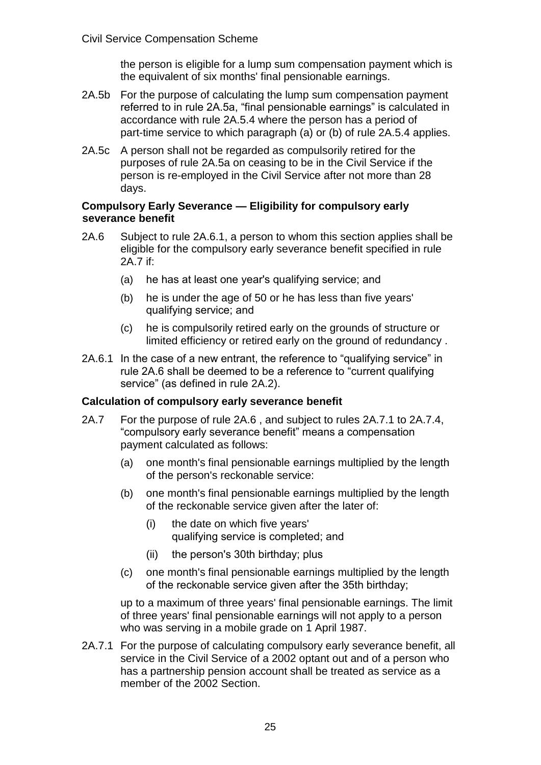the person is eligible for a lump sum compensation payment which is the equivalent of six months' final pensionable earnings.

- 2A.5b For the purpose of calculating the lump sum compensation payment referred to in rule 2A.5a, "final pensionable earnings" is calculated in accordance with rule 2A.5.4 where the person has a period of part-time service to which paragraph (a) or (b) of rule 2A.5.4 applies.
- 2A.5c A person shall not be regarded as compulsorily retired for the purposes of rule 2A.5a on ceasing to be in the Civil Service if the person is re-employed in the Civil Service after not more than 28 days.

#### **Compulsory Early Severance — Eligibility for compulsory early severance benefit**

- 2A.6 Subject to rule 2A.6.1, a person to whom this section applies shall be eligible for the compulsory early severance benefit specified in rule 2A.7 if:
	- (a) he has at least one year's qualifying service; and
	- (b) he is under the age of 50 or he has less than five years' qualifying service; and
	- (c) he is compulsorily retired early on the grounds of structure or limited efficiency or retired early on the ground of redundancy .
- 2A.6.1 In the case of a new entrant, the reference to "qualifying service" in rule 2A.6 shall be deemed to be a reference to "current qualifying service" (as defined in rule 2A.2).

# **Calculation of compulsory early severance benefit**

- 2A.7 For the purpose of rule 2A.6 , and subject to rules 2A.7.1 to 2A.7.4, "compulsory early severance benefit" means a compensation payment calculated as follows:
	- (a) one month's final pensionable earnings multiplied by the length of the person's reckonable service:
	- (b) one month's final pensionable earnings multiplied by the length of the reckonable service given after the later of:
		- (i) the date on which five years' qualifying service is completed; and
		- (ii) the person's 30th birthday; plus
	- (c) one month's final pensionable earnings multiplied by the length of the reckonable service given after the 35th birthday;

up to a maximum of three years' final pensionable earnings. The limit of three years' final pensionable earnings will not apply to a person who was serving in a mobile grade on 1 April 1987.

2A.7.1 For the purpose of calculating compulsory early severance benefit, all service in the Civil Service of a 2002 optant out and of a person who has a partnership pension account shall be treated as service as a member of the 2002 Section.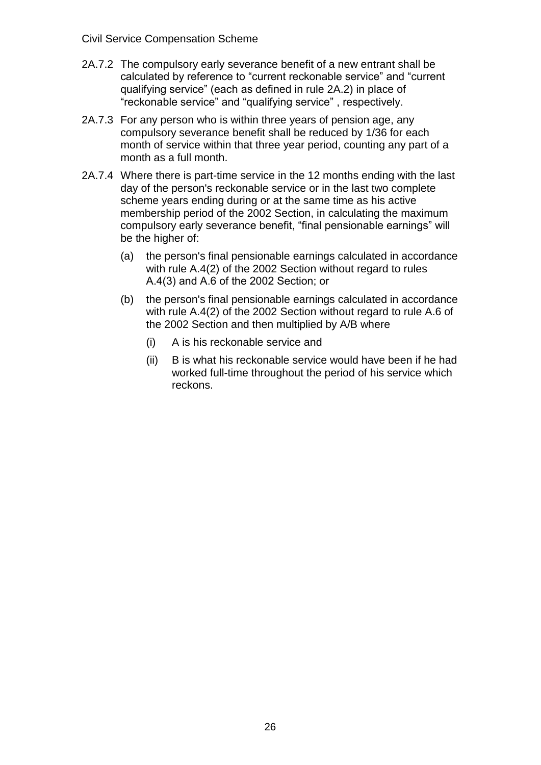- 2A.7.2 The compulsory early severance benefit of a new entrant shall be calculated by reference to "current reckonable service" and "current qualifying service" (each as defined in rule 2A.2) in place of "reckonable service" and "qualifying service" , respectively.
- 2A.7.3 For any person who is within three years of pension age, any compulsory severance benefit shall be reduced by 1/36 for each month of service within that three year period, counting any part of a month as a full month.
- 2A.7.4 Where there is part-time service in the 12 months ending with the last day of the person's reckonable service or in the last two complete scheme years ending during or at the same time as his active membership period of the 2002 Section, in calculating the maximum compulsory early severance benefit, "final pensionable earnings" will be the higher of:
	- (a) the person's final pensionable earnings calculated in accordance with rule A.4(2) of the 2002 Section without regard to rules A.4(3) and A.6 of the 2002 Section; or
	- (b) the person's final pensionable earnings calculated in accordance with rule A.4(2) of the 2002 Section without regard to rule A.6 of the 2002 Section and then multiplied by A/B where
		- (i) A is his reckonable service and
		- (ii) B is what his reckonable service would have been if he had worked full-time throughout the period of his service which reckons.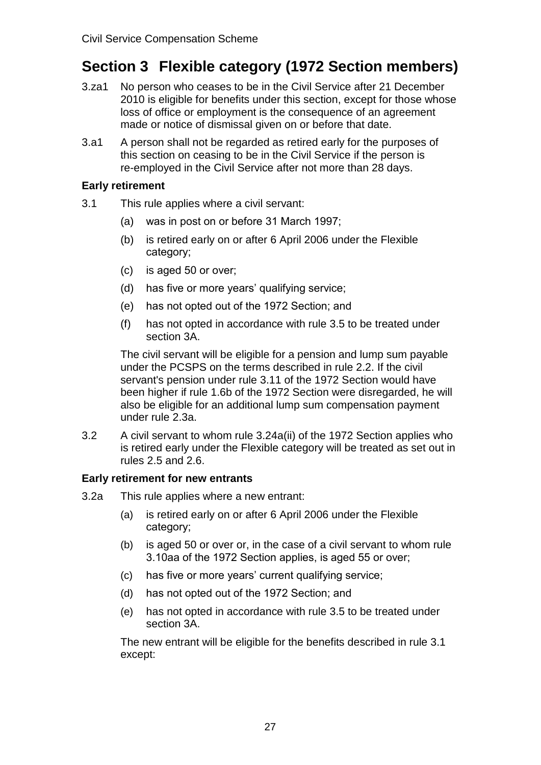# **Section 3 Flexible category (1972 Section members)**

- 3.za1 No person who ceases to be in the Civil Service after 21 December 2010 is eligible for benefits under this section, except for those whose loss of office or employment is the consequence of an agreement made or notice of dismissal given on or before that date.
- 3.a1 A person shall not be regarded as retired early for the purposes of this section on ceasing to be in the Civil Service if the person is re-employed in the Civil Service after not more than 28 days.

#### **Early retirement**

- 3.1 This rule applies where a civil servant:
	- (a) was in post on or before 31 March 1997;
	- (b) is retired early on or after 6 April 2006 under the Flexible category;
	- (c) is aged 50 or over;
	- (d) has five or more years' qualifying service;
	- (e) has not opted out of the 1972 Section; and
	- (f) has not opted in accordance with rule 3.5 to be treated under section 3A.

The civil servant will be eligible for a pension and lump sum payable under the PCSPS on the terms described in rule 2.2. If the civil servant's pension under rule 3.11 of the 1972 Section would have been higher if rule 1.6b of the 1972 Section were disregarded, he will also be eligible for an additional lump sum compensation payment under rule 2.3a.

3.2 A civil servant to whom rule 3.24a(ii) of the 1972 Section applies who is retired early under the Flexible category will be treated as set out in rules 2.5 and 2.6.

# **Early retirement for new entrants**

- 3.2a This rule applies where a new entrant:
	- (a) is retired early on or after 6 April 2006 under the Flexible category;
	- (b) is aged 50 or over or, in the case of a civil servant to whom rule 3.10aa of the 1972 Section applies, is aged 55 or over;
	- (c) has five or more years' current qualifying service;
	- (d) has not opted out of the 1972 Section; and
	- (e) has not opted in accordance with rule 3.5 to be treated under section 3A.

The new entrant will be eligible for the benefits described in rule 3.1 except: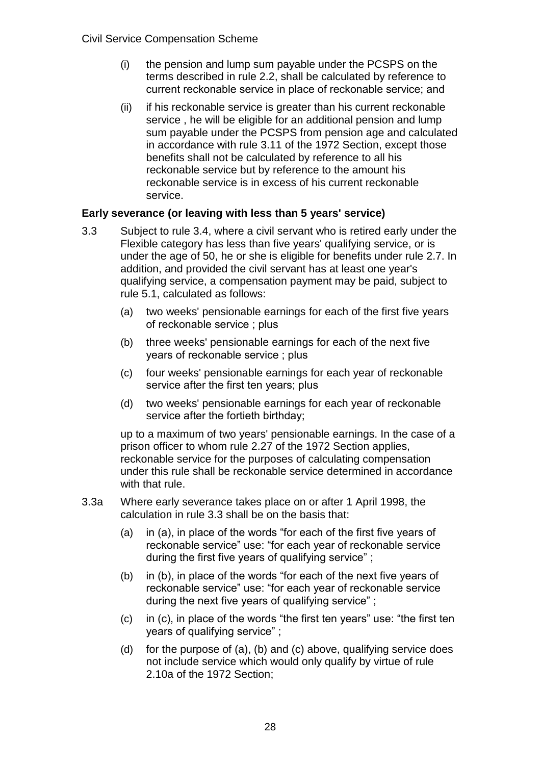- (i) the pension and lump sum payable under the PCSPS on the terms described in rule 2.2, shall be calculated by reference to current reckonable service in place of reckonable service; and
- (ii) if his reckonable service is greater than his current reckonable service , he will be eligible for an additional pension and lump sum payable under the PCSPS from pension age and calculated in accordance with rule 3.11 of the 1972 Section, except those benefits shall not be calculated by reference to all his reckonable service but by reference to the amount his reckonable service is in excess of his current reckonable service.

#### **Early severance (or leaving with less than 5 years' service)**

- 3.3 Subject to rule 3.4, where a civil servant who is retired early under the Flexible category has less than five years' qualifying service, or is under the age of 50, he or she is eligible for benefits under rule 2.7. In addition, and provided the civil servant has at least one year's qualifying service, a compensation payment may be paid, subject to rule 5.1, calculated as follows:
	- (a) two weeks' pensionable earnings for each of the first five years of reckonable service ; plus
	- (b) three weeks' pensionable earnings for each of the next five years of reckonable service ; plus
	- (c) four weeks' pensionable earnings for each year of reckonable service after the first ten years; plus
	- (d) two weeks' pensionable earnings for each year of reckonable service after the fortieth birthday;

up to a maximum of two years' pensionable earnings. In the case of a prison officer to whom rule 2.27 of the 1972 Section applies, reckonable service for the purposes of calculating compensation under this rule shall be reckonable service determined in accordance with that rule.

- 3.3a Where early severance takes place on or after 1 April 1998, the calculation in rule 3.3 shall be on the basis that:
	- (a) in (a), in place of the words "for each of the first five years of reckonable service" use: "for each year of reckonable service during the first five years of qualifying service" ;
	- (b) in (b), in place of the words "for each of the next five years of reckonable service" use: "for each year of reckonable service during the next five years of qualifying service" ;
	- (c) in (c), in place of the words "the first ten years" use: "the first ten years of qualifying service" ;
	- (d) for the purpose of (a), (b) and (c) above, qualifying service does not include service which would only qualify by virtue of rule 2.10a of the 1972 Section;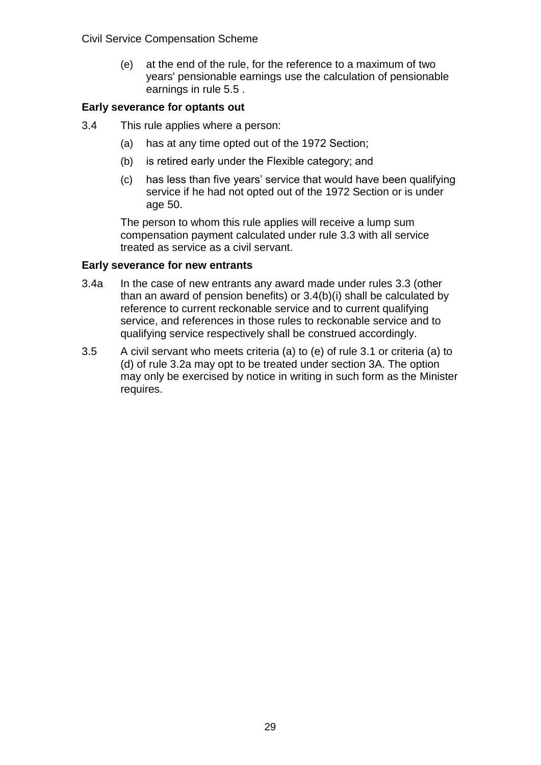(e) at the end of the rule, for the reference to a maximum of two years' pensionable earnings use the calculation of pensionable earnings in rule 5.5 .

#### **Early severance for optants out**

- 3.4 This rule applies where a person:
	- (a) has at any time opted out of the 1972 Section;
	- (b) is retired early under the Flexible category; and
	- (c) has less than five years' service that would have been qualifying service if he had not opted out of the 1972 Section or is under age 50.

The person to whom this rule applies will receive a lump sum compensation payment calculated under rule 3.3 with all service treated as service as a civil servant.

#### **Early severance for new entrants**

- 3.4a In the case of new entrants any award made under rules 3.3 (other than an award of pension benefits) or 3.4(b)(i) shall be calculated by reference to current reckonable service and to current qualifying service, and references in those rules to reckonable service and to qualifying service respectively shall be construed accordingly.
- 3.5 A civil servant who meets criteria (a) to (e) of rule 3.1 or criteria (a) to (d) of rule 3.2a may opt to be treated under section 3A. The option may only be exercised by notice in writing in such form as the Minister requires.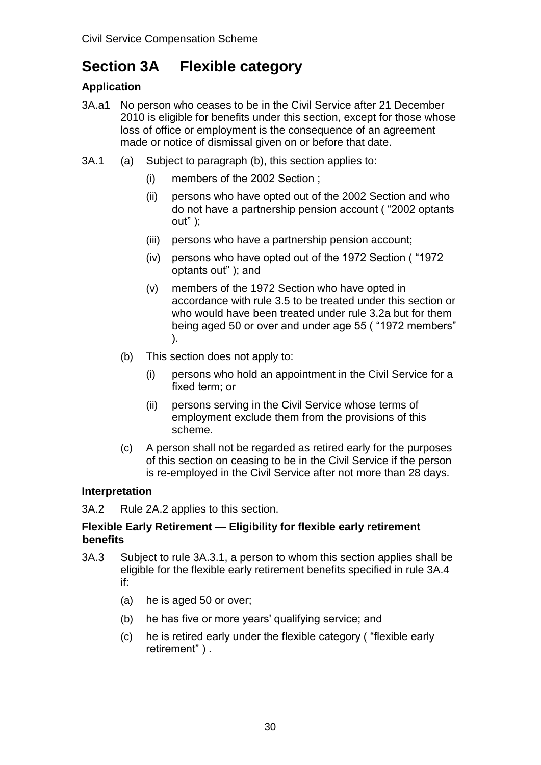# **Section 3A Flexible category**

# **Application**

- 3A.a1 No person who ceases to be in the Civil Service after 21 December 2010 is eligible for benefits under this section, except for those whose loss of office or employment is the consequence of an agreement made or notice of dismissal given on or before that date.
- 3A.1 (a) Subject to paragraph (b), this section applies to:
	- (i) members of the 2002 Section ;
	- (ii) persons who have opted out of the 2002 Section and who do not have a partnership pension account ( "2002 optants  $out"$  );
	- (iii) persons who have a partnership pension account;
	- (iv) persons who have opted out of the 1972 Section ( "1972 optants out" ); and
	- (v) members of the 1972 Section who have opted in accordance with rule 3.5 to be treated under this section or who would have been treated under rule 3.2a but for them being aged 50 or over and under age 55 ( "1972 members" ).
	- (b) This section does not apply to:
		- (i) persons who hold an appointment in the Civil Service for a fixed term; or
		- (ii) persons serving in the Civil Service whose terms of employment exclude them from the provisions of this scheme.
	- (c) A person shall not be regarded as retired early for the purposes of this section on ceasing to be in the Civil Service if the person is re-employed in the Civil Service after not more than 28 days.

# **Interpretation**

3A.2 Rule 2A.2 applies to this section.

#### **Flexible Early Retirement — Eligibility for flexible early retirement benefits**

- 3A.3 Subject to rule 3A.3.1, a person to whom this section applies shall be eligible for the flexible early retirement benefits specified in rule 3A.4 if:
	- (a) he is aged 50 or over;
	- (b) he has five or more years' qualifying service; and
	- (c) he is retired early under the flexible category ( "flexible early retirement" ) .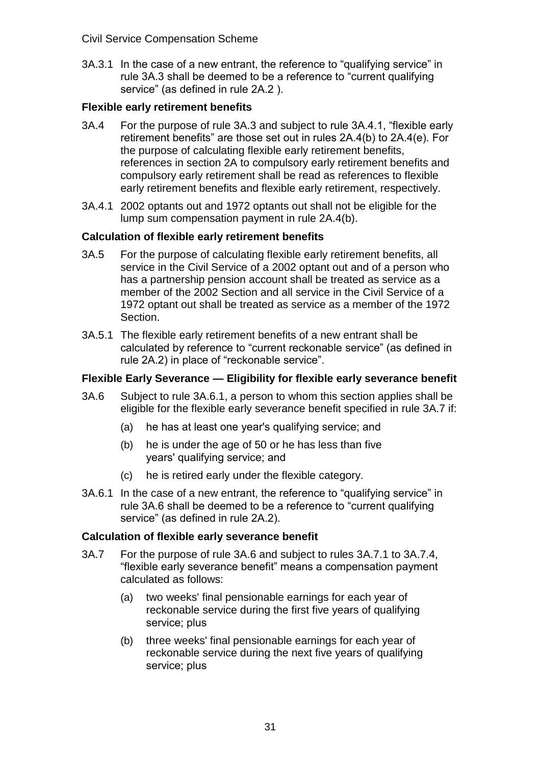3A.3.1 In the case of a new entrant, the reference to "qualifying service" in rule 3A.3 shall be deemed to be a reference to "current qualifying service" (as defined in rule 2A.2 ).

# **Flexible early retirement benefits**

- 3A.4 For the purpose of rule 3A.3 and subject to rule 3A.4.1, "flexible early retirement benefits" are those set out in rules 2A.4(b) to 2A.4(e). For the purpose of calculating flexible early retirement benefits, references in section 2A to compulsory early retirement benefits and compulsory early retirement shall be read as references to flexible early retirement benefits and flexible early retirement, respectively.
- 3A.4.1 2002 optants out and 1972 optants out shall not be eligible for the lump sum compensation payment in rule 2A.4(b).

# **Calculation of flexible early retirement benefits**

- 3A.5 For the purpose of calculating flexible early retirement benefits, all service in the Civil Service of a 2002 optant out and of a person who has a partnership pension account shall be treated as service as a member of the 2002 Section and all service in the Civil Service of a 1972 optant out shall be treated as service as a member of the 1972 Section.
- 3A.5.1 The flexible early retirement benefits of a new entrant shall be calculated by reference to "current reckonable service" (as defined in rule 2A.2) in place of "reckonable service".

# **Flexible Early Severance — Eligibility for flexible early severance benefit**

- 3A.6 Subject to rule 3A.6.1, a person to whom this section applies shall be eligible for the flexible early severance benefit specified in rule 3A.7 if:
	- (a) he has at least one year's qualifying service; and
	- (b) he is under the age of 50 or he has less than five years' qualifying service; and
	- (c) he is retired early under the flexible category.
- 3A.6.1 In the case of a new entrant, the reference to "qualifying service" in rule 3A.6 shall be deemed to be a reference to "current qualifying service" (as defined in rule 2A.2).

# **Calculation of flexible early severance benefit**

- 3A.7 For the purpose of rule 3A.6 and subject to rules 3A.7.1 to 3A.7.4, "flexible early severance benefit" means a compensation payment calculated as follows:
	- (a) two weeks' final pensionable earnings for each year of reckonable service during the first five years of qualifying service; plus
	- (b) three weeks' final pensionable earnings for each year of reckonable service during the next five years of qualifying service; plus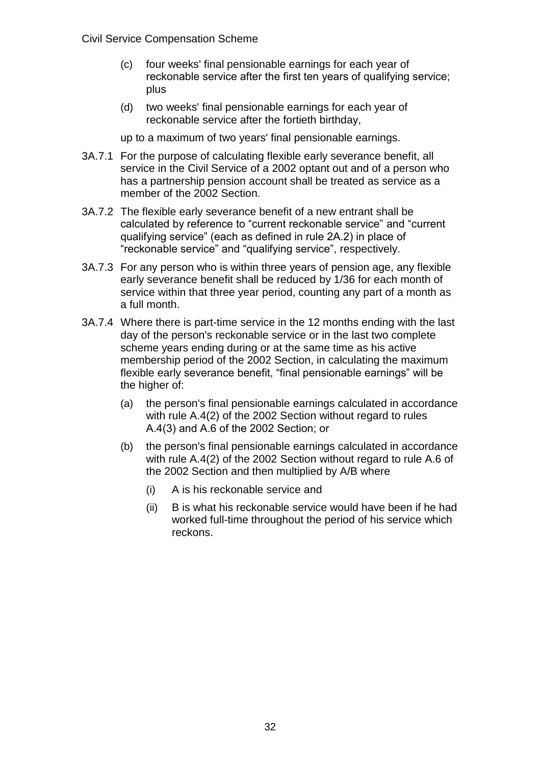- (c) four weeks' final pensionable earnings for each year of reckonable service after the first ten years of qualifying service; plus
- (d) two weeks' final pensionable earnings for each year of reckonable service after the fortieth birthday,

up to a maximum of two years' final pensionable earnings.

- 3A.7.1 For the purpose of calculating flexible early severance benefit, all service in the Civil Service of a 2002 optant out and of a person who has a partnership pension account shall be treated as service as a member of the 2002 Section.
- 3A.7.2 The flexible early severance benefit of a new entrant shall be calculated by reference to "current reckonable service" and "current qualifying service" (each as defined in rule 2A.2) in place of "reckonable service" and "qualifying service", respectively.
- 3A.7.3 For any person who is within three years of pension age, any flexible early severance benefit shall be reduced by 1/36 for each month of service within that three year period, counting any part of a month as a full month.
- 3A.7.4 Where there is part-time service in the 12 months ending with the last day of the person's reckonable service or in the last two complete scheme years ending during or at the same time as his active membership period of the 2002 Section, in calculating the maximum flexible early severance benefit, "final pensionable earnings" will be the higher of:
	- (a) the person's final pensionable earnings calculated in accordance with rule A.4(2) of the 2002 Section without regard to rules A.4(3) and A.6 of the 2002 Section; or
	- (b) the person's final pensionable earnings calculated in accordance with rule A.4(2) of the 2002 Section without regard to rule A.6 of the 2002 Section and then multiplied by A/B where
		- (i) A is his reckonable service and
		- (ii) B is what his reckonable service would have been if he had worked full-time throughout the period of his service which reckons.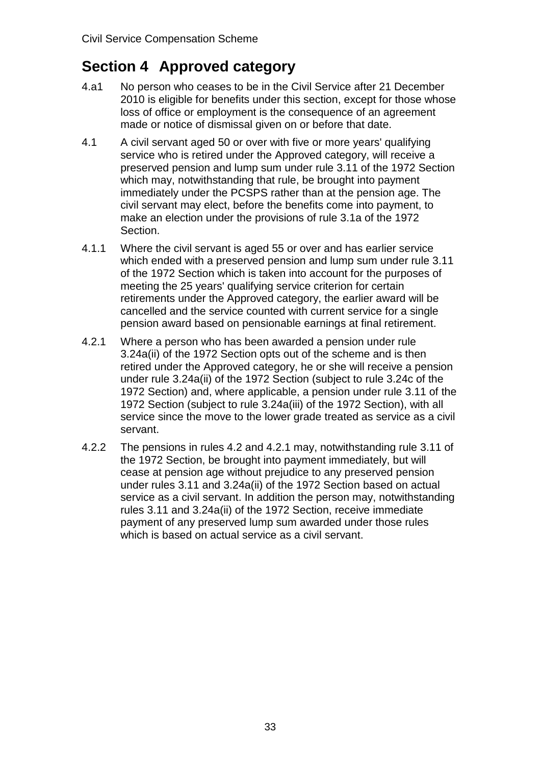# **Section 4 Approved category**

- 4.a1 No person who ceases to be in the Civil Service after 21 December 2010 is eligible for benefits under this section, except for those whose loss of office or employment is the consequence of an agreement made or notice of dismissal given on or before that date.
- 4.1 A civil servant aged 50 or over with five or more years' qualifying service who is retired under the Approved category, will receive a preserved pension and lump sum under rule 3.11 of the 1972 Section which may, notwithstanding that rule, be brought into payment immediately under the PCSPS rather than at the pension age. The civil servant may elect, before the benefits come into payment, to make an election under the provisions of rule 3.1a of the 1972 Section.
- 4.1.1 Where the civil servant is aged 55 or over and has earlier service which ended with a preserved pension and lump sum under rule 3.11 of the 1972 Section which is taken into account for the purposes of meeting the 25 years' qualifying service criterion for certain retirements under the Approved category, the earlier award will be cancelled and the service counted with current service for a single pension award based on pensionable earnings at final retirement.
- 4.2.1 Where a person who has been awarded a pension under rule 3.24a(ii) of the 1972 Section opts out of the scheme and is then retired under the Approved category, he or she will receive a pension under rule 3.24a(ii) of the 1972 Section (subject to rule 3.24c of the 1972 Section) and, where applicable, a pension under rule 3.11 of the 1972 Section (subject to rule 3.24a(iii) of the 1972 Section), with all service since the move to the lower grade treated as service as a civil servant.
- 4.2.2 The pensions in rules 4.2 and 4.2.1 may, notwithstanding rule 3.11 of the 1972 Section, be brought into payment immediately, but will cease at pension age without prejudice to any preserved pension under rules 3.11 and 3.24a(ii) of the 1972 Section based on actual service as a civil servant. In addition the person may, notwithstanding rules 3.11 and 3.24a(ii) of the 1972 Section, receive immediate payment of any preserved lump sum awarded under those rules which is based on actual service as a civil servant.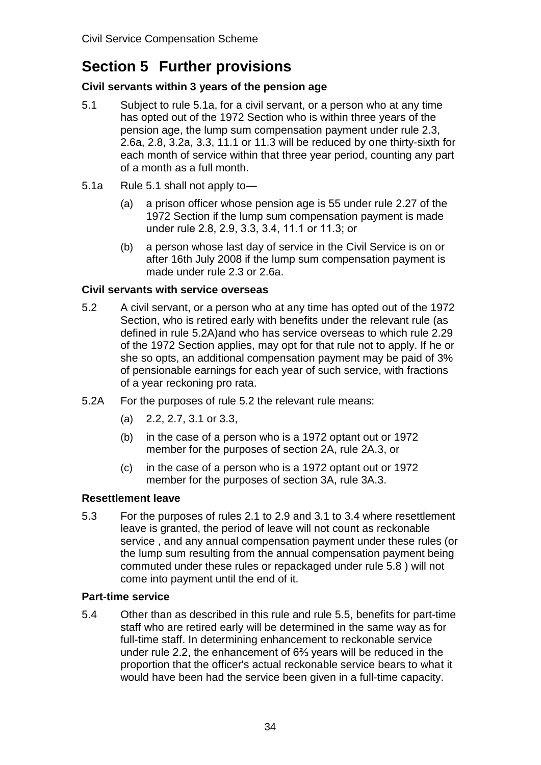# **Section 5 Further provisions**

# **Civil servants within 3 years of the pension age**

- 5.1 Subject to rule 5.1a, for a civil servant, or a person who at any time has opted out of the 1972 Section who is within three years of the pension age, the lump sum compensation payment under rule 2.3, 2.6a, 2.8, 3.2a, 3.3, 11.1 or 11.3 will be reduced by one thirty-sixth for each month of service within that three year period, counting any part of a month as a full month.
- 5.1a Rule 5.1 shall not apply to—
	- (a) a prison officer whose pension age is 55 under rule 2.27 of the 1972 Section if the lump sum compensation payment is made under rule 2.8, 2.9, 3.3, 3.4, 11.1 or 11.3; or
	- (b) a person whose last day of service in the Civil Service is on or after 16th July 2008 if the lump sum compensation payment is made under rule 2.3 or 2.6a.

# **Civil servants with service overseas**

- 5.2 A civil servant, or a person who at any time has opted out of the 1972 Section, who is retired early with benefits under the relevant rule (as defined in rule 5.2A)and who has service overseas to which rule 2.29 of the 1972 Section applies, may opt for that rule not to apply. If he or she so opts, an additional compensation payment may be paid of 3% of pensionable earnings for each year of such service, with fractions of a year reckoning pro rata.
- 5.2A For the purposes of rule 5.2 the relevant rule means:
	- (a) 2.2, 2.7, 3.1 or 3.3,
	- (b) in the case of a person who is a 1972 optant out or 1972 member for the purposes of section 2A, rule 2A.3, or
	- (c) in the case of a person who is a 1972 optant out or 1972 member for the purposes of section 3A, rule 3A.3.

# **Resettlement leave**

5.3 For the purposes of rules 2.1 to 2.9 and 3.1 to 3.4 where resettlement leave is granted, the period of leave will not count as reckonable service , and any annual compensation payment under these rules (or the lump sum resulting from the annual compensation payment being commuted under these rules or repackaged under rule 5.8 ) will not come into payment until the end of it.

# **Part-time service**

5.4 Other than as described in this rule and rule 5.5, benefits for part-time staff who are retired early will be determined in the same way as for full-time staff. In determining enhancement to reckonable service under rule 2.2, the enhancement of 6⅔ years will be reduced in the proportion that the officer's actual reckonable service bears to what it would have been had the service been given in a full-time capacity.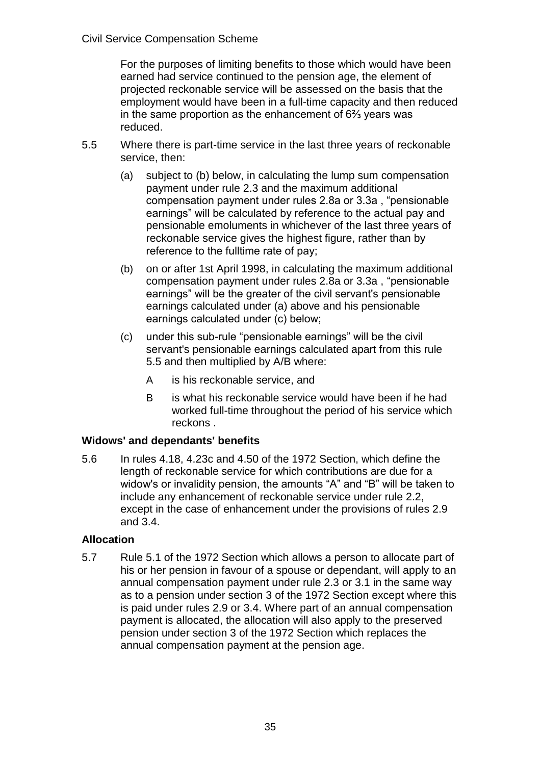For the purposes of limiting benefits to those which would have been earned had service continued to the pension age, the element of projected reckonable service will be assessed on the basis that the employment would have been in a full-time capacity and then reduced in the same proportion as the enhancement of 6⅔ years was reduced.

- 5.5 Where there is part-time service in the last three years of reckonable service, then:
	- (a) subject to (b) below, in calculating the lump sum compensation payment under rule 2.3 and the maximum additional compensation payment under rules 2.8a or 3.3a , "pensionable earnings" will be calculated by reference to the actual pay and pensionable emoluments in whichever of the last three years of reckonable service gives the highest figure, rather than by reference to the fulltime rate of pay;
	- (b) on or after 1st April 1998, in calculating the maximum additional compensation payment under rules 2.8a or 3.3a , "pensionable earnings" will be the greater of the civil servant's pensionable earnings calculated under (a) above and his pensionable earnings calculated under (c) below;
	- (c) under this sub-rule "pensionable earnings" will be the civil servant's pensionable earnings calculated apart from this rule 5.5 and then multiplied by A/B where:
		- A is his reckonable service, and
		- B is what his reckonable service would have been if he had worked full-time throughout the period of his service which reckons .

# **Widows' and dependants' benefits**

5.6 In rules 4.18, 4.23c and 4.50 of the 1972 Section, which define the length of reckonable service for which contributions are due for a widow's or invalidity pension, the amounts "A" and "B" will be taken to include any enhancement of reckonable service under rule 2.2, except in the case of enhancement under the provisions of rules 2.9 and 3.4.

# **Allocation**

5.7 Rule 5.1 of the 1972 Section which allows a person to allocate part of his or her pension in favour of a spouse or dependant, will apply to an annual compensation payment under rule 2.3 or 3.1 in the same way as to a pension under section 3 of the 1972 Section except where this is paid under rules 2.9 or 3.4. Where part of an annual compensation payment is allocated, the allocation will also apply to the preserved pension under section 3 of the 1972 Section which replaces the annual compensation payment at the pension age.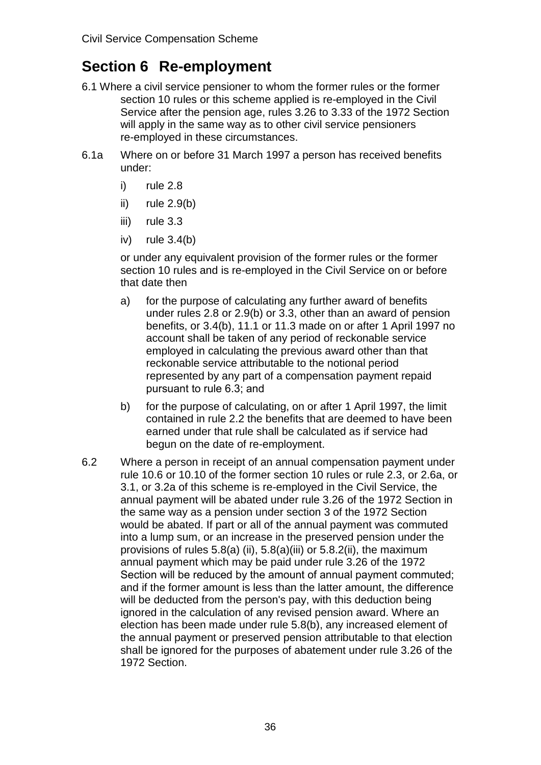# **Section 6 Re-employment**

- 6.1 Where a civil service pensioner to whom the former rules or the former section 10 rules or this scheme applied is re-employed in the Civil Service after the pension age, rules 3.26 to 3.33 of the 1972 Section will apply in the same way as to other civil service pensioners re-employed in these circumstances.
- 6.1a Where on or before 31 March 1997 a person has received benefits under:
	- i) rule 2.8
	- ii) rule  $2.9(b)$
	- iii) rule 3.3
	- $iv)$  rule  $3.4(b)$

or under any equivalent provision of the former rules or the former section 10 rules and is re-employed in the Civil Service on or before that date then

- a) for the purpose of calculating any further award of benefits under rules 2.8 or 2.9(b) or 3.3, other than an award of pension benefits, or 3.4(b), 11.1 or 11.3 made on or after 1 April 1997 no account shall be taken of any period of reckonable service employed in calculating the previous award other than that reckonable service attributable to the notional period represented by any part of a compensation payment repaid pursuant to rule 6.3; and
- b) for the purpose of calculating, on or after 1 April 1997, the limit contained in rule 2.2 the benefits that are deemed to have been earned under that rule shall be calculated as if service had begun on the date of re-employment.
- 6.2 Where a person in receipt of an annual compensation payment under rule 10.6 or 10.10 of the former section 10 rules or rule 2.3, or 2.6a, or 3.1, or 3.2a of this scheme is re-employed in the Civil Service, the annual payment will be abated under rule 3.26 of the 1972 Section in the same way as a pension under section 3 of the 1972 Section would be abated. If part or all of the annual payment was commuted into a lump sum, or an increase in the preserved pension under the provisions of rules  $5.8(a)$  (ii),  $5.8(a)$  (iii) or  $5.8.2(ii)$ , the maximum annual payment which may be paid under rule 3.26 of the 1972 Section will be reduced by the amount of annual payment commuted; and if the former amount is less than the latter amount, the difference will be deducted from the person's pay, with this deduction being ignored in the calculation of any revised pension award. Where an election has been made under rule 5.8(b), any increased element of the annual payment or preserved pension attributable to that election shall be ignored for the purposes of abatement under rule 3.26 of the 1972 Section.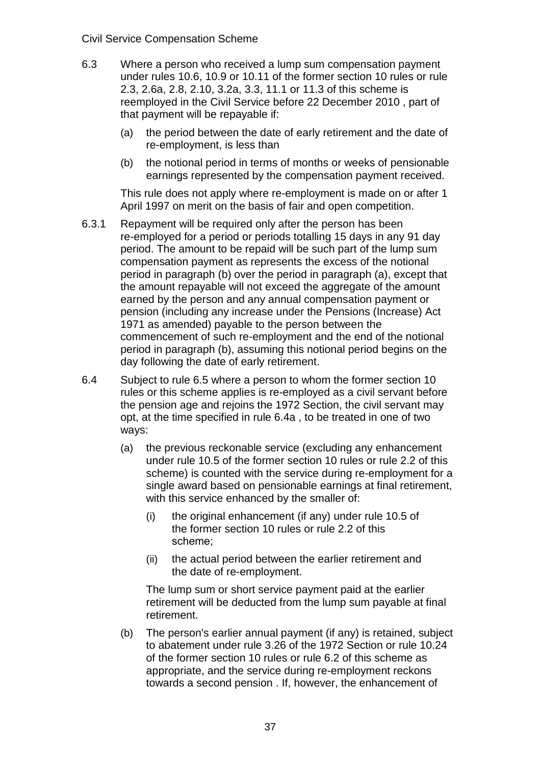#### Civil Service Compensation Scheme

- 6.3 Where a person who received a lump sum compensation payment under rules 10.6, 10.9 or 10.11 of the former section 10 rules or rule 2.3, 2.6a, 2.8, 2.10, 3.2a, 3.3, 11.1 or 11.3 of this scheme is reemployed in the Civil Service before 22 December 2010 , part of that payment will be repayable if:
	- (a) the period between the date of early retirement and the date of re-employment, is less than
	- (b) the notional period in terms of months or weeks of pensionable earnings represented by the compensation payment received.

This rule does not apply where re-employment is made on or after 1 April 1997 on merit on the basis of fair and open competition.

- 6.3.1 Repayment will be required only after the person has been re-employed for a period or periods totalling 15 days in any 91 day period. The amount to be repaid will be such part of the lump sum compensation payment as represents the excess of the notional period in paragraph (b) over the period in paragraph (a), except that the amount repayable will not exceed the aggregate of the amount earned by the person and any annual compensation payment or pension (including any increase under the Pensions (Increase) Act 1971 as amended) payable to the person between the commencement of such re-employment and the end of the notional period in paragraph (b), assuming this notional period begins on the day following the date of early retirement.
- 6.4 Subject to rule 6.5 where a person to whom the former section 10 rules or this scheme applies is re-employed as a civil servant before the pension age and rejoins the 1972 Section, the civil servant may opt, at the time specified in rule 6.4a , to be treated in one of two ways:
	- (a) the previous reckonable service (excluding any enhancement under rule 10.5 of the former section 10 rules or rule 2.2 of this scheme) is counted with the service during re-employment for a single award based on pensionable earnings at final retirement, with this service enhanced by the smaller of:
		- (i) the original enhancement (if any) under rule 10.5 of the former section 10 rules or rule 2.2 of this scheme;
		- (ii) the actual period between the earlier retirement and the date of re-employment.

The lump sum or short service payment paid at the earlier retirement will be deducted from the lump sum payable at final retirement.

(b) The person's earlier annual payment (if any) is retained, subject to abatement under rule 3.26 of the 1972 Section or rule 10.24 of the former section 10 rules or rule 6.2 of this scheme as appropriate, and the service during re-employment reckons towards a second pension . If, however, the enhancement of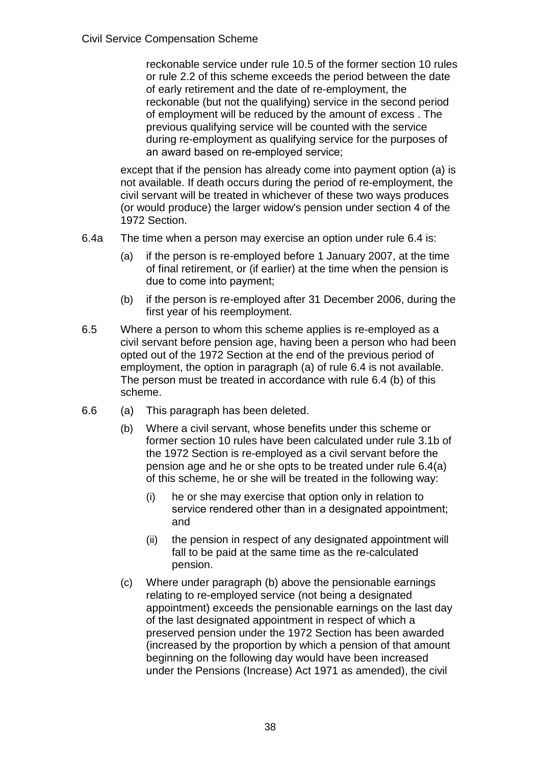reckonable service under rule 10.5 of the former section 10 rules or rule 2.2 of this scheme exceeds the period between the date of early retirement and the date of re-employment, the reckonable (but not the qualifying) service in the second period of employment will be reduced by the amount of excess . The previous qualifying service will be counted with the service during re-employment as qualifying service for the purposes of an award based on re-employed service;

except that if the pension has already come into payment option (a) is not available. If death occurs during the period of re-employment, the civil servant will be treated in whichever of these two ways produces (or would produce) the larger widow's pension under section 4 of the 1972 Section.

- 6.4a The time when a person may exercise an option under rule 6.4 is:
	- (a) if the person is re-employed before 1 January 2007, at the time of final retirement, or (if earlier) at the time when the pension is due to come into payment;
	- (b) if the person is re-employed after 31 December 2006, during the first year of his reemployment.
- 6.5 Where a person to whom this scheme applies is re-employed as a civil servant before pension age, having been a person who had been opted out of the 1972 Section at the end of the previous period of employment, the option in paragraph (a) of rule 6.4 is not available. The person must be treated in accordance with rule 6.4 (b) of this scheme.
- 6.6 (a) This paragraph has been deleted.
	- (b) Where a civil servant, whose benefits under this scheme or former section 10 rules have been calculated under rule 3.1b of the 1972 Section is re-employed as a civil servant before the pension age and he or she opts to be treated under rule 6.4(a) of this scheme, he or she will be treated in the following way:
		- (i) he or she may exercise that option only in relation to service rendered other than in a designated appointment; and
		- (ii) the pension in respect of any designated appointment will fall to be paid at the same time as the re-calculated pension.
	- (c) Where under paragraph (b) above the pensionable earnings relating to re-employed service (not being a designated appointment) exceeds the pensionable earnings on the last day of the last designated appointment in respect of which a preserved pension under the 1972 Section has been awarded (increased by the proportion by which a pension of that amount beginning on the following day would have been increased under the Pensions (Increase) Act 1971 as amended), the civil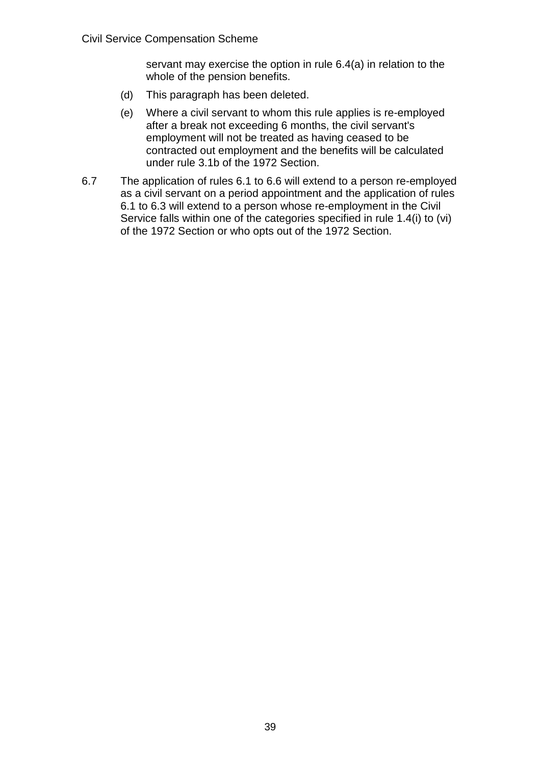servant may exercise the option in rule 6.4(a) in relation to the whole of the pension benefits.

- (d) This paragraph has been deleted.
- (e) Where a civil servant to whom this rule applies is re-employed after a break not exceeding 6 months, the civil servant's employment will not be treated as having ceased to be contracted out employment and the benefits will be calculated under rule 3.1b of the 1972 Section.
- 6.7 The application of rules 6.1 to 6.6 will extend to a person re-employed as a civil servant on a period appointment and the application of rules 6.1 to 6.3 will extend to a person whose re-employment in the Civil Service falls within one of the categories specified in rule 1.4(i) to (vi) of the 1972 Section or who opts out of the 1972 Section.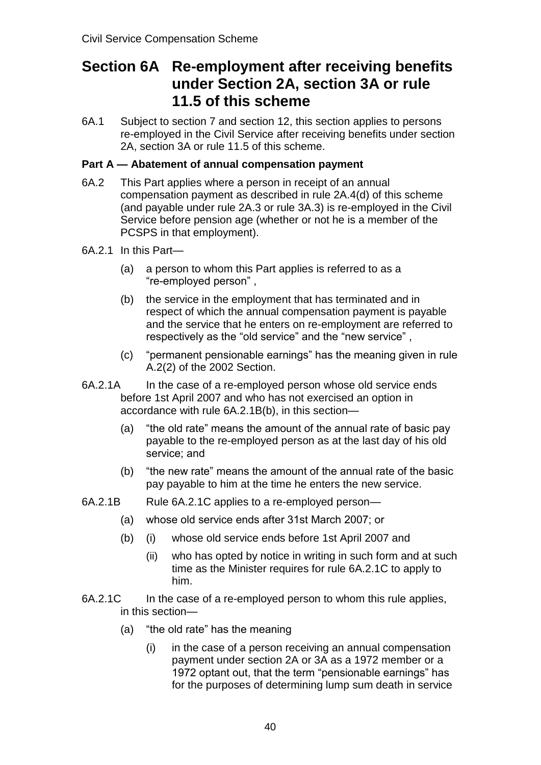# **Section 6A Re-employment after receiving benefits under Section 2A, section 3A or rule 11.5 of this scheme**

6A.1 Subject to section 7 and section 12, this section applies to persons re-employed in the Civil Service after receiving benefits under section 2A, section 3A or rule 11.5 of this scheme.

## **Part A — Abatement of annual compensation payment**

- 6A.2 This Part applies where a person in receipt of an annual compensation payment as described in rule 2A.4(d) of this scheme (and payable under rule 2A.3 or rule 3A.3) is re-employed in the Civil Service before pension age (whether or not he is a member of the PCSPS in that employment).
- 6A.2.1 In this Part—
	- (a) a person to whom this Part applies is referred to as a "re-employed person",
	- (b) the service in the employment that has terminated and in respect of which the annual compensation payment is payable and the service that he enters on re-employment are referred to respectively as the "old service" and the "new service" ,
	- (c) "permanent pensionable earnings" has the meaning given in rule A.2(2) of the 2002 Section.
- 6A.2.1A In the case of a re-employed person whose old service ends before 1st April 2007 and who has not exercised an option in accordance with rule 6A.2.1B(b), in this section—
	- (a) "the old rate" means the amount of the annual rate of basic pay payable to the re-employed person as at the last day of his old service; and
	- (b) "the new rate" means the amount of the annual rate of the basic pay payable to him at the time he enters the new service.
- 6A.2.1B Rule 6A.2.1C applies to a re-employed person—
	- (a) whose old service ends after 31st March 2007; or
	- (b) (i) whose old service ends before 1st April 2007 and
		- (ii) who has opted by notice in writing in such form and at such time as the Minister requires for rule 6A.2.1C to apply to him.
- 6A.2.1C In the case of a re-employed person to whom this rule applies, in this section—
	- (a) "the old rate" has the meaning
		- (i) in the case of a person receiving an annual compensation payment under section 2A or 3A as a 1972 member or a 1972 optant out, that the term "pensionable earnings" has for the purposes of determining lump sum death in service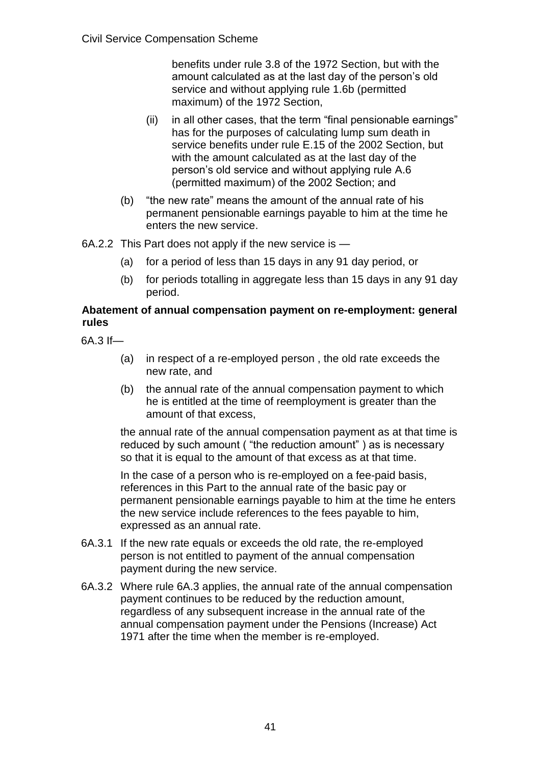benefits under rule 3.8 of the 1972 Section, but with the amount calculated as at the last day of the person's old service and without applying rule 1.6b (permitted maximum) of the 1972 Section,

- (ii) in all other cases, that the term "final pensionable earnings" has for the purposes of calculating lump sum death in service benefits under rule E.15 of the 2002 Section, but with the amount calculated as at the last day of the person's old service and without applying rule A.6 (permitted maximum) of the 2002 Section; and
- (b) "the new rate" means the amount of the annual rate of his permanent pensionable earnings payable to him at the time he enters the new service.
- 6A.2.2 This Part does not apply if the new service is
	- (a) for a period of less than 15 days in any 91 day period, or
	- (b) for periods totalling in aggregate less than 15 days in any 91 day period.

#### **Abatement of annual compensation payment on re-employment: general rules**

6A.3 If—

- (a) in respect of a re-employed person , the old rate exceeds the new rate, and
- (b) the annual rate of the annual compensation payment to which he is entitled at the time of reemployment is greater than the amount of that excess,

the annual rate of the annual compensation payment as at that time is reduced by such amount ( "the reduction amount" ) as is necessary so that it is equal to the amount of that excess as at that time.

In the case of a person who is re-employed on a fee-paid basis, references in this Part to the annual rate of the basic pay or permanent pensionable earnings payable to him at the time he enters the new service include references to the fees payable to him, expressed as an annual rate.

- 6A.3.1 If the new rate equals or exceeds the old rate, the re-employed person is not entitled to payment of the annual compensation payment during the new service.
- 6A.3.2 Where rule 6A.3 applies, the annual rate of the annual compensation payment continues to be reduced by the reduction amount, regardless of any subsequent increase in the annual rate of the annual compensation payment under the Pensions (Increase) Act 1971 after the time when the member is re-employed.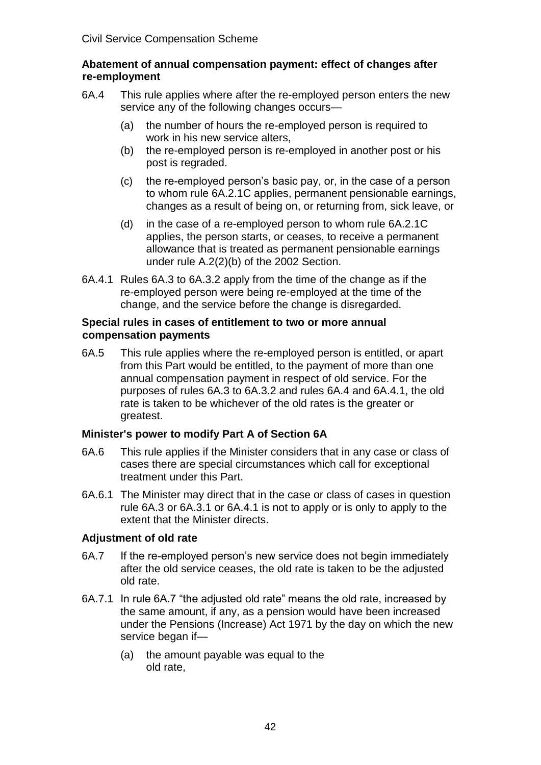#### **Abatement of annual compensation payment: effect of changes after re-employment**

- 6A.4 This rule applies where after the re-employed person enters the new service any of the following changes occurs—
	- (a) the number of hours the re-employed person is required to work in his new service alters,
	- (b) the re-employed person is re-employed in another post or his post is regraded.
	- (c) the reemployed person's basic pay, or, in the case of a person to whom rule 6A.2.1C applies, permanent pensionable earnings, changes as a result of being on, or returning from, sick leave, or
	- (d) in the case of a re-employed person to whom rule 6A.2.1C applies, the person starts, or ceases, to receive a permanent allowance that is treated as permanent pensionable earnings under rule A.2(2)(b) of the 2002 Section.
- 6A.4.1 Rules 6A.3 to 6A.3.2 apply from the time of the change as if the re-employed person were being re-employed at the time of the change, and the service before the change is disregarded.

#### **Special rules in cases of entitlement to two or more annual compensation payments**

6A.5 This rule applies where the re-employed person is entitled, or apart from this Part would be entitled, to the payment of more than one annual compensation payment in respect of old service. For the purposes of rules 6A.3 to 6A.3.2 and rules 6A.4 and 6A.4.1, the old rate is taken to be whichever of the old rates is the greater or greatest.

## **Minister's power to modify Part A of Section 6A**

- 6A.6 This rule applies if the Minister considers that in any case or class of cases there are special circumstances which call for exceptional treatment under this Part.
- 6A.6.1 The Minister may direct that in the case or class of cases in question rule 6A.3 or 6A.3.1 or 6A.4.1 is not to apply or is only to apply to the extent that the Minister directs.

## **Adjustment of old rate**

- 6A.7 If the re-employed person's new service does not begin immediately after the old service ceases, the old rate is taken to be the adjusted old rate.
- 6A.7.1 In rule 6A.7 "the adjusted old rate" means the old rate, increased by the same amount, if any, as a pension would have been increased under the Pensions (Increase) Act 1971 by the day on which the new service began if—
	- (a) the amount payable was equal to the old rate,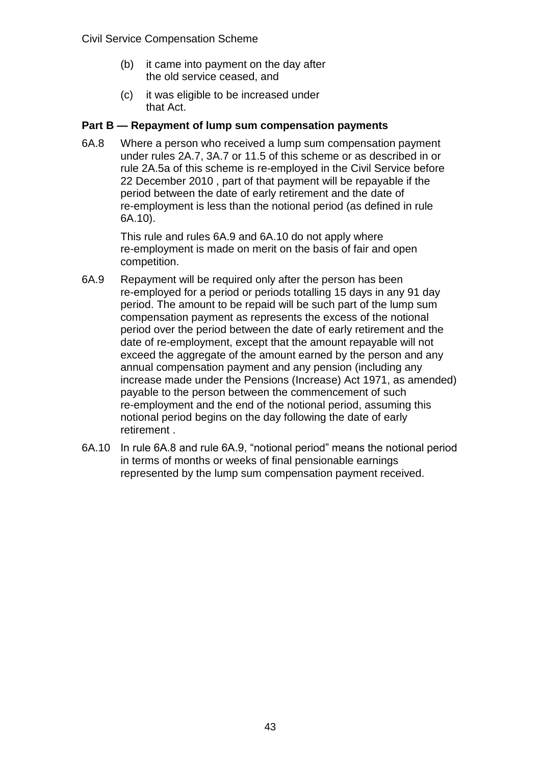- (b) it came into payment on the day after the old service ceased, and
- (c) it was eligible to be increased under that Act.

#### **Part B — Repayment of lump sum compensation payments**

6A.8 Where a person who received a lump sum compensation payment under rules 2A.7, 3A.7 or 11.5 of this scheme or as described in or rule 2A.5a of this scheme is re-employed in the Civil Service before 22 December 2010 , part of that payment will be repayable if the period between the date of early retirement and the date of re-employment is less than the notional period (as defined in rule 6A.10).

> This rule and rules 6A.9 and 6A.10 do not apply where re-employment is made on merit on the basis of fair and open competition.

- 6A.9 Repayment will be required only after the person has been re-employed for a period or periods totalling 15 days in any 91 day period. The amount to be repaid will be such part of the lump sum compensation payment as represents the excess of the notional period over the period between the date of early retirement and the date of re-employment, except that the amount repayable will not exceed the aggregate of the amount earned by the person and any annual compensation payment and any pension (including any increase made under the Pensions (Increase) Act 1971, as amended) payable to the person between the commencement of such re-employment and the end of the notional period, assuming this notional period begins on the day following the date of early retirement .
- 6A.10 In rule 6A.8 and rule 6A.9, "notional period" means the notional period in terms of months or weeks of final pensionable earnings represented by the lump sum compensation payment received.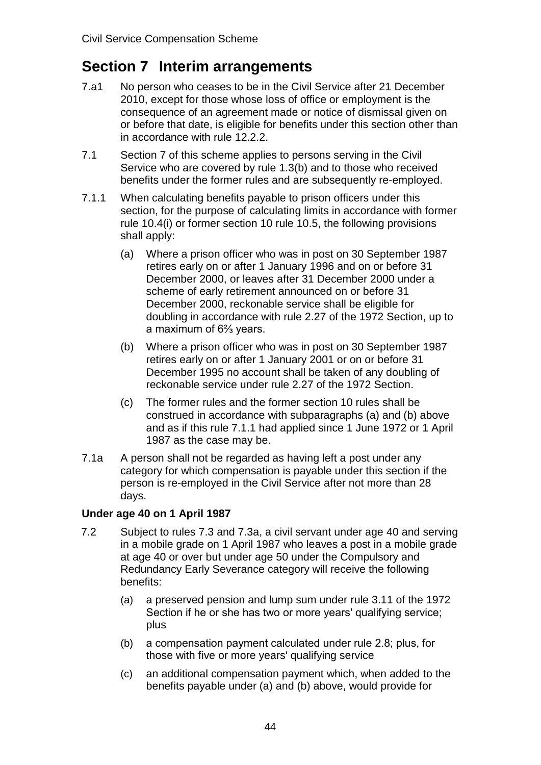# **Section 7 Interim arrangements**

- 7.a1 No person who ceases to be in the Civil Service after 21 December 2010, except for those whose loss of office or employment is the consequence of an agreement made or notice of dismissal given on or before that date, is eligible for benefits under this section other than in accordance with rule 12.2.2.
- 7.1 Section 7 of this scheme applies to persons serving in the Civil Service who are covered by rule 1.3(b) and to those who received benefits under the former rules and are subsequently re-employed.
- 7.1.1 When calculating benefits payable to prison officers under this section, for the purpose of calculating limits in accordance with former rule 10.4(i) or former section 10 rule 10.5, the following provisions shall apply:
	- (a) Where a prison officer who was in post on 30 September 1987 retires early on or after 1 January 1996 and on or before 31 December 2000, or leaves after 31 December 2000 under a scheme of early retirement announced on or before 31 December 2000, reckonable service shall be eligible for doubling in accordance with rule 2.27 of the 1972 Section, up to a maximum of 6⅔ years.
	- (b) Where a prison officer who was in post on 30 September 1987 retires early on or after 1 January 2001 or on or before 31 December 1995 no account shall be taken of any doubling of reckonable service under rule 2.27 of the 1972 Section.
	- (c) The former rules and the former section 10 rules shall be construed in accordance with subparagraphs (a) and (b) above and as if this rule 7.1.1 had applied since 1 June 1972 or 1 April 1987 as the case may be.
- 7.1a A person shall not be regarded as having left a post under any category for which compensation is payable under this section if the person is re-employed in the Civil Service after not more than 28 days.

# **Under age 40 on 1 April 1987**

- 7.2 Subject to rules 7.3 and 7.3a, a civil servant under age 40 and serving in a mobile grade on 1 April 1987 who leaves a post in a mobile grade at age 40 or over but under age 50 under the Compulsory and Redundancy Early Severance category will receive the following benefits:
	- (a) a preserved pension and lump sum under rule 3.11 of the 1972 Section if he or she has two or more years' qualifying service; plus
	- (b) a compensation payment calculated under rule 2.8; plus, for those with five or more years' qualifying service
	- (c) an additional compensation payment which, when added to the benefits payable under (a) and (b) above, would provide for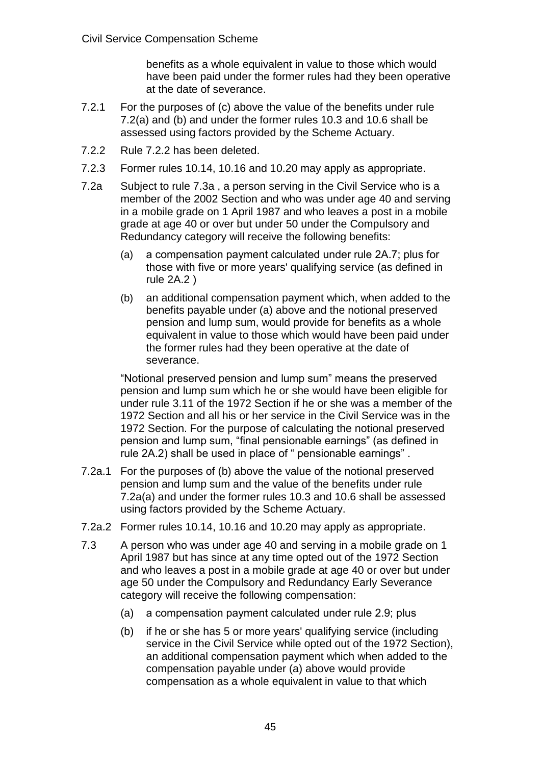benefits as a whole equivalent in value to those which would have been paid under the former rules had they been operative at the date of severance.

- 7.2.1 For the purposes of (c) above the value of the benefits under rule 7.2(a) and (b) and under the former rules 10.3 and 10.6 shall be assessed using factors provided by the Scheme Actuary.
- 7.2.2 Rule 7.2.2 has been deleted.
- 7.2.3 Former rules 10.14, 10.16 and 10.20 may apply as appropriate.
- 7.2a Subject to rule 7.3a , a person serving in the Civil Service who is a member of the 2002 Section and who was under age 40 and serving in a mobile grade on 1 April 1987 and who leaves a post in a mobile grade at age 40 or over but under 50 under the Compulsory and Redundancy category will receive the following benefits:
	- (a) a compensation payment calculated under rule 2A.7; plus for those with five or more years' qualifying service (as defined in rule 2A.2 )
	- (b) an additional compensation payment which, when added to the benefits payable under (a) above and the notional preserved pension and lump sum, would provide for benefits as a whole equivalent in value to those which would have been paid under the former rules had they been operative at the date of severance.

"Notional preserved pension and lump sum" means the preserved pension and lump sum which he or she would have been eligible for under rule 3.11 of the 1972 Section if he or she was a member of the 1972 Section and all his or her service in the Civil Service was in the 1972 Section. For the purpose of calculating the notional preserved pension and lump sum, "final pensionable earnings" (as defined in rule 2A.2) shall be used in place of " pensionable earnings" .

- 7.2a.1 For the purposes of (b) above the value of the notional preserved pension and lump sum and the value of the benefits under rule 7.2a(a) and under the former rules 10.3 and 10.6 shall be assessed using factors provided by the Scheme Actuary.
- 7.2a.2 Former rules 10.14, 10.16 and 10.20 may apply as appropriate.
- 7.3 A person who was under age 40 and serving in a mobile grade on 1 April 1987 but has since at any time opted out of the 1972 Section and who leaves a post in a mobile grade at age 40 or over but under age 50 under the Compulsory and Redundancy Early Severance category will receive the following compensation:
	- (a) a compensation payment calculated under rule 2.9; plus
	- (b) if he or she has 5 or more years' qualifying service (including service in the Civil Service while opted out of the 1972 Section), an additional compensation payment which when added to the compensation payable under (a) above would provide compensation as a whole equivalent in value to that which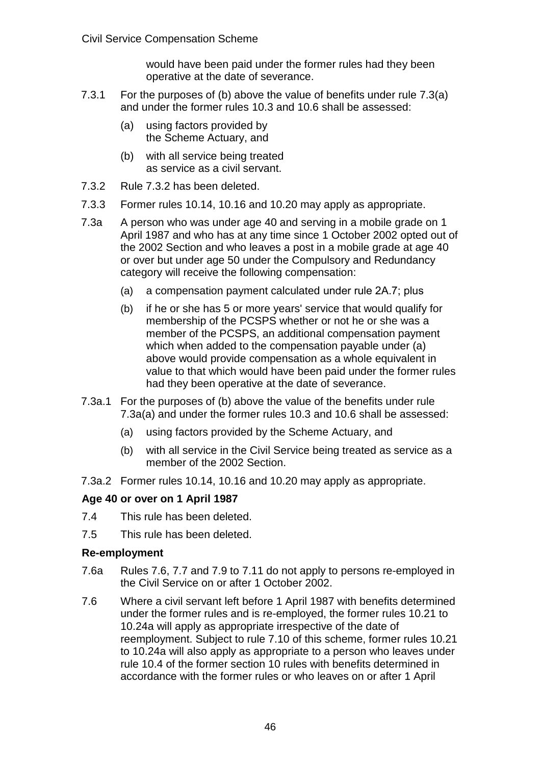would have been paid under the former rules had they been operative at the date of severance.

- 7.3.1 For the purposes of (b) above the value of benefits under rule 7.3(a) and under the former rules 10.3 and 10.6 shall be assessed:
	- (a) using factors provided by the Scheme Actuary, and
	- (b) with all service being treated as service as a civil servant.
- 7.3.2 Rule 7.3.2 has been deleted.
- 7.3.3 Former rules 10.14, 10.16 and 10.20 may apply as appropriate.
- 7.3a A person who was under age 40 and serving in a mobile grade on 1 April 1987 and who has at any time since 1 October 2002 opted out of the 2002 Section and who leaves a post in a mobile grade at age 40 or over but under age 50 under the Compulsory and Redundancy category will receive the following compensation:
	- (a) a compensation payment calculated under rule 2A.7; plus
	- (b) if he or she has 5 or more years' service that would qualify for membership of the PCSPS whether or not he or she was a member of the PCSPS, an additional compensation payment which when added to the compensation payable under (a) above would provide compensation as a whole equivalent in value to that which would have been paid under the former rules had they been operative at the date of severance.
- 7.3a.1 For the purposes of (b) above the value of the benefits under rule 7.3a(a) and under the former rules 10.3 and 10.6 shall be assessed:
	- (a) using factors provided by the Scheme Actuary, and
	- (b) with all service in the Civil Service being treated as service as a member of the 2002 Section.
- 7.3a.2 Former rules 10.14, 10.16 and 10.20 may apply as appropriate.

## **Age 40 or over on 1 April 1987**

- 7.4 This rule has been deleted.
- 7.5 This rule has been deleted.

## **Re-employment**

- 7.6a Rules 7.6, 7.7 and 7.9 to 7.11 do not apply to persons re-employed in the Civil Service on or after 1 October 2002.
- 7.6 Where a civil servant left before 1 April 1987 with benefits determined under the former rules and is re-employed, the former rules 10.21 to 10.24a will apply as appropriate irrespective of the date of reemployment. Subject to rule 7.10 of this scheme, former rules 10.21 to 10.24a will also apply as appropriate to a person who leaves under rule 10.4 of the former section 10 rules with benefits determined in accordance with the former rules or who leaves on or after 1 April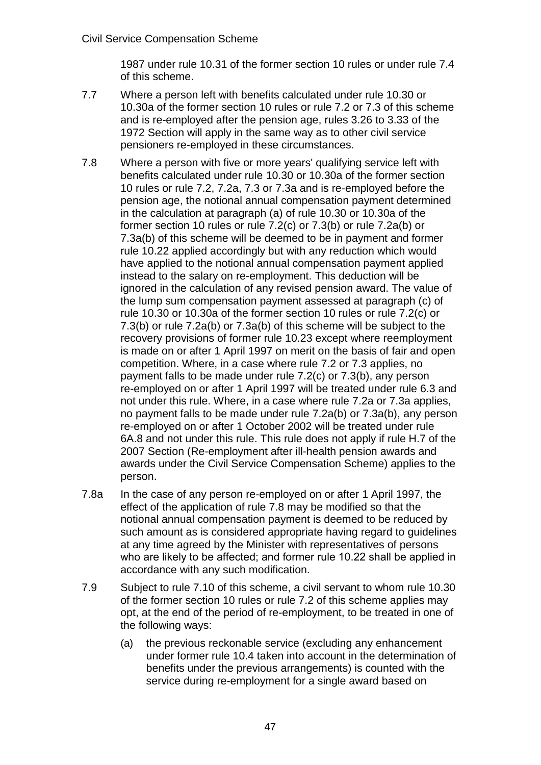1987 under rule 10.31 of the former section 10 rules or under rule 7.4 of this scheme.

- 7.7 Where a person left with benefits calculated under rule 10.30 or 10.30a of the former section 10 rules or rule 7.2 or 7.3 of this scheme and is re-employed after the pension age, rules 3.26 to 3.33 of the 1972 Section will apply in the same way as to other civil service pensioners re-employed in these circumstances.
- 7.8 Where a person with five or more years' qualifying service left with benefits calculated under rule 10.30 or 10.30a of the former section 10 rules or rule 7.2, 7.2a, 7.3 or 7.3a and is re-employed before the pension age, the notional annual compensation payment determined in the calculation at paragraph (a) of rule 10.30 or 10.30a of the former section 10 rules or rule 7.2(c) or 7.3(b) or rule 7.2a(b) or 7.3a(b) of this scheme will be deemed to be in payment and former rule 10.22 applied accordingly but with any reduction which would have applied to the notional annual compensation payment applied instead to the salary on re-employment. This deduction will be ignored in the calculation of any revised pension award. The value of the lump sum compensation payment assessed at paragraph (c) of rule 10.30 or 10.30a of the former section 10 rules or rule 7.2(c) or 7.3(b) or rule 7.2a(b) or 7.3a(b) of this scheme will be subject to the recovery provisions of former rule 10.23 except where reemployment is made on or after 1 April 1997 on merit on the basis of fair and open competition. Where, in a case where rule 7.2 or 7.3 applies, no payment falls to be made under rule 7.2(c) or 7.3(b), any person re-employed on or after 1 April 1997 will be treated under rule 6.3 and not under this rule. Where, in a case where rule 7.2a or 7.3a applies, no payment falls to be made under rule 7.2a(b) or 7.3a(b), any person re-employed on or after 1 October 2002 will be treated under rule 6A.8 and not under this rule. This rule does not apply if rule H.7 of the 2007 Section (Re-employment after ill-health pension awards and awards under the Civil Service Compensation Scheme) applies to the person.
- 7.8a In the case of any person re-employed on or after 1 April 1997, the effect of the application of rule 7.8 may be modified so that the notional annual compensation payment is deemed to be reduced by such amount as is considered appropriate having regard to quidelines at any time agreed by the Minister with representatives of persons who are likely to be affected; and former rule 10.22 shall be applied in accordance with any such modification.
- 7.9 Subject to rule 7.10 of this scheme, a civil servant to whom rule 10.30 of the former section 10 rules or rule 7.2 of this scheme applies may opt, at the end of the period of re-employment, to be treated in one of the following ways:
	- (a) the previous reckonable service (excluding any enhancement under former rule 10.4 taken into account in the determination of benefits under the previous arrangements) is counted with the service during re-employment for a single award based on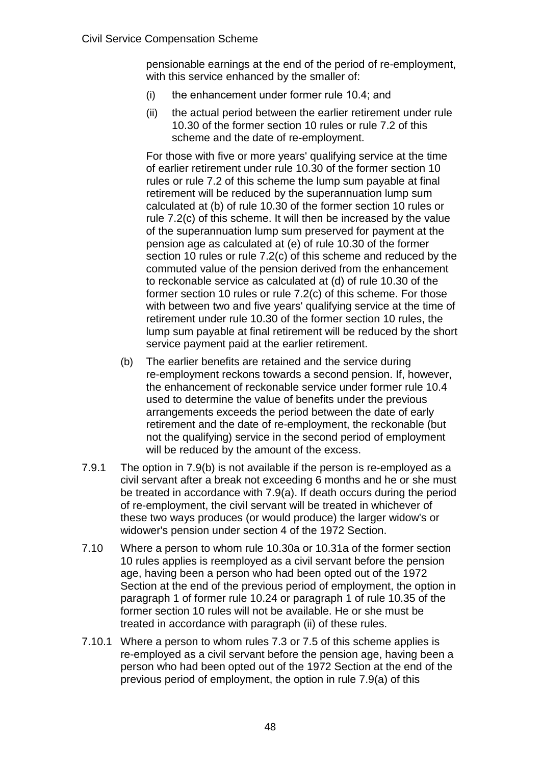pensionable earnings at the end of the period of re-employment, with this service enhanced by the smaller of:

- (i) the enhancement under former rule 10.4; and
- (ii) the actual period between the earlier retirement under rule 10.30 of the former section 10 rules or rule 7.2 of this scheme and the date of re-employment.

For those with five or more years' qualifying service at the time of earlier retirement under rule 10.30 of the former section 10 rules or rule 7.2 of this scheme the lump sum payable at final retirement will be reduced by the superannuation lump sum calculated at (b) of rule 10.30 of the former section 10 rules or rule 7.2(c) of this scheme. It will then be increased by the value of the superannuation lump sum preserved for payment at the pension age as calculated at (e) of rule 10.30 of the former section 10 rules or rule 7.2(c) of this scheme and reduced by the commuted value of the pension derived from the enhancement to reckonable service as calculated at (d) of rule 10.30 of the former section 10 rules or rule 7.2(c) of this scheme. For those with between two and five years' qualifying service at the time of retirement under rule 10.30 of the former section 10 rules, the lump sum payable at final retirement will be reduced by the short service payment paid at the earlier retirement.

- (b) The earlier benefits are retained and the service during re-employment reckons towards a second pension. If, however, the enhancement of reckonable service under former rule 10.4 used to determine the value of benefits under the previous arrangements exceeds the period between the date of early retirement and the date of re-employment, the reckonable (but not the qualifying) service in the second period of employment will be reduced by the amount of the excess.
- 7.9.1 The option in 7.9(b) is not available if the person is re-employed as a civil servant after a break not exceeding 6 months and he or she must be treated in accordance with 7.9(a). If death occurs during the period of re-employment, the civil servant will be treated in whichever of these two ways produces (or would produce) the larger widow's or widower's pension under section 4 of the 1972 Section.
- 7.10 Where a person to whom rule 10.30a or 10.31a of the former section 10 rules applies is reemployed as a civil servant before the pension age, having been a person who had been opted out of the 1972 Section at the end of the previous period of employment, the option in paragraph 1 of former rule 10.24 or paragraph 1 of rule 10.35 of the former section 10 rules will not be available. He or she must be treated in accordance with paragraph (ii) of these rules.
- 7.10.1 Where a person to whom rules 7.3 or 7.5 of this scheme applies is re-employed as a civil servant before the pension age, having been a person who had been opted out of the 1972 Section at the end of the previous period of employment, the option in rule 7.9(a) of this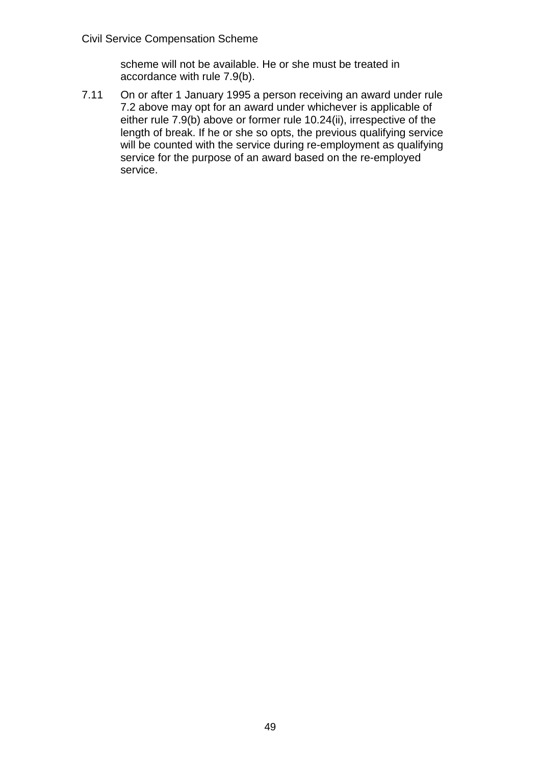scheme will not be available. He or she must be treated in accordance with rule 7.9(b).

7.11 On or after 1 January 1995 a person receiving an award under rule 7.2 above may opt for an award under whichever is applicable of either rule 7.9(b) above or former rule 10.24(ii), irrespective of the length of break. If he or she so opts, the previous qualifying service will be counted with the service during re-employment as qualifying service for the purpose of an award based on the re-employed service.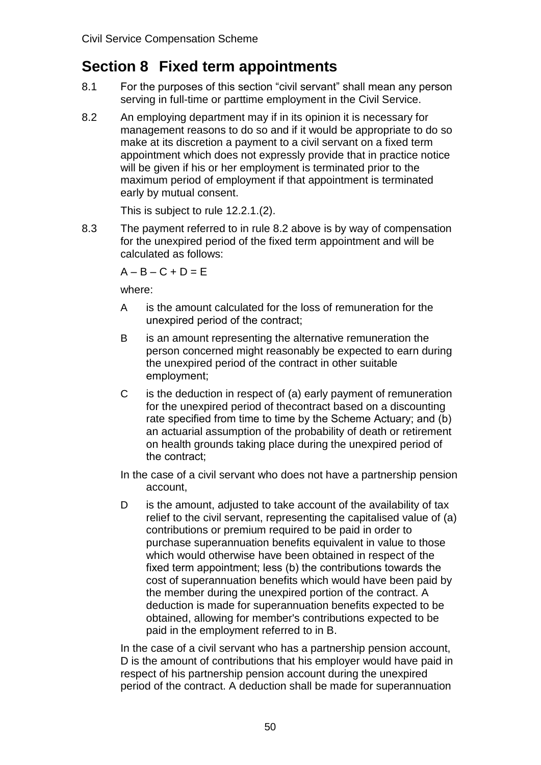# **Section 8 Fixed term appointments**

- 8.1 For the purposes of this section "civil servant" shall mean any person serving in full-time or parttime employment in the Civil Service.
- 8.2 An employing department may if in its opinion it is necessary for management reasons to do so and if it would be appropriate to do so make at its discretion a payment to a civil servant on a fixed term appointment which does not expressly provide that in practice notice will be given if his or her employment is terminated prior to the maximum period of employment if that appointment is terminated early by mutual consent.

This is subject to rule 12.2.1.(2).

8.3 The payment referred to in rule 8.2 above is by way of compensation for the unexpired period of the fixed term appointment and will be calculated as follows:

 $A - B - C + D = E$ 

where:

- A is the amount calculated for the loss of remuneration for the unexpired period of the contract;
- B is an amount representing the alternative remuneration the person concerned might reasonably be expected to earn during the unexpired period of the contract in other suitable employment;
- C is the deduction in respect of (a) early payment of remuneration for the unexpired period of thecontract based on a discounting rate specified from time to time by the Scheme Actuary; and (b) an actuarial assumption of the probability of death or retirement on health grounds taking place during the unexpired period of the contract;
- In the case of a civil servant who does not have a partnership pension account,
- D is the amount, adjusted to take account of the availability of tax relief to the civil servant, representing the capitalised value of (a) contributions or premium required to be paid in order to purchase superannuation benefits equivalent in value to those which would otherwise have been obtained in respect of the fixed term appointment; less (b) the contributions towards the cost of superannuation benefits which would have been paid by the member during the unexpired portion of the contract. A deduction is made for superannuation benefits expected to be obtained, allowing for member's contributions expected to be paid in the employment referred to in B.

In the case of a civil servant who has a partnership pension account, D is the amount of contributions that his employer would have paid in respect of his partnership pension account during the unexpired period of the contract. A deduction shall be made for superannuation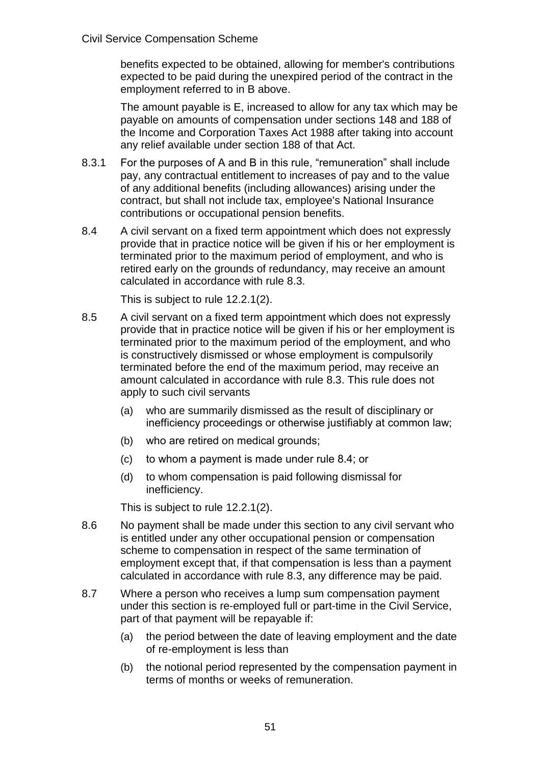benefits expected to be obtained, allowing for member's contributions expected to be paid during the unexpired period of the contract in the employment referred to in B above.

The amount payable is E, increased to allow for any tax which may be payable on amounts of compensation under sections 148 and 188 of the Income and Corporation Taxes Act 1988 after taking into account any relief available under section 188 of that Act.

- 8.3.1 For the purposes of A and B in this rule, "remuneration" shall include pay, any contractual entitlement to increases of pay and to the value of any additional benefits (including allowances) arising under the contract, but shall not include tax, employee's National Insurance contributions or occupational pension benefits.
- 8.4 A civil servant on a fixed term appointment which does not expressly provide that in practice notice will be given if his or her employment is terminated prior to the maximum period of employment, and who is retired early on the grounds of redundancy, may receive an amount calculated in accordance with rule 8.3.

This is subject to rule 12.2.1(2).

- 8.5 A civil servant on a fixed term appointment which does not expressly provide that in practice notice will be given if his or her employment is terminated prior to the maximum period of the employment, and who is constructively dismissed or whose employment is compulsorily terminated before the end of the maximum period, may receive an amount calculated in accordance with rule 8.3. This rule does not apply to such civil servants
	- (a) who are summarily dismissed as the result of disciplinary or inefficiency proceedings or otherwise justifiably at common law;
	- (b) who are retired on medical grounds;
	- (c) to whom a payment is made under rule 8.4; or
	- (d) to whom compensation is paid following dismissal for inefficiency.

This is subject to rule 12.2.1(2).

- 8.6 No payment shall be made under this section to any civil servant who is entitled under any other occupational pension or compensation scheme to compensation in respect of the same termination of employment except that, if that compensation is less than a payment calculated in accordance with rule 8.3, any difference may be paid.
- 8.7 Where a person who receives a lump sum compensation payment under this section is re-employed full or part-time in the Civil Service, part of that payment will be repayable if:
	- (a) the period between the date of leaving employment and the date of re-employment is less than
	- (b) the notional period represented by the compensation payment in terms of months or weeks of remuneration.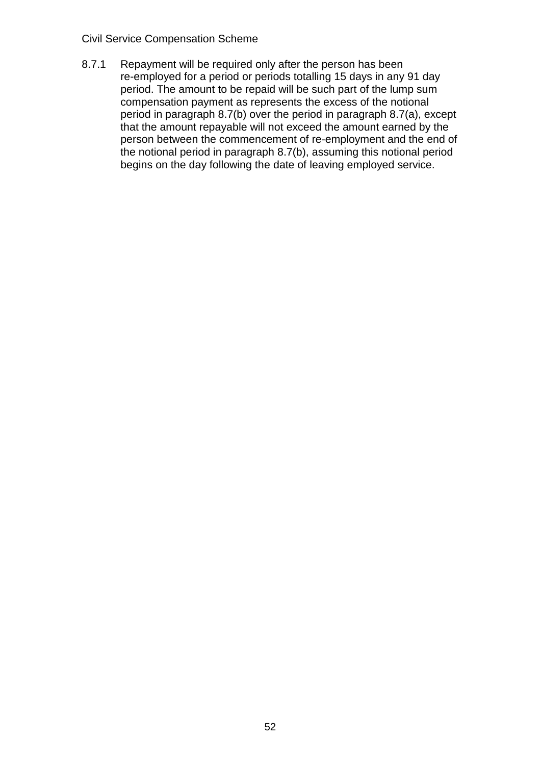#### Civil Service Compensation Scheme

8.7.1 Repayment will be required only after the person has been re-employed for a period or periods totalling 15 days in any 91 day period. The amount to be repaid will be such part of the lump sum compensation payment as represents the excess of the notional period in paragraph 8.7(b) over the period in paragraph 8.7(a), except that the amount repayable will not exceed the amount earned by the person between the commencement of re-employment and the end of the notional period in paragraph 8.7(b), assuming this notional period begins on the day following the date of leaving employed service.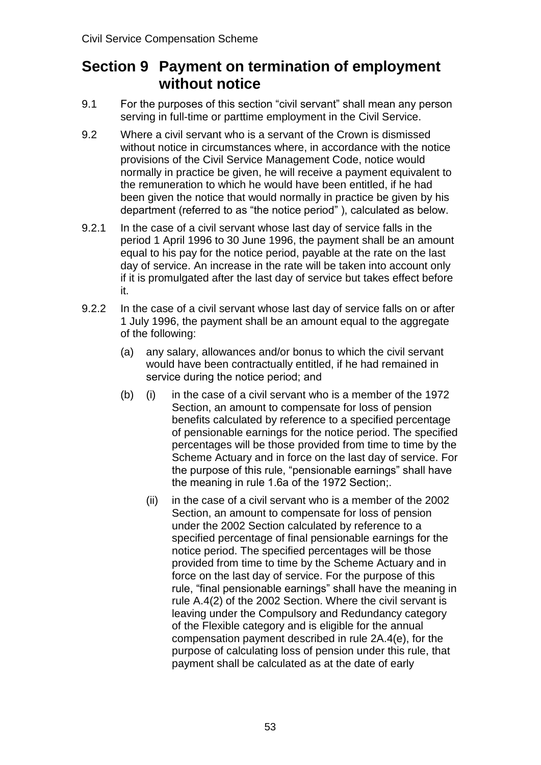# **Section 9 Payment on termination of employment without notice**

- 9.1 For the purposes of this section "civil servant" shall mean any person serving in full-time or parttime employment in the Civil Service.
- 9.2 Where a civil servant who is a servant of the Crown is dismissed without notice in circumstances where, in accordance with the notice provisions of the Civil Service Management Code, notice would normally in practice be given, he will receive a payment equivalent to the remuneration to which he would have been entitled, if he had been given the notice that would normally in practice be given by his department (referred to as "the notice period" ), calculated as below.
- 9.2.1 In the case of a civil servant whose last day of service falls in the period 1 April 1996 to 30 June 1996, the payment shall be an amount equal to his pay for the notice period, payable at the rate on the last day of service. An increase in the rate will be taken into account only if it is promulgated after the last day of service but takes effect before it.
- 9.2.2 In the case of a civil servant whose last day of service falls on or after 1 July 1996, the payment shall be an amount equal to the aggregate of the following:
	- (a) any salary, allowances and/or bonus to which the civil servant would have been contractually entitled, if he had remained in service during the notice period; and
	- (b) (i) in the case of a civil servant who is a member of the 1972 Section, an amount to compensate for loss of pension benefits calculated by reference to a specified percentage of pensionable earnings for the notice period. The specified percentages will be those provided from time to time by the Scheme Actuary and in force on the last day of service. For the purpose of this rule, "pensionable earnings" shall have the meaning in rule 1.6a of the 1972 Section;.
		- (ii) in the case of a civil servant who is a member of the 2002 Section, an amount to compensate for loss of pension under the 2002 Section calculated by reference to a specified percentage of final pensionable earnings for the notice period. The specified percentages will be those provided from time to time by the Scheme Actuary and in force on the last day of service. For the purpose of this rule, "final pensionable earnings" shall have the meaning in rule A.4(2) of the 2002 Section. Where the civil servant is leaving under the Compulsory and Redundancy category of the Flexible category and is eligible for the annual compensation payment described in rule 2A.4(e), for the purpose of calculating loss of pension under this rule, that payment shall be calculated as at the date of early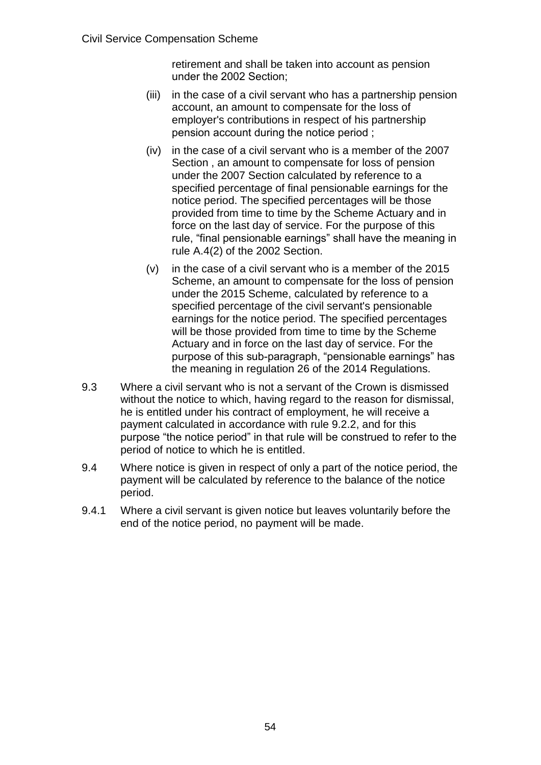retirement and shall be taken into account as pension under the 2002 Section;

- (iii) in the case of a civil servant who has a partnership pension account, an amount to compensate for the loss of employer's contributions in respect of his partnership pension account during the notice period ;
- (iv) in the case of a civil servant who is a member of the 2007 Section , an amount to compensate for loss of pension under the 2007 Section calculated by reference to a specified percentage of final pensionable earnings for the notice period. The specified percentages will be those provided from time to time by the Scheme Actuary and in force on the last day of service. For the purpose of this rule, "final pensionable earnings" shall have the meaning in rule A.4(2) of the 2002 Section.
- (v) in the case of a civil servant who is a member of the 2015 Scheme, an amount to compensate for the loss of pension under the 2015 Scheme, calculated by reference to a specified percentage of the civil servant's pensionable earnings for the notice period. The specified percentages will be those provided from time to time by the Scheme Actuary and in force on the last day of service. For the purpose of this sub-paragraph, "pensionable earnings" has the meaning in regulation 26 of the 2014 Regulations.
- 9.3 Where a civil servant who is not a servant of the Crown is dismissed without the notice to which, having regard to the reason for dismissal, he is entitled under his contract of employment, he will receive a payment calculated in accordance with rule 9.2.2, and for this purpose "the notice period" in that rule will be construed to refer to the period of notice to which he is entitled.
- 9.4 Where notice is given in respect of only a part of the notice period, the payment will be calculated by reference to the balance of the notice period.
- 9.4.1 Where a civil servant is given notice but leaves voluntarily before the end of the notice period, no payment will be made.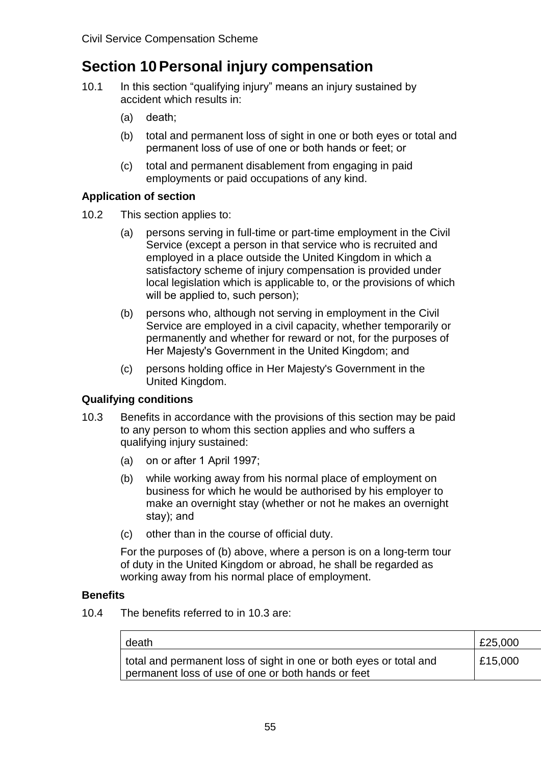# **Section 10Personal injury compensation**

- 10.1 In this section "qualifying injury" means an injury sustained by accident which results in:
	- (a) death;
	- (b) total and permanent loss of sight in one or both eyes or total and permanent loss of use of one or both hands or feet; or
	- (c) total and permanent disablement from engaging in paid employments or paid occupations of any kind.

#### **Application of section**

- 10.2 This section applies to:
	- (a) persons serving in full-time or part-time employment in the Civil Service (except a person in that service who is recruited and employed in a place outside the United Kingdom in which a satisfactory scheme of injury compensation is provided under local legislation which is applicable to, or the provisions of which will be applied to, such person);
	- (b) persons who, although not serving in employment in the Civil Service are employed in a civil capacity, whether temporarily or permanently and whether for reward or not, for the purposes of Her Majesty's Government in the United Kingdom; and
	- (c) persons holding office in Her Majesty's Government in the United Kingdom.

## **Qualifying conditions**

- 10.3 Benefits in accordance with the provisions of this section may be paid to any person to whom this section applies and who suffers a qualifying injury sustained:
	- (a) on or after 1 April 1997;
	- (b) while working away from his normal place of employment on business for which he would be authorised by his employer to make an overnight stay (whether or not he makes an overnight stay); and
	- (c) other than in the course of official duty.

For the purposes of (b) above, where a person is on a long-term tour of duty in the United Kingdom or abroad, he shall be regarded as working away from his normal place of employment.

#### **Benefits**

10.4 The benefits referred to in 10.3 are:

| death                                                                                                                    | E25,000 |
|--------------------------------------------------------------------------------------------------------------------------|---------|
| total and permanent loss of sight in one or both eyes or total and<br>permanent loss of use of one or both hands or feet | £15,000 |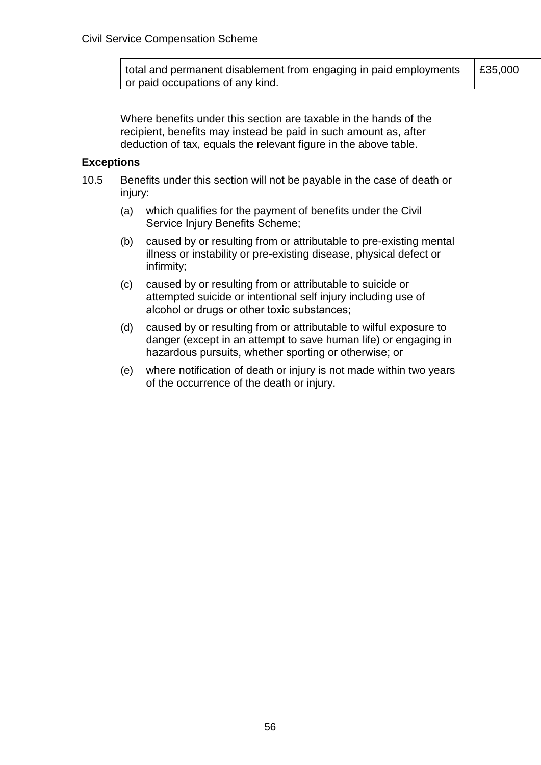total and permanent disablement from engaging in paid employments or paid occupations of any kind. £35,000

Where benefits under this section are taxable in the hands of the recipient, benefits may instead be paid in such amount as, after deduction of tax, equals the relevant figure in the above table.

#### **Exceptions**

- 10.5 Benefits under this section will not be payable in the case of death or injury:
	- (a) which qualifies for the payment of benefits under the Civil Service Injury Benefits Scheme;
	- (b) caused by or resulting from or attributable to pre-existing mental illness or instability or pre-existing disease, physical defect or infirmity;
	- (c) caused by or resulting from or attributable to suicide or attempted suicide or intentional self injury including use of alcohol or drugs or other toxic substances;
	- (d) caused by or resulting from or attributable to wilful exposure to danger (except in an attempt to save human life) or engaging in hazardous pursuits, whether sporting or otherwise; or
	- (e) where notification of death or injury is not made within two years of the occurrence of the death or injury.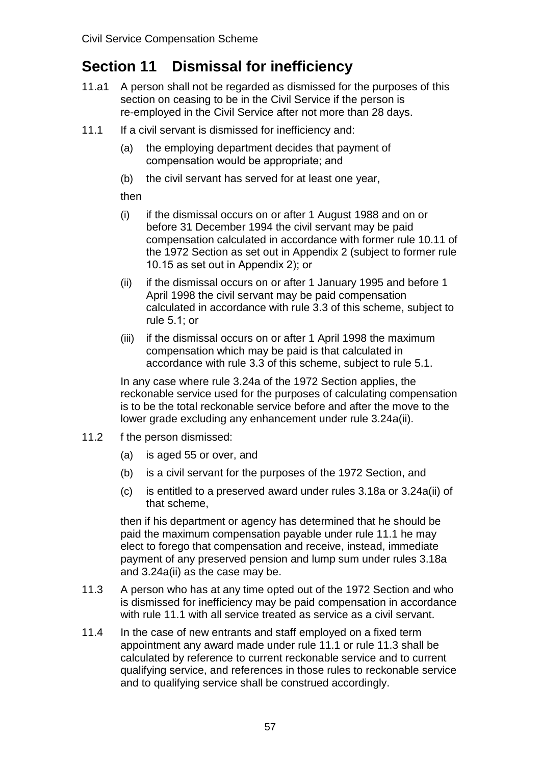# **Section 11 Dismissal for inefficiency**

- 11.a1 A person shall not be regarded as dismissed for the purposes of this section on ceasing to be in the Civil Service if the person is re-employed in the Civil Service after not more than 28 days.
- 11.1 If a civil servant is dismissed for inefficiency and:
	- (a) the employing department decides that payment of compensation would be appropriate; and
	- (b) the civil servant has served for at least one year,

#### then

- (i) if the dismissal occurs on or after 1 August 1988 and on or before 31 December 1994 the civil servant may be paid compensation calculated in accordance with former rule 10.11 of the 1972 Section as set out in Appendix 2 (subject to former rule 10.15 as set out in Appendix 2); or
- (ii) if the dismissal occurs on or after 1 January 1995 and before 1 April 1998 the civil servant may be paid compensation calculated in accordance with rule 3.3 of this scheme, subject to rule 5.1; or
- (iii) if the dismissal occurs on or after 1 April 1998 the maximum compensation which may be paid is that calculated in accordance with rule 3.3 of this scheme, subject to rule 5.1.

In any case where rule 3.24a of the 1972 Section applies, the reckonable service used for the purposes of calculating compensation is to be the total reckonable service before and after the move to the lower grade excluding any enhancement under rule 3.24a(ii).

- 11.2 f the person dismissed:
	- (a) is aged 55 or over, and
	- (b) is a civil servant for the purposes of the 1972 Section, and
	- (c) is entitled to a preserved award under rules 3.18a or 3.24a(ii) of that scheme,

then if his department or agency has determined that he should be paid the maximum compensation payable under rule 11.1 he may elect to forego that compensation and receive, instead, immediate payment of any preserved pension and lump sum under rules 3.18a and 3.24a(ii) as the case may be.

- 11.3 A person who has at any time opted out of the 1972 Section and who is dismissed for inefficiency may be paid compensation in accordance with rule 11.1 with all service treated as service as a civil servant.
- 11.4 In the case of new entrants and staff employed on a fixed term appointment any award made under rule 11.1 or rule 11.3 shall be calculated by reference to current reckonable service and to current qualifying service, and references in those rules to reckonable service and to qualifying service shall be construed accordingly.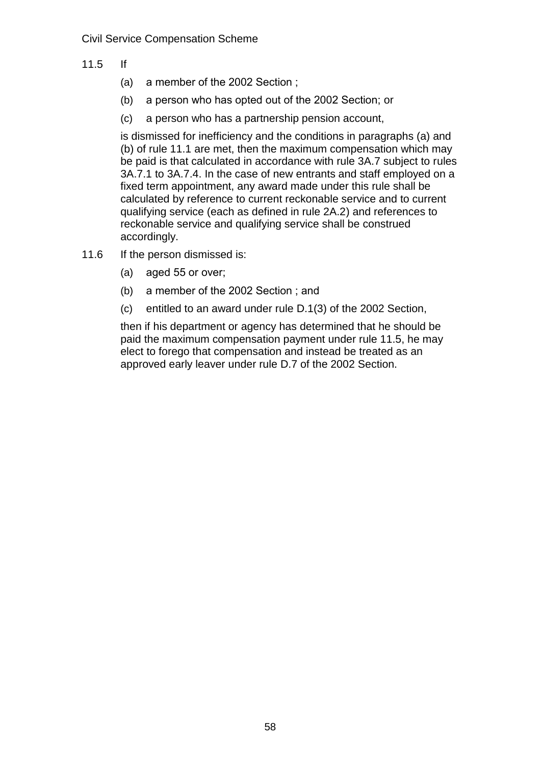- 11.5 If
	- (a) a member of the 2002 Section ;
	- (b) a person who has opted out of the 2002 Section; or
	- (c) a person who has a partnership pension account,

is dismissed for inefficiency and the conditions in paragraphs (a) and (b) of rule 11.1 are met, then the maximum compensation which may be paid is that calculated in accordance with rule 3A.7 subject to rules 3A.7.1 to 3A.7.4. In the case of new entrants and staff employed on a fixed term appointment, any award made under this rule shall be calculated by reference to current reckonable service and to current qualifying service (each as defined in rule 2A.2) and references to reckonable service and qualifying service shall be construed accordingly.

- 11.6 If the person dismissed is:
	- (a) aged 55 or over;
	- (b) a member of the 2002 Section ; and
	- (c) entitled to an award under rule D.1(3) of the 2002 Section,

then if his department or agency has determined that he should be paid the maximum compensation payment under rule 11.5, he may elect to forego that compensation and instead be treated as an approved early leaver under rule D.7 of the 2002 Section.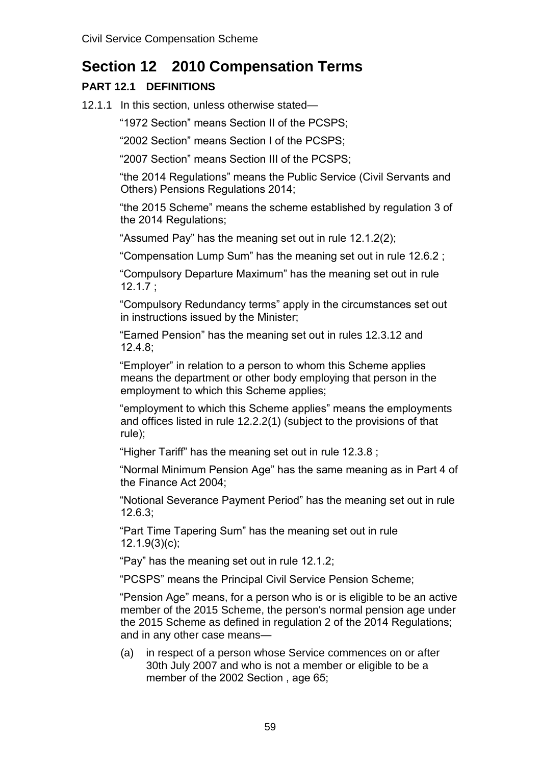# **Section 12 2010 Compensation Terms**

# **PART 12.1 DEFINITIONS**

12.1.1 In this section, unless otherwise stated—

"1972 Section" means Section II of the PCSPS;

"2002 Section" means Section I of the PCSPS;

"2007 Section" means Section III of the PCSPS;

"the 2014 Regulations" means the Public Service (Civil Servants and Others) Pensions Regulations 2014;

"the 2015 Scheme" means the scheme established by regulation 3 of the 2014 Regulations:

"Assumed Pay" has the meaning set out in rule 12.1.2(2);

"Compensation Lump Sum" has the meaning set out in rule 12.6.2 ;

"Compulsory Departure Maximum" has the meaning set out in rule 12.1.7 ;

"Compulsory Redundancy terms" apply in the circumstances set out in instructions issued by the Minister;

"Earned Pension" has the meaning set out in rules 12.3.12 and 12.4.8;

"Employer" in relation to a person to whom this Scheme applies means the department or other body employing that person in the employment to which this Scheme applies;

"employment to which this Scheme applies" means the employments and offices listed in rule 12.2.2(1) (subject to the provisions of that rule);

"Higher Tariff" has the meaning set out in rule 12.3.8 ;

"Normal Minimum Pension Age" has the same meaning as in Part 4 of the Finance Act 2004;

"Notional Severance Payment Period" has the meaning set out in rule 12.6.3;

"Part Time Tapering Sum" has the meaning set out in rule 12.1.9(3)(c);

"Pay" has the meaning set out in rule 12.1.2;

"PCSPS" means the Principal Civil Service Pension Scheme;

"Pension Age" means, for a person who is or is eligible to be an active member of the 2015 Scheme, the person's normal pension age under the 2015 Scheme as defined in regulation 2 of the 2014 Regulations; and in any other case means—

(a) in respect of a person whose Service commences on or after 30th July 2007 and who is not a member or eligible to be a member of the 2002 Section , age 65;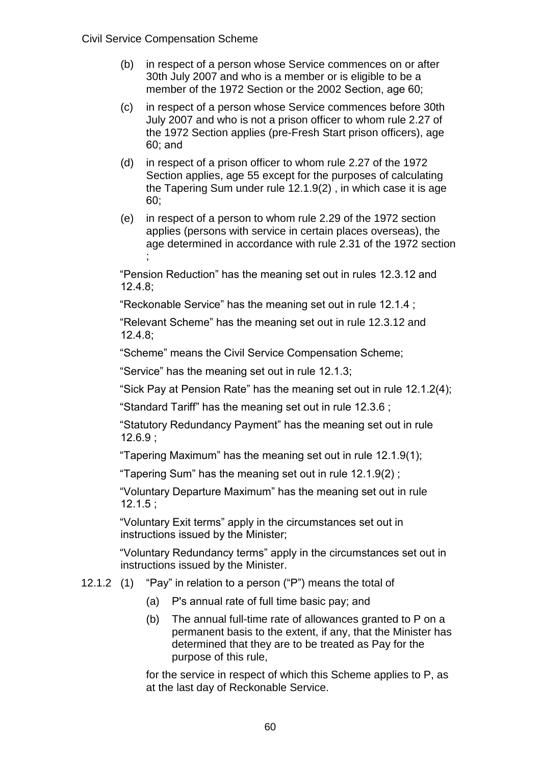- (b) in respect of a person whose Service commences on or after 30th July 2007 and who is a member or is eligible to be a member of the 1972 Section or the 2002 Section, age 60;
- (c) in respect of a person whose Service commences before 30th July 2007 and who is not a prison officer to whom rule 2.27 of the 1972 Section applies (pre-Fresh Start prison officers), age 60; and
- (d) in respect of a prison officer to whom rule 2.27 of the 1972 Section applies, age 55 except for the purposes of calculating the Tapering Sum under rule 12.1.9(2) , in which case it is age 60;
- (e) in respect of a person to whom rule 2.29 of the 1972 section applies (persons with service in certain places overseas), the age determined in accordance with rule 2.31 of the 1972 section ;

"Pension Reduction" has the meaning set out in rules 12.3.12 and 12.4.8;

"Reckonable Service" has the meaning set out in rule 12.1.4 ;

"Relevant Scheme" has the meaning set out in rule 12.3.12 and 12.4.8;

"Scheme" means the Civil Service Compensation Scheme;

"Service" has the meaning set out in rule 12.1.3;

"Sick Pay at Pension Rate" has the meaning set out in rule 12.1.2(4);

"Standard Tariff" has the meaning set out in rule 12.3.6 ;

"Statutory Redundancy Payment" has the meaning set out in rule 12.6.9 ;

"Tapering Maximum" has the meaning set out in rule 12.1.9(1);

"Tapering Sum" has the meaning set out in rule 12.1.9(2) ;

"Voluntary Departure Maximum" has the meaning set out in rule 12.1.5 ;

"Voluntary Exit terms" apply in the circumstances set out in instructions issued by the Minister;

"Voluntary Redundancy terms" apply in the circumstances set out in instructions issued by the Minister.

- 12.1.2 (1) "Pay" in relation to a person ("P") means the total of
	- (a) P's annual rate of full time basic pay; and
	- (b) The annual full-time rate of allowances granted to P on a permanent basis to the extent, if any, that the Minister has determined that they are to be treated as Pay for the purpose of this rule,

for the service in respect of which this Scheme applies to P, as at the last day of Reckonable Service.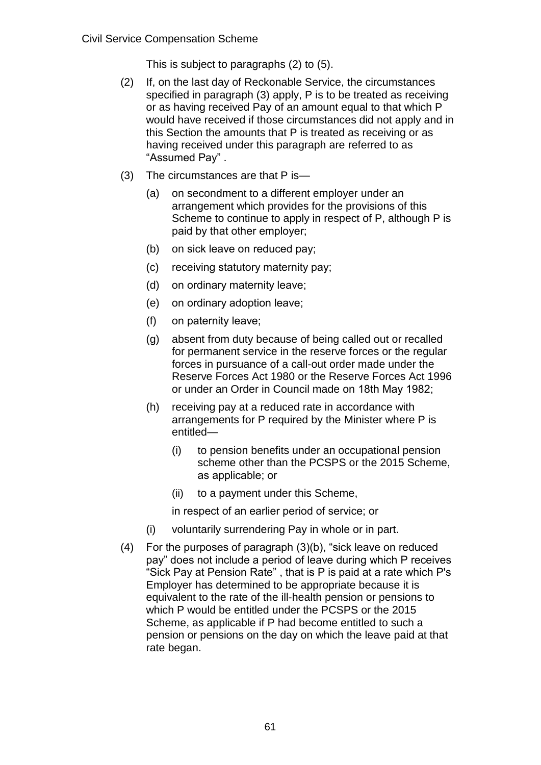This is subject to paragraphs (2) to (5).

- (2) If, on the last day of Reckonable Service, the circumstances specified in paragraph (3) apply, P is to be treated as receiving or as having received Pay of an amount equal to that which P would have received if those circumstances did not apply and in this Section the amounts that P is treated as receiving or as having received under this paragraph are referred to as "Assumed Pay" .
- (3) The circumstances are that P is—
	- (a) on secondment to a different employer under an arrangement which provides for the provisions of this Scheme to continue to apply in respect of P, although P is paid by that other employer;
	- (b) on sick leave on reduced pay;
	- (c) receiving statutory maternity pay;
	- (d) on ordinary maternity leave;
	- (e) on ordinary adoption leave;
	- (f) on paternity leave;
	- (g) absent from duty because of being called out or recalled for permanent service in the reserve forces or the regular forces in pursuance of a call-out order made under the Reserve Forces Act 1980 or the Reserve Forces Act 1996 or under an Order in Council made on 18th May 1982;
	- (h) receiving pay at a reduced rate in accordance with arrangements for P required by the Minister where P is entitled—
		- (i) to pension benefits under an occupational pension scheme other than the PCSPS or the 2015 Scheme, as applicable; or
		- (ii) to a payment under this Scheme,
		- in respect of an earlier period of service; or
	- (i) voluntarily surrendering Pay in whole or in part.
- (4) For the purposes of paragraph (3)(b), "sick leave on reduced pay" does not include a period of leave during which P receives "Sick Pay at Pension Rate" , that is P is paid at a rate which P's Employer has determined to be appropriate because it is equivalent to the rate of the ill-health pension or pensions to which P would be entitled under the PCSPS or the 2015 Scheme, as applicable if P had become entitled to such a pension or pensions on the day on which the leave paid at that rate began.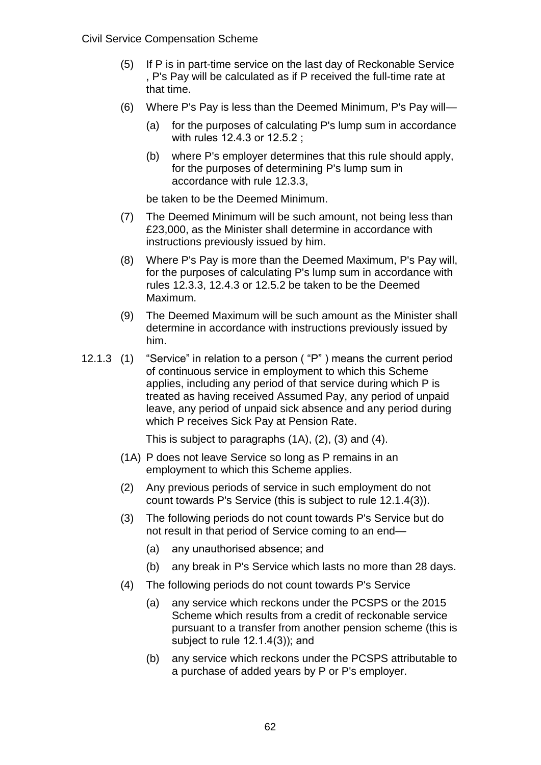Civil Service Compensation Scheme

- (5) If P is in part-time service on the last day of Reckonable Service , P's Pay will be calculated as if P received the full-time rate at that time.
- (6) Where P's Pay is less than the Deemed Minimum, P's Pay will—
	- (a) for the purposes of calculating P's lump sum in accordance with rules 12.4.3 or 12.5.2 ;
	- (b) where P's employer determines that this rule should apply, for the purposes of determining P's lump sum in accordance with rule 12.3.3,

be taken to be the Deemed Minimum.

- (7) The Deemed Minimum will be such amount, not being less than £23,000, as the Minister shall determine in accordance with instructions previously issued by him.
- (8) Where P's Pay is more than the Deemed Maximum, P's Pay will, for the purposes of calculating P's lump sum in accordance with rules 12.3.3, 12.4.3 or 12.5.2 be taken to be the Deemed Maximum.
- (9) The Deemed Maximum will be such amount as the Minister shall determine in accordance with instructions previously issued by him.
- 12.1.3 (1) "Service" in relation to a person ( "P" ) means the current period of continuous service in employment to which this Scheme applies, including any period of that service during which P is treated as having received Assumed Pay, any period of unpaid leave, any period of unpaid sick absence and any period during which P receives Sick Pay at Pension Rate.

This is subject to paragraphs (1A), (2), (3) and (4).

- (1A) P does not leave Service so long as P remains in an employment to which this Scheme applies.
- (2) Any previous periods of service in such employment do not count towards P's Service (this is subject to rule 12.1.4(3)).
- (3) The following periods do not count towards P's Service but do not result in that period of Service coming to an end—
	- (a) any unauthorised absence; and
	- (b) any break in P's Service which lasts no more than 28 days.
- (4) The following periods do not count towards P's Service
	- (a) any service which reckons under the PCSPS or the 2015 Scheme which results from a credit of reckonable service pursuant to a transfer from another pension scheme (this is subject to rule 12.1.4(3)); and
	- (b) any service which reckons under the PCSPS attributable to a purchase of added years by P or P's employer.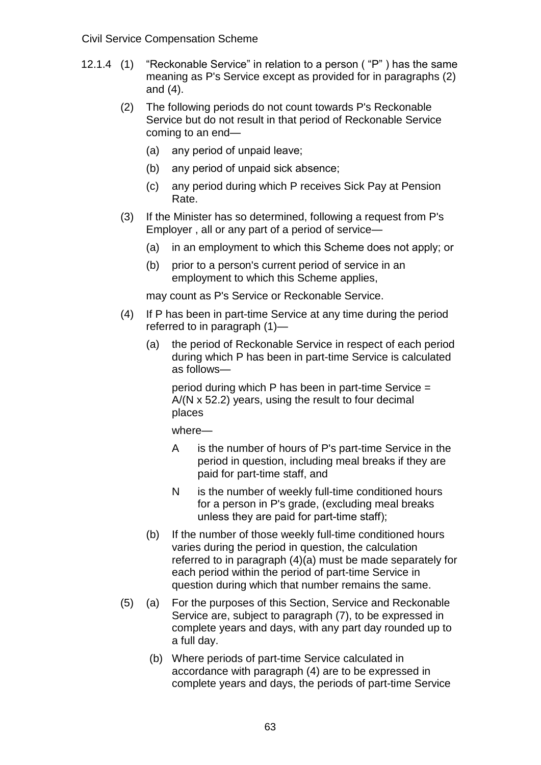#### Civil Service Compensation Scheme

- 12.1.4 (1) "Reckonable Service" in relation to a person ( "P" ) has the same meaning as P's Service except as provided for in paragraphs (2) and (4).
	- (2) The following periods do not count towards P's Reckonable Service but do not result in that period of Reckonable Service coming to an end—
		- (a) any period of unpaid leave;
		- (b) any period of unpaid sick absence;
		- (c) any period during which P receives Sick Pay at Pension Rate.
	- (3) If the Minister has so determined, following a request from P's Employer , all or any part of a period of service—
		- (a) in an employment to which this Scheme does not apply; or
		- (b) prior to a person's current period of service in an employment to which this Scheme applies,

may count as P's Service or Reckonable Service.

- (4) If P has been in part-time Service at any time during the period referred to in paragraph (1)—
	- (a) the period of Reckonable Service in respect of each period during which P has been in part-time Service is calculated as follows—

period during which P has been in part-time Service = A/(N x 52.2) years, using the result to four decimal places

- A is the number of hours of P's part-time Service in the period in question, including meal breaks if they are paid for part-time staff, and
- N is the number of weekly full-time conditioned hours for a person in P's grade, (excluding meal breaks unless they are paid for part-time staff);
- (b) If the number of those weekly full-time conditioned hours varies during the period in question, the calculation referred to in paragraph (4)(a) must be made separately for each period within the period of part-time Service in question during which that number remains the same.
- (5) (a) For the purposes of this Section, Service and Reckonable Service are, subject to paragraph (7), to be expressed in complete years and days, with any part day rounded up to a full day.
	- (b) Where periods of part-time Service calculated in accordance with paragraph (4) are to be expressed in complete years and days, the periods of part-time Service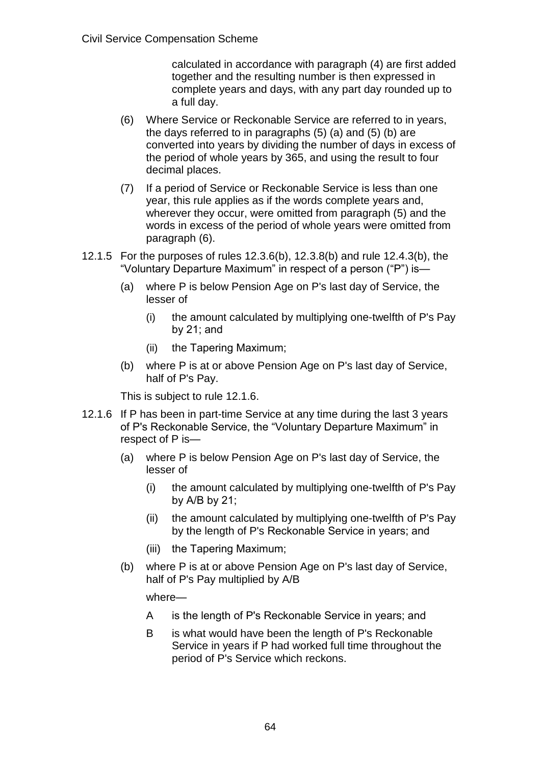calculated in accordance with paragraph (4) are first added together and the resulting number is then expressed in complete years and days, with any part day rounded up to a full day.

- (6) Where Service or Reckonable Service are referred to in years, the days referred to in paragraphs (5) (a) and (5) (b) are converted into years by dividing the number of days in excess of the period of whole years by 365, and using the result to four decimal places.
- (7) If a period of Service or Reckonable Service is less than one year, this rule applies as if the words complete years and, wherever they occur, were omitted from paragraph (5) and the words in excess of the period of whole years were omitted from paragraph (6).
- 12.1.5 For the purposes of rules 12.3.6(b), 12.3.8(b) and rule 12.4.3(b), the "Voluntary Departure Maximum" in respect of a person ("P") is—
	- (a) where P is below Pension Age on P's last day of Service, the lesser of
		- (i) the amount calculated by multiplying one-twelfth of P's Pay by 21; and
		- (ii) the Tapering Maximum;
	- (b) where P is at or above Pension Age on P's last day of Service, half of P's Pay.

This is subject to rule 12.1.6.

- 12.1.6 If P has been in part-time Service at any time during the last 3 years of P's Reckonable Service, the "Voluntary Departure Maximum" in respect of P is—
	- (a) where P is below Pension Age on P's last day of Service, the lesser of
		- (i) the amount calculated by multiplying one-twelfth of P's Pay by A/B by 21;
		- (ii) the amount calculated by multiplying one-twelfth of P's Pay by the length of P's Reckonable Service in years; and
		- (iii) the Tapering Maximum;
	- (b) where P is at or above Pension Age on P's last day of Service, half of P's Pay multiplied by A/B

- A is the length of P's Reckonable Service in years; and
- B is what would have been the length of P's Reckonable Service in years if P had worked full time throughout the period of P's Service which reckons.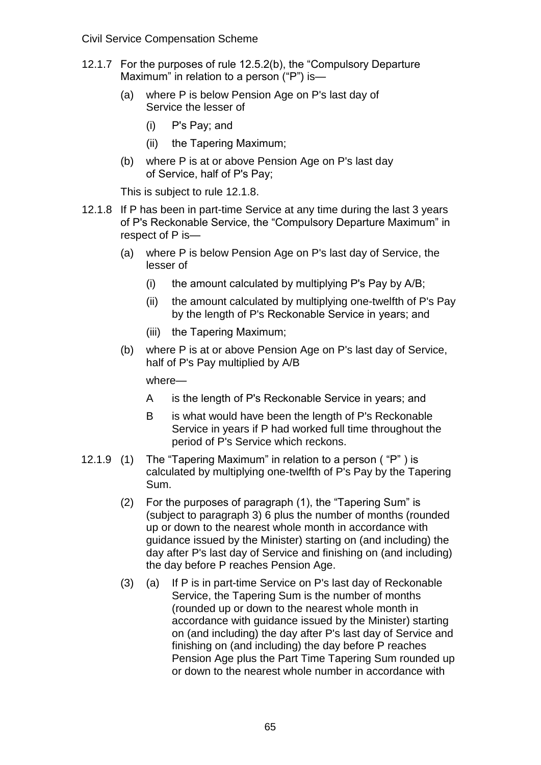Civil Service Compensation Scheme

- 12.1.7 For the purposes of rule 12.5.2(b), the "Compulsory Departure Maximum" in relation to a person ("P") is—
	- (a) where P is below Pension Age on P's last day of Service the lesser of
		- (i) P's Pay; and
		- (ii) the Tapering Maximum;
	- (b) where P is at or above Pension Age on P's last day of Service, half of P's Pay;

This is subject to rule 12.1.8.

- 12.1.8 If P has been in part-time Service at any time during the last 3 years of P's Reckonable Service, the "Compulsory Departure Maximum" in respect of P is—
	- (a) where P is below Pension Age on P's last day of Service, the lesser of
		- (i) the amount calculated by multiplying P's Pay by A/B;
		- (ii) the amount calculated by multiplying one-twelfth of P's Pay by the length of P's Reckonable Service in years; and
		- (iii) the Tapering Maximum;
	- (b) where P is at or above Pension Age on P's last day of Service, half of P's Pay multiplied by A/B

- A is the length of P's Reckonable Service in years; and
- B is what would have been the length of P's Reckonable Service in years if P had worked full time throughout the period of P's Service which reckons.
- 12.1.9 (1) The "Tapering Maximum" in relation to a person ( "P" ) is calculated by multiplying one-twelfth of P's Pay by the Tapering Sum.
	- (2) For the purposes of paragraph (1), the "Tapering Sum" is (subject to paragraph 3) 6 plus the number of months (rounded up or down to the nearest whole month in accordance with guidance issued by the Minister) starting on (and including) the day after P's last day of Service and finishing on (and including) the day before P reaches Pension Age.
	- (3) (a) If P is in part-time Service on P's last day of Reckonable Service, the Tapering Sum is the number of months (rounded up or down to the nearest whole month in accordance with guidance issued by the Minister) starting on (and including) the day after P's last day of Service and finishing on (and including) the day before P reaches Pension Age plus the Part Time Tapering Sum rounded up or down to the nearest whole number in accordance with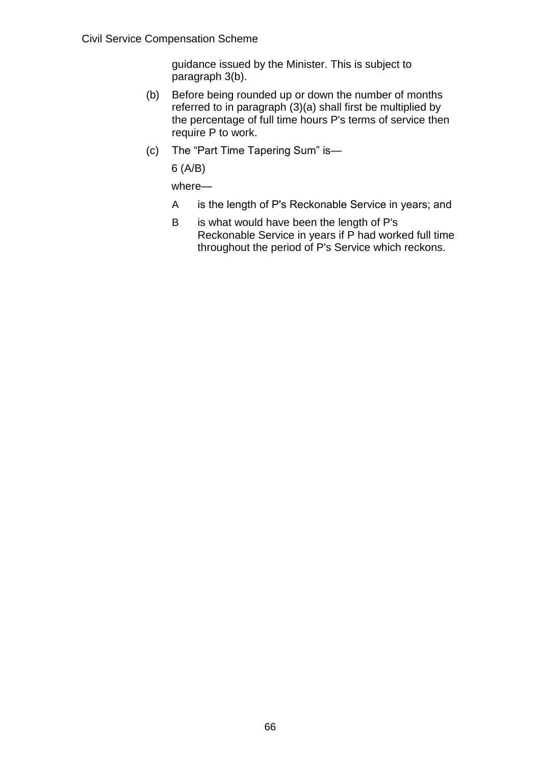guidance issued by the Minister. This is subject to paragraph 3(b).

- (b) Before being rounded up or down the number of months referred to in paragraph (3)(a) shall first be multiplied by the percentage of full time hours P's terms of service then require P to work.
- (c) The "Part Time Tapering Sum" is—

6 (A/B)

- A is the length of P's Reckonable Service in years; and
- B is what would have been the length of P's Reckonable Service in years if P had worked full time throughout the period of P's Service which reckons.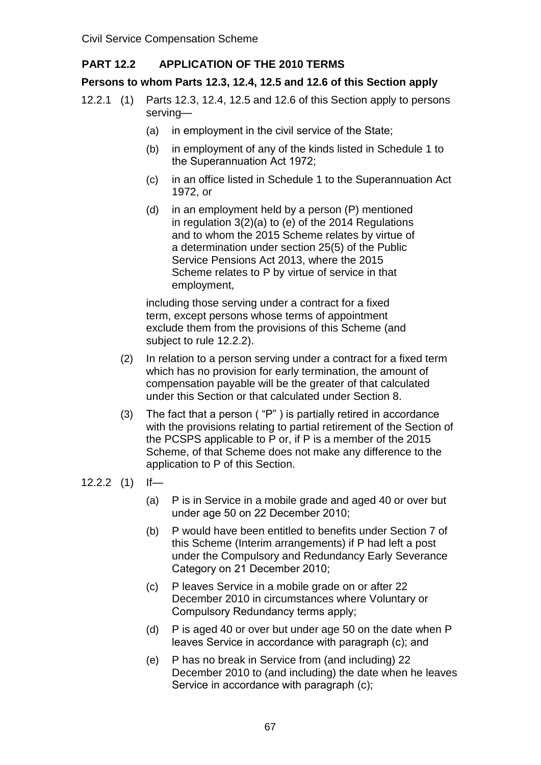## **PART 12.2 APPLICATION OF THE 2010 TERMS**

### **Persons to whom Parts 12.3, 12.4, 12.5 and 12.6 of this Section apply**

- 12.2.1 (1) Parts 12.3, 12.4, 12.5 and 12.6 of this Section apply to persons serving—
	- (a) in employment in the civil service of the State;
	- (b) in employment of any of the kinds listed in Schedule 1 to the Superannuation Act 1972;
	- (c) in an office listed in Schedule 1 to the Superannuation Act 1972, or
	- (d) in an employment held by a person (P) mentioned in regulation 3(2)(a) to (e) of the 2014 Regulations and to whom the 2015 Scheme relates by virtue of a determination under section 25(5) of the Public Service Pensions Act 2013, where the 2015 Scheme relates to P by virtue of service in that employment,

including those serving under a contract for a fixed term, except persons whose terms of appointment exclude them from the provisions of this Scheme (and subject to rule 12.2.2).

- (2) In relation to a person serving under a contract for a fixed term which has no provision for early termination, the amount of compensation payable will be the greater of that calculated under this Section or that calculated under Section 8.
- (3) The fact that a person ( "P" ) is partially retired in accordance with the provisions relating to partial retirement of the Section of the PCSPS applicable to P or, if P is a member of the 2015 Scheme, of that Scheme does not make any difference to the application to P of this Section.

- (a) P is in Service in a mobile grade and aged 40 or over but under age 50 on 22 December 2010;
- (b) P would have been entitled to benefits under Section 7 of this Scheme (Interim arrangements) if P had left a post under the Compulsory and Redundancy Early Severance Category on 21 December 2010;
- (c) P leaves Service in a mobile grade on or after 22 December 2010 in circumstances where Voluntary or Compulsory Redundancy terms apply;
- (d) P is aged 40 or over but under age 50 on the date when P leaves Service in accordance with paragraph (c); and
- (e) P has no break in Service from (and including) 22 December 2010 to (and including) the date when he leaves Service in accordance with paragraph (c);

<sup>12.2.2</sup> (1) If—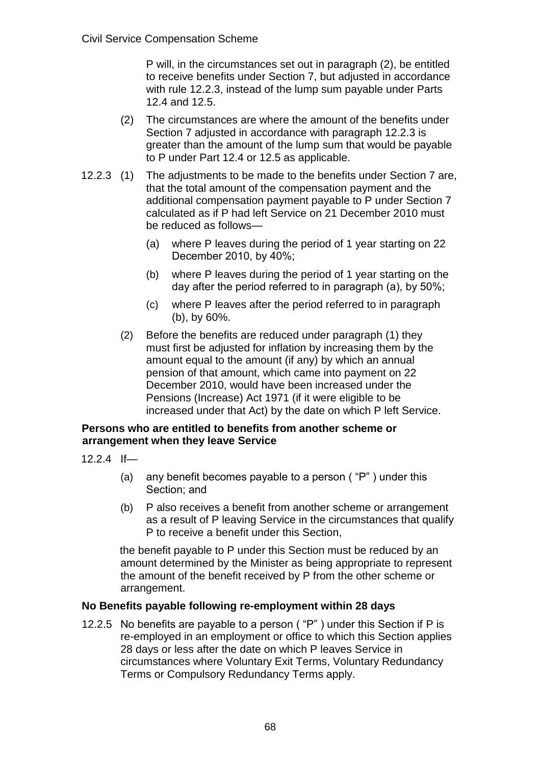P will, in the circumstances set out in paragraph (2), be entitled to receive benefits under Section 7, but adjusted in accordance with rule 12.2.3, instead of the lump sum payable under Parts 12.4 and 12.5.

- (2) The circumstances are where the amount of the benefits under Section 7 adjusted in accordance with paragraph 12.2.3 is greater than the amount of the lump sum that would be payable to P under Part 12.4 or 12.5 as applicable.
- 12.2.3 (1) The adjustments to be made to the benefits under Section 7 are, that the total amount of the compensation payment and the additional compensation payment payable to P under Section 7 calculated as if P had left Service on 21 December 2010 must be reduced as follows—
	- (a) where P leaves during the period of 1 year starting on 22 December 2010, by 40%;
	- (b) where P leaves during the period of 1 year starting on the day after the period referred to in paragraph (a), by 50%;
	- (c) where P leaves after the period referred to in paragraph (b), by 60%.
	- (2) Before the benefits are reduced under paragraph (1) they must first be adjusted for inflation by increasing them by the amount equal to the amount (if any) by which an annual pension of that amount, which came into payment on 22 December 2010, would have been increased under the Pensions (Increase) Act 1971 (if it were eligible to be increased under that Act) by the date on which P left Service.

#### **Persons who are entitled to benefits from another scheme or arrangement when they leave Service**

- 12.2.4 If—
	- (a) any benefit becomes payable to a person ( "P" ) under this Section; and
	- (b) P also receives a benefit from another scheme or arrangement as a result of P leaving Service in the circumstances that qualify P to receive a benefit under this Section,

the benefit payable to P under this Section must be reduced by an amount determined by the Minister as being appropriate to represent the amount of the benefit received by P from the other scheme or arrangement.

## **No Benefits payable following re-employment within 28 days**

12.2.5 No benefits are payable to a person ( "P" ) under this Section if P is re-employed in an employment or office to which this Section applies 28 days or less after the date on which P leaves Service in circumstances where Voluntary Exit Terms, Voluntary Redundancy Terms or Compulsory Redundancy Terms apply.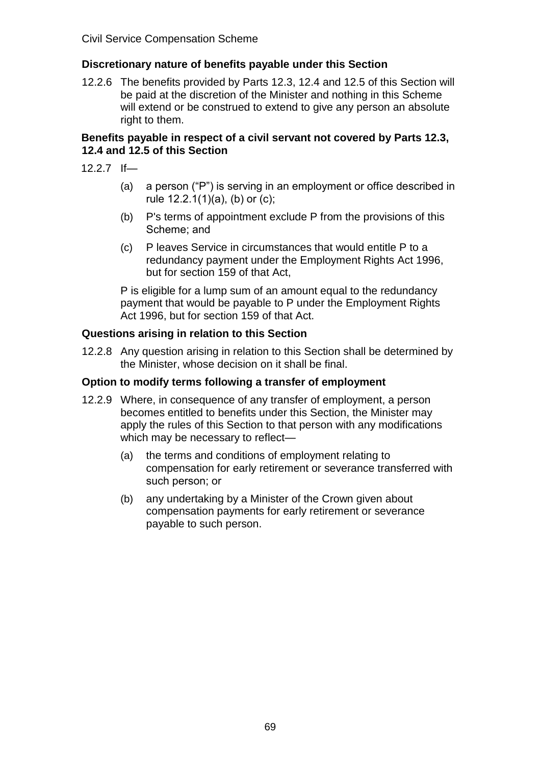## **Discretionary nature of benefits payable under this Section**

12.2.6 The benefits provided by Parts 12.3, 12.4 and 12.5 of this Section will be paid at the discretion of the Minister and nothing in this Scheme will extend or be construed to extend to give any person an absolute right to them.

#### **Benefits payable in respect of a civil servant not covered by Parts 12.3, 12.4 and 12.5 of this Section**

- 12.2.7 If—
	- (a) a person ("P") is serving in an employment or office described in rule 12.2.1(1)(a), (b) or (c);
	- (b) P's terms of appointment exclude P from the provisions of this Scheme; and
	- (c) P leaves Service in circumstances that would entitle P to a redundancy payment under the Employment Rights Act 1996, but for section 159 of that Act,

P is eligible for a lump sum of an amount equal to the redundancy payment that would be payable to P under the Employment Rights Act 1996, but for section 159 of that Act.

#### **Questions arising in relation to this Section**

12.2.8 Any question arising in relation to this Section shall be determined by the Minister, whose decision on it shall be final.

#### **Option to modify terms following a transfer of employment**

- 12.2.9 Where, in consequence of any transfer of employment, a person becomes entitled to benefits under this Section, the Minister may apply the rules of this Section to that person with any modifications which may be necessary to reflect—
	- (a) the terms and conditions of employment relating to compensation for early retirement or severance transferred with such person; or
	- (b) any undertaking by a Minister of the Crown given about compensation payments for early retirement or severance payable to such person.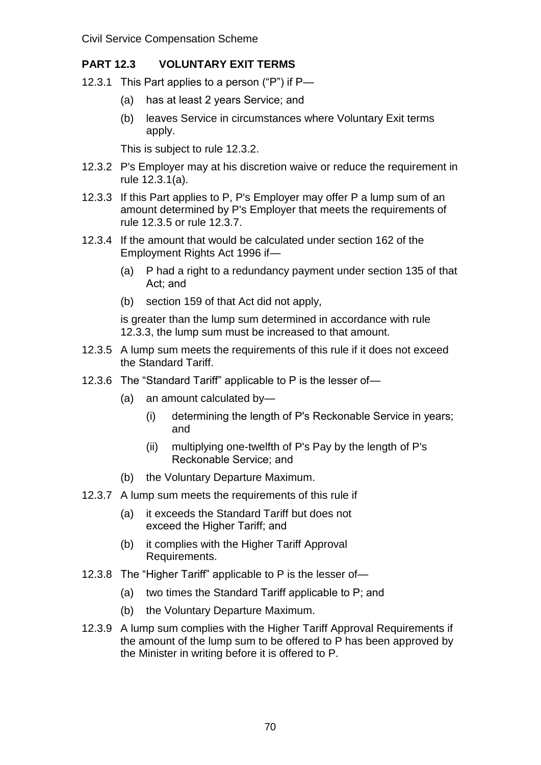# **PART 12.3 VOLUNTARY EXIT TERMS**

- 12.3.1 This Part applies to a person ("P") if P—
	- (a) has at least 2 years Service; and
	- (b) leaves Service in circumstances where Voluntary Exit terms apply.

This is subject to rule 12.3.2.

- 12.3.2 P's Employer may at his discretion waive or reduce the requirement in rule 12.3.1(a).
- 12.3.3 If this Part applies to P, P's Employer may offer P a lump sum of an amount determined by P's Employer that meets the requirements of rule 12.3.5 or rule 12.3.7.
- 12.3.4 If the amount that would be calculated under section 162 of the Employment Rights Act 1996 if—
	- (a) P had a right to a redundancy payment under section 135 of that Act; and
	- (b) section 159 of that Act did not apply,

is greater than the lump sum determined in accordance with rule 12.3.3, the lump sum must be increased to that amount.

- 12.3.5 A lump sum meets the requirements of this rule if it does not exceed the Standard Tariff.
- 12.3.6 The "Standard Tariff" applicable to P is the lesser of—
	- (a) an amount calculated by—
		- (i) determining the length of P's Reckonable Service in years; and
		- (ii) multiplying one-twelfth of P's Pay by the length of P's Reckonable Service; and
	- (b) the Voluntary Departure Maximum.
- 12.3.7 A lump sum meets the requirements of this rule if
	- (a) it exceeds the Standard Tariff but does not exceed the Higher Tariff; and
	- (b) it complies with the Higher Tariff Approval Requirements.
- 12.3.8 The "Higher Tariff" applicable to P is the lesser of—
	- (a) two times the Standard Tariff applicable to P; and
	- (b) the Voluntary Departure Maximum.
- 12.3.9 A lump sum complies with the Higher Tariff Approval Requirements if the amount of the lump sum to be offered to P has been approved by the Minister in writing before it is offered to P.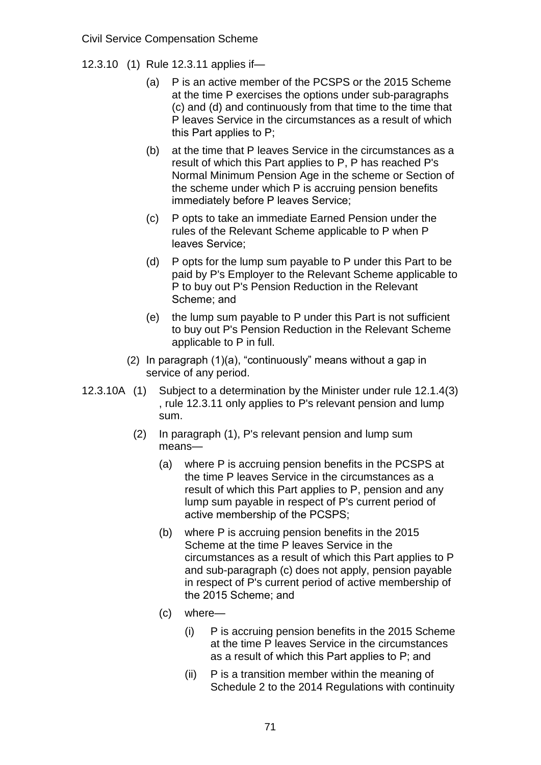- 12.3.10 (1) Rule 12.3.11 applies if—
	- (a) P is an active member of the PCSPS or the 2015 Scheme at the time P exercises the options under sub-paragraphs (c) and (d) and continuously from that time to the time that P leaves Service in the circumstances as a result of which this Part applies to P;
	- (b) at the time that P leaves Service in the circumstances as a result of which this Part applies to P, P has reached P's Normal Minimum Pension Age in the scheme or Section of the scheme under which P is accruing pension benefits immediately before P leaves Service;
	- (c) P opts to take an immediate Earned Pension under the rules of the Relevant Scheme applicable to P when P leaves Service;
	- (d) P opts for the lump sum payable to P under this Part to be paid by P's Employer to the Relevant Scheme applicable to P to buy out P's Pension Reduction in the Relevant Scheme; and
	- (e) the lump sum payable to P under this Part is not sufficient to buy out P's Pension Reduction in the Relevant Scheme applicable to P in full.
	- (2) In paragraph (1)(a), "continuously" means without a gap in service of any period.
- 12.3.10A (1) Subject to a determination by the Minister under rule 12.1.4(3) , rule 12.3.11 only applies to P's relevant pension and lump sum.
	- (2) In paragraph (1), P's relevant pension and lump sum means—
		- (a) where P is accruing pension benefits in the PCSPS at the time P leaves Service in the circumstances as a result of which this Part applies to P, pension and any lump sum payable in respect of P's current period of active membership of the PCSPS;
		- (b) where P is accruing pension benefits in the 2015 Scheme at the time P leaves Service in the circumstances as a result of which this Part applies to P and sub-paragraph (c) does not apply, pension payable in respect of P's current period of active membership of the 2015 Scheme; and
		- (c) where—
			- (i) P is accruing pension benefits in the 2015 Scheme at the time P leaves Service in the circumstances as a result of which this Part applies to P; and
			- (ii) P is a transition member within the meaning of Schedule 2 to the 2014 Regulations with continuity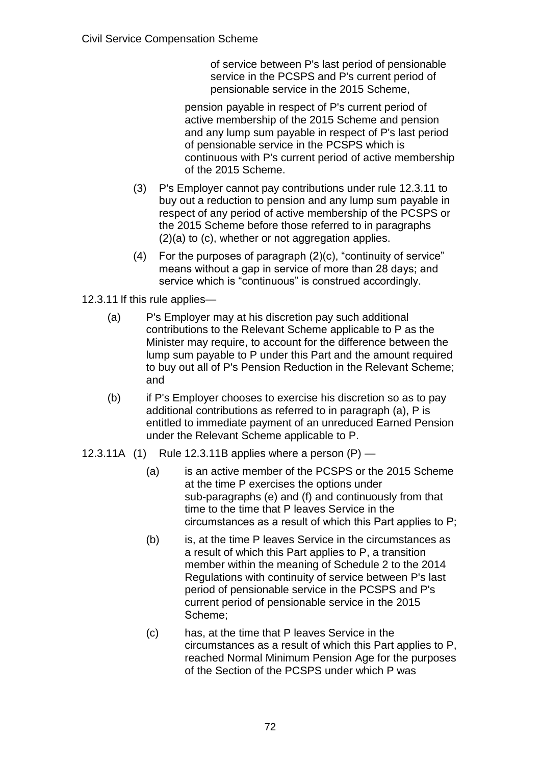of service between P's last period of pensionable service in the PCSPS and P's current period of pensionable service in the 2015 Scheme,

pension payable in respect of P's current period of active membership of the 2015 Scheme and pension and any lump sum payable in respect of P's last period of pensionable service in the PCSPS which is continuous with P's current period of active membership of the 2015 Scheme.

- (3) P's Employer cannot pay contributions under rule 12.3.11 to buy out a reduction to pension and any lump sum payable in respect of any period of active membership of the PCSPS or the 2015 Scheme before those referred to in paragraphs (2)(a) to (c), whether or not aggregation applies.
- (4) For the purposes of paragraph (2)(c), "continuity of service" means without a gap in service of more than 28 days; and service which is "continuous" is construed accordingly.

12.3.11 If this rule applies—

- (a) P's Employer may at his discretion pay such additional contributions to the Relevant Scheme applicable to P as the Minister may require, to account for the difference between the lump sum payable to P under this Part and the amount required to buy out all of P's Pension Reduction in the Relevant Scheme; and
- (b) if P's Employer chooses to exercise his discretion so as to pay additional contributions as referred to in paragraph (a), P is entitled to immediate payment of an unreduced Earned Pension under the Relevant Scheme applicable to P.
- 12.3.11A  $(1)$  Rule 12.3.11B applies where a person  $(P)$ 
	- (a) is an active member of the PCSPS or the 2015 Scheme at the time P exercises the options under sub-paragraphs (e) and (f) and continuously from that time to the time that P leaves Service in the circumstances as a result of which this Part applies to P;
	- (b) is, at the time P leaves Service in the circumstances as a result of which this Part applies to P, a transition member within the meaning of Schedule 2 to the 2014 Regulations with continuity of service between P's last period of pensionable service in the PCSPS and P's current period of pensionable service in the 2015 Scheme;
	- (c) has, at the time that P leaves Service in the circumstances as a result of which this Part applies to P, reached Normal Minimum Pension Age for the purposes of the Section of the PCSPS under which P was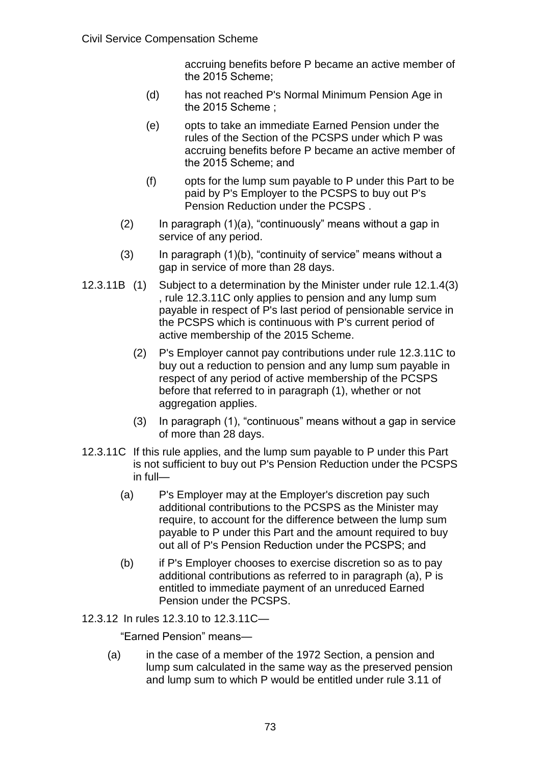accruing benefits before P became an active member of the 2015 Scheme;

- (d) has not reached P's Normal Minimum Pension Age in the 2015 Scheme ;
- (e) opts to take an immediate Earned Pension under the rules of the Section of the PCSPS under which P was accruing benefits before P became an active member of the 2015 Scheme; and
- (f) opts for the lump sum payable to P under this Part to be paid by P's Employer to the PCSPS to buy out P's Pension Reduction under the PCSPS .
- $(2)$  In paragraph  $(1)(a)$ , "continuously" means without a gap in service of any period.
- $(3)$  In paragraph  $(1)(b)$ , "continuity of service" means without a gap in service of more than 28 days.
- 12.3.11B (1) Subject to a determination by the Minister under rule 12.1.4(3) , rule 12.3.11C only applies to pension and any lump sum payable in respect of P's last period of pensionable service in the PCSPS which is continuous with P's current period of active membership of the 2015 Scheme.
	- (2) P's Employer cannot pay contributions under rule 12.3.11C to buy out a reduction to pension and any lump sum payable in respect of any period of active membership of the PCSPS before that referred to in paragraph (1), whether or not aggregation applies.
	- (3) In paragraph (1), "continuous" means without a gap in service of more than 28 days.
- 12.3.11C If this rule applies, and the lump sum payable to P under this Part is not sufficient to buy out P's Pension Reduction under the PCSPS in full—
	- (a) P's Employer may at the Employer's discretion pay such additional contributions to the PCSPS as the Minister may require, to account for the difference between the lump sum payable to P under this Part and the amount required to buy out all of P's Pension Reduction under the PCSPS; and
	- (b) if P's Employer chooses to exercise discretion so as to pay additional contributions as referred to in paragraph (a), P is entitled to immediate payment of an unreduced Earned Pension under the PCSPS.
- 12.3.12 In rules 12.3.10 to 12.3.11C—

"Earned Pension" means—

(a) in the case of a member of the 1972 Section, a pension and lump sum calculated in the same way as the preserved pension and lump sum to which P would be entitled under rule 3.11 of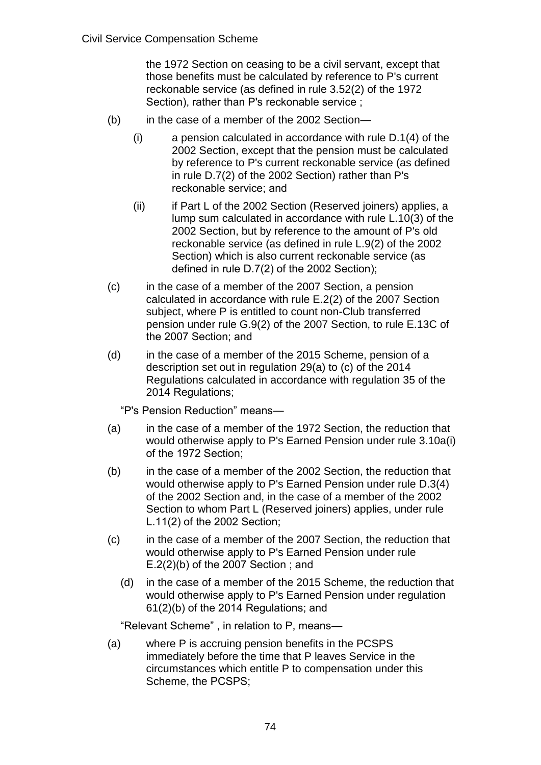the 1972 Section on ceasing to be a civil servant, except that those benefits must be calculated by reference to P's current reckonable service (as defined in rule 3.52(2) of the 1972 Section), rather than P's reckonable service ;

- (b) in the case of a member of the 2002 Section—
	- (i) a pension calculated in accordance with rule D.1(4) of the 2002 Section, except that the pension must be calculated by reference to P's current reckonable service (as defined in rule D.7(2) of the 2002 Section) rather than P's reckonable service; and
	- (ii) if Part L of the 2002 Section (Reserved joiners) applies, a lump sum calculated in accordance with rule L.10(3) of the 2002 Section, but by reference to the amount of P's old reckonable service (as defined in rule L.9(2) of the 2002 Section) which is also current reckonable service (as defined in rule D.7(2) of the 2002 Section);
- (c) in the case of a member of the 2007 Section, a pension calculated in accordance with rule E.2(2) of the 2007 Section subject, where P is entitled to count non-Club transferred pension under rule G.9(2) of the 2007 Section, to rule E.13C of the 2007 Section; and
- (d) in the case of a member of the 2015 Scheme, pension of a description set out in regulation 29(a) to (c) of the 2014 Regulations calculated in accordance with regulation 35 of the 2014 Regulations;

"P's Pension Reduction" means—

- (a) in the case of a member of the 1972 Section, the reduction that would otherwise apply to P's Earned Pension under rule 3.10a(i) of the 1972 Section;
- (b) in the case of a member of the 2002 Section, the reduction that would otherwise apply to P's Earned Pension under rule D.3(4) of the 2002 Section and, in the case of a member of the 2002 Section to whom Part L (Reserved joiners) applies, under rule L.11(2) of the 2002 Section;
- (c) in the case of a member of the 2007 Section, the reduction that would otherwise apply to P's Earned Pension under rule E.2(2)(b) of the 2007 Section ; and
	- (d) in the case of a member of the 2015 Scheme, the reduction that would otherwise apply to P's Earned Pension under regulation 61(2)(b) of the 2014 Regulations; and

"Relevant Scheme" , in relation to P, means—

(a) where P is accruing pension benefits in the PCSPS immediately before the time that P leaves Service in the circumstances which entitle P to compensation under this Scheme, the PCSPS;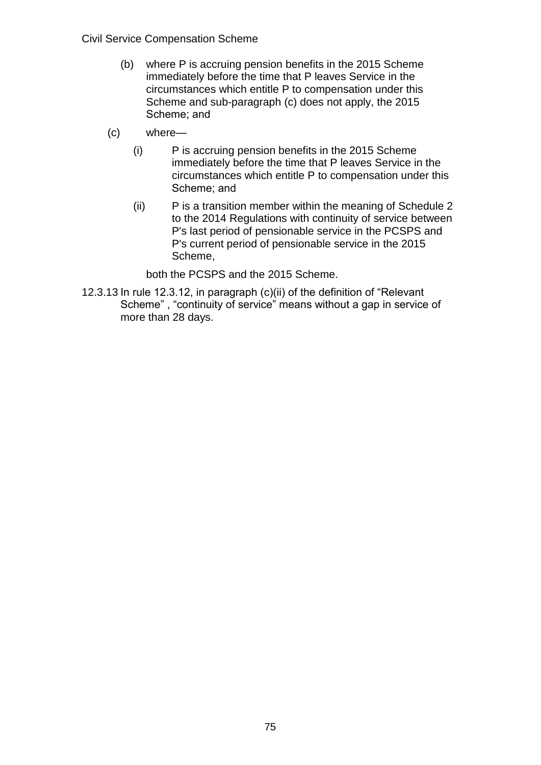- (b) where P is accruing pension benefits in the 2015 Scheme immediately before the time that P leaves Service in the circumstances which entitle P to compensation under this Scheme and sub-paragraph (c) does not apply, the 2015 Scheme; and
- (c) where—
	- (i) P is accruing pension benefits in the 2015 Scheme immediately before the time that P leaves Service in the circumstances which entitle P to compensation under this Scheme; and
	- (ii) P is a transition member within the meaning of Schedule 2 to the 2014 Regulations with continuity of service between P's last period of pensionable service in the PCSPS and P's current period of pensionable service in the 2015 Scheme,

both the PCSPS and the 2015 Scheme.

12.3.13 In rule 12.3.12, in paragraph (c)(ii) of the definition of "Relevant Scheme" , "continuity of service" means without a gap in service of more than 28 days.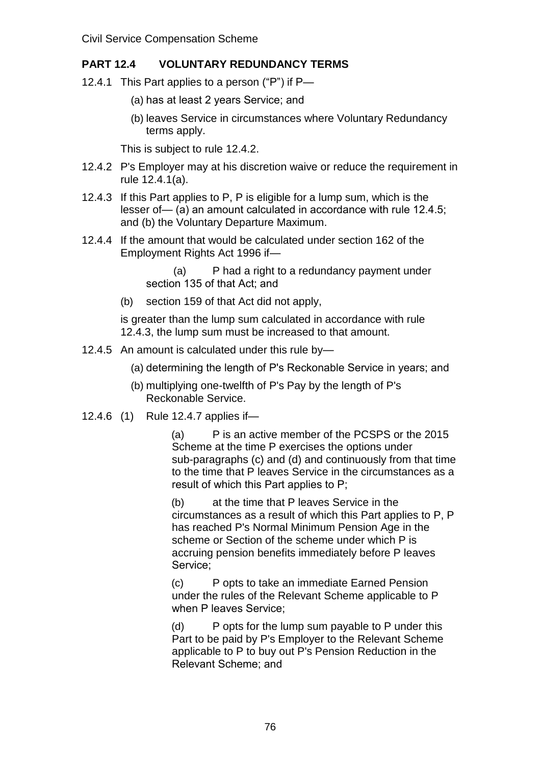# **PART 12.4 VOLUNTARY REDUNDANCY TERMS**

- 12.4.1 This Part applies to a person ("P") if P—
	- (a) has at least 2 years Service; and
	- (b) leaves Service in circumstances where Voluntary Redundancy terms apply.

This is subject to rule 12.4.2.

- 12.4.2 P's Employer may at his discretion waive or reduce the requirement in rule 12.4.1(a).
- 12.4.3 If this Part applies to P, P is eligible for a lump sum, which is the lesser of— (a) an amount calculated in accordance with rule 12.4.5; and (b) the Voluntary Departure Maximum.
- 12.4.4 If the amount that would be calculated under section 162 of the Employment Rights Act 1996 if—

(a) P had a right to a redundancy payment under section 135 of that Act; and

(b) section 159 of that Act did not apply,

is greater than the lump sum calculated in accordance with rule 12.4.3, the lump sum must be increased to that amount.

- 12.4.5 An amount is calculated under this rule by—
	- (a) determining the length of P's Reckonable Service in years; and
	- (b) multiplying one-twelfth of P's Pay by the length of P's Reckonable Service.
- 12.4.6 (1) Rule 12.4.7 applies if—

(a) P is an active member of the PCSPS or the 2015 Scheme at the time P exercises the options under sub-paragraphs (c) and (d) and continuously from that time to the time that P leaves Service in the circumstances as a result of which this Part applies to P;

(b) at the time that P leaves Service in the circumstances as a result of which this Part applies to P, P has reached P's Normal Minimum Pension Age in the scheme or Section of the scheme under which P is accruing pension benefits immediately before P leaves Service;

(c) P opts to take an immediate Earned Pension under the rules of the Relevant Scheme applicable to P when P leaves Service;

(d) P opts for the lump sum payable to P under this Part to be paid by P's Employer to the Relevant Scheme applicable to P to buy out P's Pension Reduction in the Relevant Scheme; and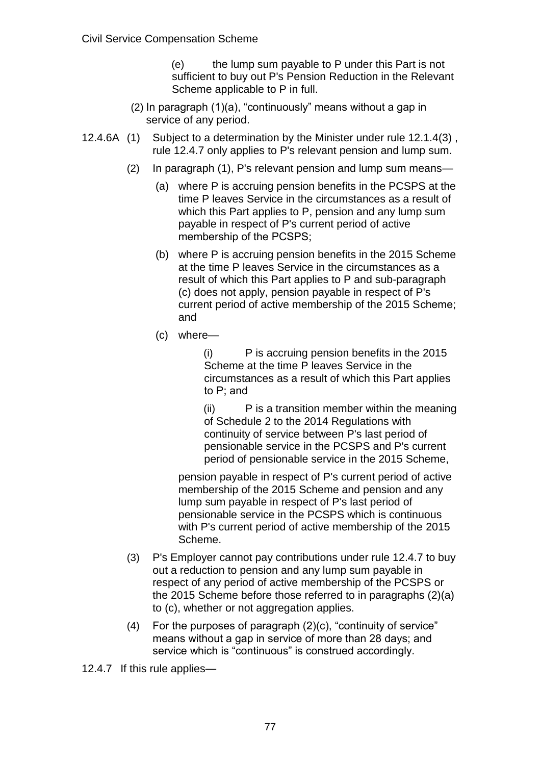(e) the lump sum payable to P under this Part is not sufficient to buy out P's Pension Reduction in the Relevant Scheme applicable to P in full.

- (2) In paragraph (1)(a), "continuously" means without a gap in service of any period.
- 12.4.6A (1) Subject to a determination by the Minister under rule 12.1.4(3) , rule 12.4.7 only applies to P's relevant pension and lump sum.
	- (2) In paragraph (1), P's relevant pension and lump sum means—
		- (a) where P is accruing pension benefits in the PCSPS at the time P leaves Service in the circumstances as a result of which this Part applies to P, pension and any lump sum payable in respect of P's current period of active membership of the PCSPS;
		- (b) where P is accruing pension benefits in the 2015 Scheme at the time P leaves Service in the circumstances as a result of which this Part applies to P and sub-paragraph (c) does not apply, pension payable in respect of P's current period of active membership of the 2015 Scheme; and
		- (c) where—

(i) P is accruing pension benefits in the 2015 Scheme at the time P leaves Service in the circumstances as a result of which this Part applies to P; and

(ii) P is a transition member within the meaning of Schedule 2 to the 2014 Regulations with continuity of service between P's last period of pensionable service in the PCSPS and P's current period of pensionable service in the 2015 Scheme,

pension payable in respect of P's current period of active membership of the 2015 Scheme and pension and any lump sum payable in respect of P's last period of pensionable service in the PCSPS which is continuous with P's current period of active membership of the 2015 Scheme.

- (3) P's Employer cannot pay contributions under rule 12.4.7 to buy out a reduction to pension and any lump sum payable in respect of any period of active membership of the PCSPS or the 2015 Scheme before those referred to in paragraphs (2)(a) to (c), whether or not aggregation applies.
- (4) For the purposes of paragraph (2)(c), "continuity of service" means without a gap in service of more than 28 days; and service which is "continuous" is construed accordingly.

12.4.7 If this rule applies—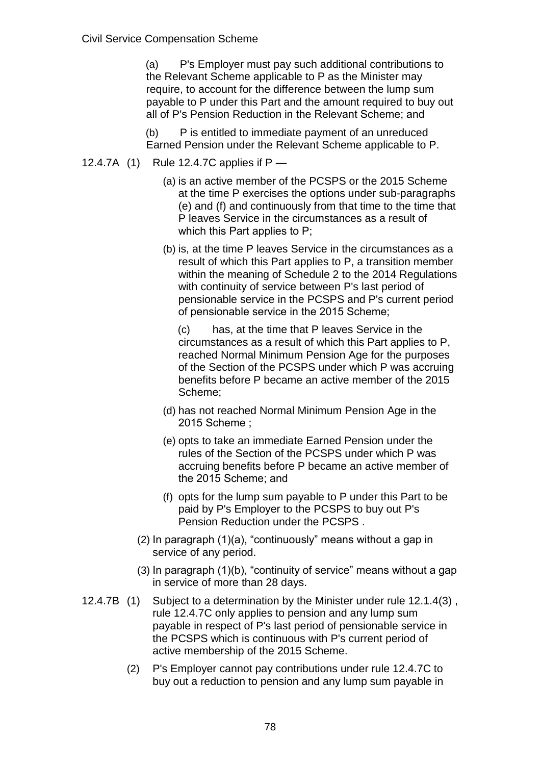(a) P's Employer must pay such additional contributions to the Relevant Scheme applicable to P as the Minister may require, to account for the difference between the lump sum payable to P under this Part and the amount required to buy out all of P's Pension Reduction in the Relevant Scheme; and

(b) P is entitled to immediate payment of an unreduced Earned Pension under the Relevant Scheme applicable to P.

- 12.4.7A (1) Rule 12.4.7C applies if P
	- (a) is an active member of the PCSPS or the 2015 Scheme at the time P exercises the options under sub-paragraphs (e) and (f) and continuously from that time to the time that P leaves Service in the circumstances as a result of which this Part applies to P;
	- (b) is, at the time P leaves Service in the circumstances as a result of which this Part applies to P, a transition member within the meaning of Schedule 2 to the 2014 Regulations with continuity of service between P's last period of pensionable service in the PCSPS and P's current period of pensionable service in the 2015 Scheme;

(c) has, at the time that P leaves Service in the circumstances as a result of which this Part applies to P, reached Normal Minimum Pension Age for the purposes of the Section of the PCSPS under which P was accruing benefits before P became an active member of the 2015 Scheme;

- (d) has not reached Normal Minimum Pension Age in the 2015 Scheme ;
- (e) opts to take an immediate Earned Pension under the rules of the Section of the PCSPS under which P was accruing benefits before P became an active member of the 2015 Scheme; and
- (f) opts for the lump sum payable to P under this Part to be paid by P's Employer to the PCSPS to buy out P's Pension Reduction under the PCSPS .
- (2) In paragraph (1)(a), "continuously" means without a gap in service of any period.
- (3) In paragraph (1)(b), "continuity of service" means without a gap in service of more than 28 days.
- 12.4.7B (1) Subject to a determination by the Minister under rule 12.1.4(3) , rule 12.4.7C only applies to pension and any lump sum payable in respect of P's last period of pensionable service in the PCSPS which is continuous with P's current period of active membership of the 2015 Scheme.
	- (2) P's Employer cannot pay contributions under rule 12.4.7C to buy out a reduction to pension and any lump sum payable in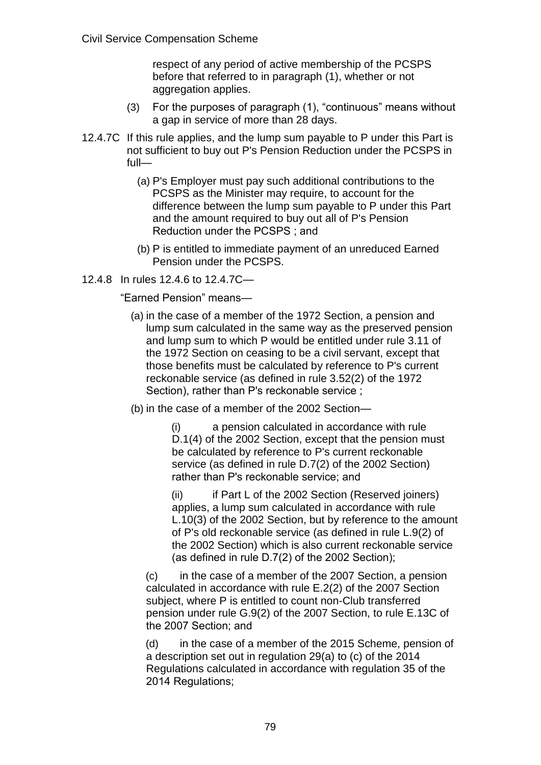respect of any period of active membership of the PCSPS before that referred to in paragraph (1), whether or not aggregation applies.

- (3) For the purposes of paragraph (1), "continuous" means without a gap in service of more than 28 days.
- 12.4.7C If this rule applies, and the lump sum payable to P under this Part is not sufficient to buy out P's Pension Reduction under the PCSPS in full—
	- (a) P's Employer must pay such additional contributions to the PCSPS as the Minister may require, to account for the difference between the lump sum payable to P under this Part and the amount required to buy out all of P's Pension Reduction under the PCSPS ; and
	- (b) P is entitled to immediate payment of an unreduced Earned Pension under the PCSPS.
- 12.4.8 In rules 12.4.6 to 12.4.7C—

"Earned Pension" means—

- (a) in the case of a member of the 1972 Section, a pension and lump sum calculated in the same way as the preserved pension and lump sum to which P would be entitled under rule 3.11 of the 1972 Section on ceasing to be a civil servant, except that those benefits must be calculated by reference to P's current reckonable service (as defined in rule 3.52(2) of the 1972 Section), rather than P's reckonable service ;
- (b) in the case of a member of the 2002 Section—

(i) a pension calculated in accordance with rule D.1(4) of the 2002 Section, except that the pension must be calculated by reference to P's current reckonable service (as defined in rule D.7(2) of the 2002 Section) rather than P's reckonable service; and

(ii) if Part L of the 2002 Section (Reserved joiners) applies, a lump sum calculated in accordance with rule L.10(3) of the 2002 Section, but by reference to the amount of P's old reckonable service (as defined in rule L.9(2) of the 2002 Section) which is also current reckonable service (as defined in rule D.7(2) of the 2002 Section);

(c) in the case of a member of the 2007 Section, a pension calculated in accordance with rule E.2(2) of the 2007 Section subject, where P is entitled to count non-Club transferred pension under rule G.9(2) of the 2007 Section, to rule E.13C of the 2007 Section; and

(d) in the case of a member of the 2015 Scheme, pension of a description set out in regulation 29(a) to (c) of the 2014 Regulations calculated in accordance with regulation 35 of the 2014 Regulations;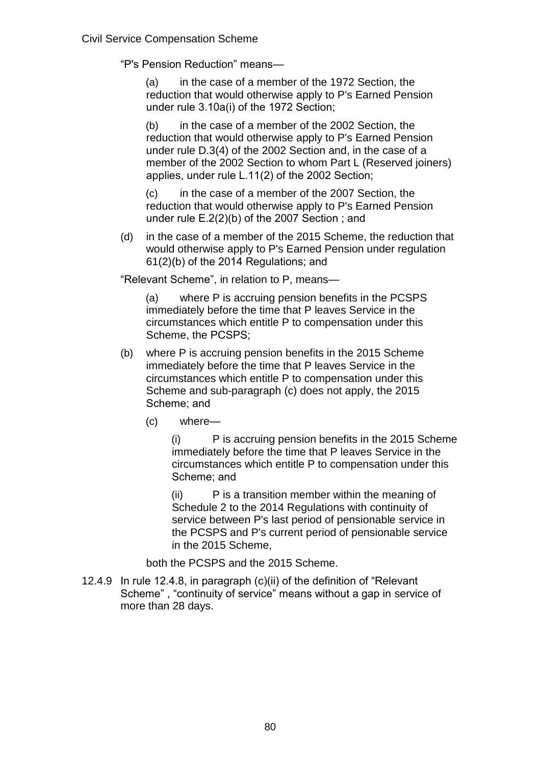"P's Pension Reduction" means—

(a) in the case of a member of the 1972 Section, the reduction that would otherwise apply to P's Earned Pension under rule 3.10a(i) of the 1972 Section;

(b) in the case of a member of the 2002 Section, the reduction that would otherwise apply to P's Earned Pension under rule D.3(4) of the 2002 Section and, in the case of a member of the 2002 Section to whom Part L (Reserved joiners) applies, under rule L.11(2) of the 2002 Section;

(c) in the case of a member of the 2007 Section, the reduction that would otherwise apply to P's Earned Pension under rule E.2(2)(b) of the 2007 Section ; and

(d) in the case of a member of the 2015 Scheme, the reduction that would otherwise apply to P's Earned Pension under regulation 61(2)(b) of the 2014 Regulations; and

"Relevant Scheme", in relation to P, means—

(a) where P is accruing pension benefits in the PCSPS immediately before the time that P leaves Service in the circumstances which entitle P to compensation under this Scheme, the PCSPS;

- (b) where P is accruing pension benefits in the 2015 Scheme immediately before the time that P leaves Service in the circumstances which entitle P to compensation under this Scheme and sub-paragraph (c) does not apply, the 2015 Scheme; and
	- (c) where—

(i) P is accruing pension benefits in the 2015 Scheme immediately before the time that P leaves Service in the circumstances which entitle P to compensation under this Scheme; and

(ii) P is a transition member within the meaning of Schedule 2 to the 2014 Regulations with continuity of service between P's last period of pensionable service in the PCSPS and P's current period of pensionable service in the 2015 Scheme,

both the PCSPS and the 2015 Scheme.

12.4.9 In rule 12.4.8, in paragraph (c)(ii) of the definition of "Relevant Scheme" , "continuity of service" means without a gap in service of more than 28 days.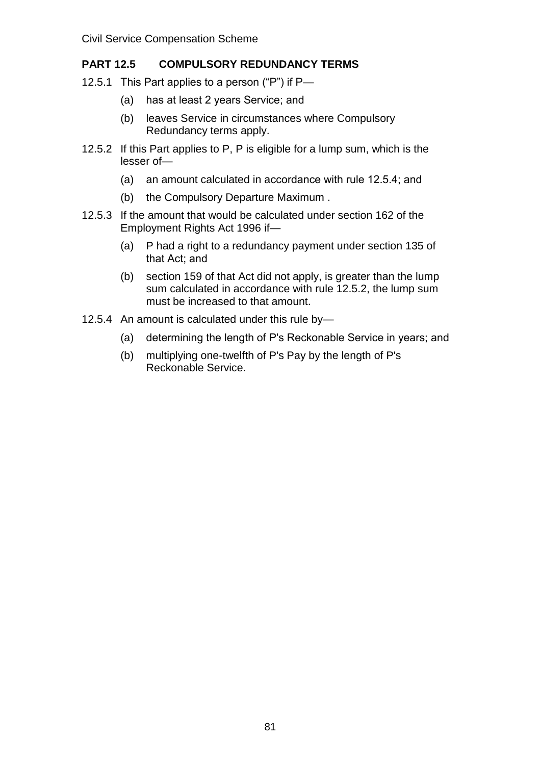# **PART 12.5 COMPULSORY REDUNDANCY TERMS**

- 12.5.1 This Part applies to a person ("P") if P—
	- (a) has at least 2 years Service; and
	- (b) leaves Service in circumstances where Compulsory Redundancy terms apply.
- 12.5.2 If this Part applies to P, P is eligible for a lump sum, which is the lesser of—
	- (a) an amount calculated in accordance with rule 12.5.4; and
	- (b) the Compulsory Departure Maximum .
- 12.5.3 If the amount that would be calculated under section 162 of the Employment Rights Act 1996 if—
	- (a) P had a right to a redundancy payment under section 135 of that Act; and
	- (b) section 159 of that Act did not apply, is greater than the lump sum calculated in accordance with rule 12.5.2, the lump sum must be increased to that amount.
- 12.5.4 An amount is calculated under this rule by—
	- (a) determining the length of P's Reckonable Service in years; and
	- (b) multiplying one-twelfth of P's Pay by the length of P's Reckonable Service.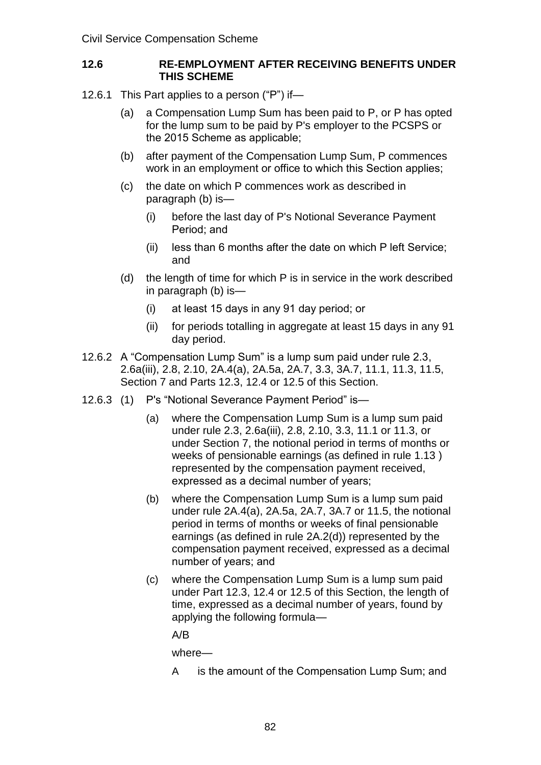### **12.6 RE-EMPLOYMENT AFTER RECEIVING BENEFITS UNDER THIS SCHEME**

- 12.6.1 This Part applies to a person ("P") if—
	- (a) a Compensation Lump Sum has been paid to P, or P has opted for the lump sum to be paid by P's employer to the PCSPS or the 2015 Scheme as applicable;
	- (b) after payment of the Compensation Lump Sum, P commences work in an employment or office to which this Section applies;
	- (c) the date on which P commences work as described in paragraph (b) is—
		- (i) before the last day of P's Notional Severance Payment Period; and
		- (ii) less than 6 months after the date on which P left Service; and
	- (d) the length of time for which P is in service in the work described in paragraph (b) is—
		- (i) at least 15 days in any 91 day period; or
		- (ii) for periods totalling in aggregate at least 15 days in any 91 day period.
- 12.6.2 A "Compensation Lump Sum" is a lump sum paid under rule 2.3, 2.6a(iii), 2.8, 2.10, 2A.4(a), 2A.5a, 2A.7, 3.3, 3A.7, 11.1, 11.3, 11.5, Section 7 and Parts 12.3, 12.4 or 12.5 of this Section.
- 12.6.3 (1) P's "Notional Severance Payment Period" is—
	- (a) where the Compensation Lump Sum is a lump sum paid under rule 2.3, 2.6a(iii), 2.8, 2.10, 3.3, 11.1 or 11.3, or under Section 7, the notional period in terms of months or weeks of pensionable earnings (as defined in rule 1.13 ) represented by the compensation payment received, expressed as a decimal number of years;
	- (b) where the Compensation Lump Sum is a lump sum paid under rule 2A.4(a), 2A.5a, 2A.7, 3A.7 or 11.5, the notional period in terms of months or weeks of final pensionable earnings (as defined in rule 2A.2(d)) represented by the compensation payment received, expressed as a decimal number of years; and
	- (c) where the Compensation Lump Sum is a lump sum paid under Part 12.3, 12.4 or 12.5 of this Section, the length of time, expressed as a decimal number of years, found by applying the following formula—

A/B

where—

A is the amount of the Compensation Lump Sum; and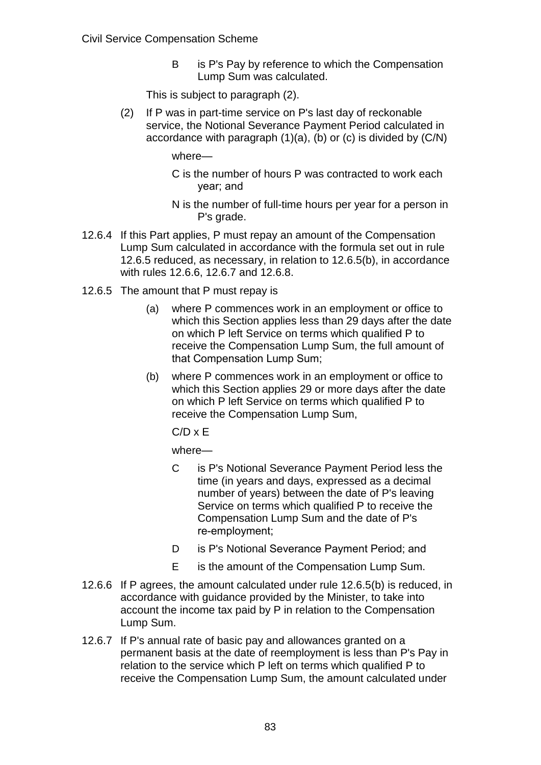B is P's Pay by reference to which the Compensation Lump Sum was calculated.

This is subject to paragraph (2).

(2) If P was in part-time service on P's last day of reckonable service, the Notional Severance Payment Period calculated in accordance with paragraph (1)(a), (b) or (c) is divided by (C/N)

where—

- C is the number of hours P was contracted to work each year; and
- N is the number of full-time hours per year for a person in P's grade.
- 12.6.4 If this Part applies, P must repay an amount of the Compensation Lump Sum calculated in accordance with the formula set out in rule 12.6.5 reduced, as necessary, in relation to 12.6.5(b), in accordance with rules 12.6.6, 12.6.7 and 12.6.8.
- 12.6.5 The amount that P must repay is
	- (a) where P commences work in an employment or office to which this Section applies less than 29 days after the date on which P left Service on terms which qualified P to receive the Compensation Lump Sum, the full amount of that Compensation Lump Sum;
	- (b) where P commences work in an employment or office to which this Section applies 29 or more days after the date on which P left Service on terms which qualified P to receive the Compensation Lump Sum,

 $C/D \times E$ 

where—

- C is P's Notional Severance Payment Period less the time (in years and days, expressed as a decimal number of years) between the date of P's leaving Service on terms which qualified P to receive the Compensation Lump Sum and the date of P's re-employment;
- D is P's Notional Severance Payment Period; and
- E is the amount of the Compensation Lump Sum.
- 12.6.6 If P agrees, the amount calculated under rule 12.6.5(b) is reduced, in accordance with guidance provided by the Minister, to take into account the income tax paid by P in relation to the Compensation Lump Sum.
- 12.6.7 If P's annual rate of basic pay and allowances granted on a permanent basis at the date of reemployment is less than P's Pay in relation to the service which P left on terms which qualified P to receive the Compensation Lump Sum, the amount calculated under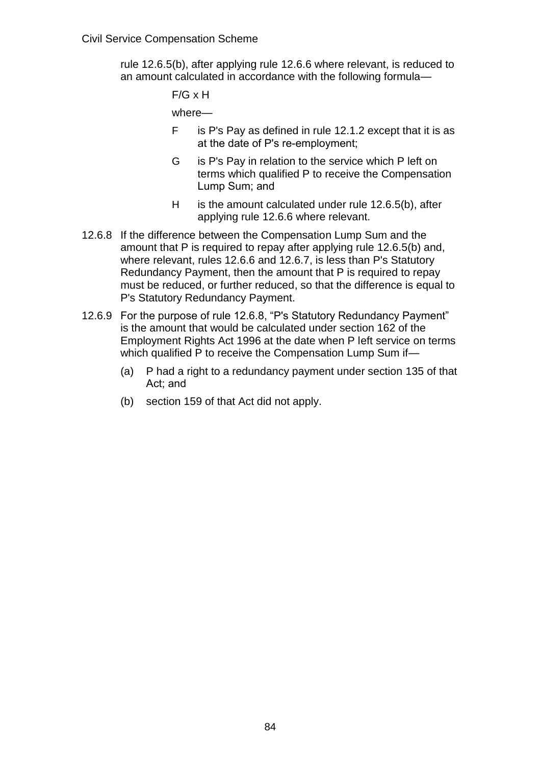rule 12.6.5(b), after applying rule 12.6.6 where relevant, is reduced to an amount calculated in accordance with the following formula—

F/G x H

where—

- F is P's Pay as defined in rule 12.1.2 except that it is as at the date of P's re-employment;
- G is P's Pay in relation to the service which P left on terms which qualified P to receive the Compensation Lump Sum; and
- H is the amount calculated under rule 12.6.5(b), after applying rule 12.6.6 where relevant.
- 12.6.8 If the difference between the Compensation Lump Sum and the amount that P is required to repay after applying rule 12.6.5(b) and, where relevant, rules 12.6.6 and 12.6.7, is less than P's Statutory Redundancy Payment, then the amount that P is required to repay must be reduced, or further reduced, so that the difference is equal to P's Statutory Redundancy Payment.
- 12.6.9 For the purpose of rule 12.6.8, "P's Statutory Redundancy Payment" is the amount that would be calculated under section 162 of the Employment Rights Act 1996 at the date when P left service on terms which qualified P to receive the Compensation Lump Sum if-
	- (a) P had a right to a redundancy payment under section 135 of that Act; and
	- (b) section 159 of that Act did not apply.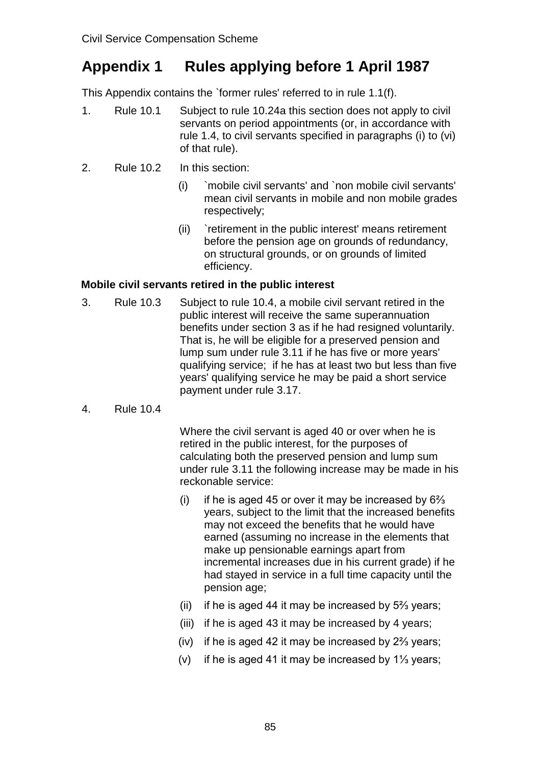# **Appendix 1 Rules applying before 1 April 1987**

This Appendix contains the `former rules' referred to in rule 1.1(f).

- 1. Rule 10.1 Subject to rule 10.24a this section does not apply to civil servants on period appointments (or, in accordance with rule 1.4, to civil servants specified in paragraphs (i) to (vi) of that rule).
- 2. Rule 10.2 In this section:
	- (i) `mobile civil servants' and `non mobile civil servants' mean civil servants in mobile and non mobile grades respectively;
	- (ii) `retirement in the public interest' means retirement before the pension age on grounds of redundancy, on structural grounds, or on grounds of limited efficiency.

# **Mobile civil servants retired in the public interest**

- 3. Rule 10.3 Subject to rule 10.4, a mobile civil servant retired in the public interest will receive the same superannuation benefits under section 3 as if he had resigned voluntarily. That is, he will be eligible for a preserved pension and lump sum under rule 3.11 if he has five or more years' qualifying service; if he has at least two but less than five years' qualifying service he may be paid a short service payment under rule 3.17.
- 4. Rule 10.4

Where the civil servant is aged 40 or over when he is retired in the public interest, for the purposes of calculating both the preserved pension and lump sum under rule 3.11 the following increase may be made in his reckonable service:

- (i) if he is aged 45 or over it may be increased by  $6\frac{2}{3}$ years, subject to the limit that the increased benefits may not exceed the benefits that he would have earned (assuming no increase in the elements that make up pensionable earnings apart from incremental increases due in his current grade) if he had stayed in service in a full time capacity until the pension age;
- (ii) if he is aged 44 it may be increased by 5⅔ years;
- (iii) if he is aged 43 it may be increased by 4 years;
- (iv) if he is aged 42 it may be increased by 2⅔ years;
- (v) if he is aged 41 it may be increased by 1⅓ years;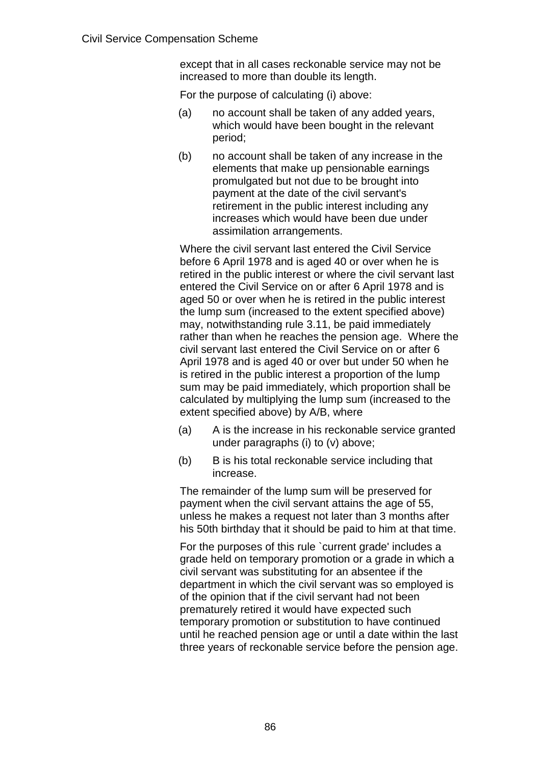except that in all cases reckonable service may not be increased to more than double its length.

For the purpose of calculating (i) above:

- (a) no account shall be taken of any added years, which would have been bought in the relevant period;
- (b) no account shall be taken of any increase in the elements that make up pensionable earnings promulgated but not due to be brought into payment at the date of the civil servant's retirement in the public interest including any increases which would have been due under assimilation arrangements.

Where the civil servant last entered the Civil Service before 6 April 1978 and is aged 40 or over when he is retired in the public interest or where the civil servant last entered the Civil Service on or after 6 April 1978 and is aged 50 or over when he is retired in the public interest the lump sum (increased to the extent specified above) may, notwithstanding rule 3.11, be paid immediately rather than when he reaches the pension age. Where the civil servant last entered the Civil Service on or after 6 April 1978 and is aged 40 or over but under 50 when he is retired in the public interest a proportion of the lump sum may be paid immediately, which proportion shall be calculated by multiplying the lump sum (increased to the extent specified above) by A/B, where

- (a) A is the increase in his reckonable service granted under paragraphs (i) to (v) above;
- (b) B is his total reckonable service including that increase.

The remainder of the lump sum will be preserved for payment when the civil servant attains the age of 55, unless he makes a request not later than 3 months after his 50th birthday that it should be paid to him at that time.

For the purposes of this rule `current grade' includes a grade held on temporary promotion or a grade in which a civil servant was substituting for an absentee if the department in which the civil servant was so employed is of the opinion that if the civil servant had not been prematurely retired it would have expected such temporary promotion or substitution to have continued until he reached pension age or until a date within the last three years of reckonable service before the pension age.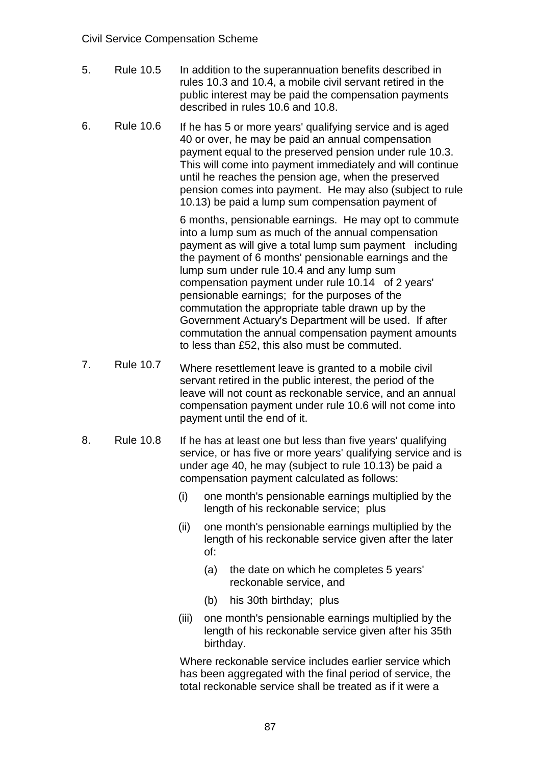- 5. Rule 10.5 In addition to the superannuation benefits described in rules 10.3 and 10.4, a mobile civil servant retired in the public interest may be paid the compensation payments described in rules 10.6 and 10.8.
- 6. Rule 10.6 If he has 5 or more years' qualifying service and is aged 40 or over, he may be paid an annual compensation payment equal to the preserved pension under rule 10.3. This will come into payment immediately and will continue until he reaches the pension age, when the preserved pension comes into payment. He may also (subject to rule 10.13) be paid a lump sum compensation payment of

6 months, pensionable earnings. He may opt to commute into a lump sum as much of the annual compensation payment as will give a total lump sum payment including the payment of 6 months' pensionable earnings and the lump sum under rule 10.4 and any lump sum compensation payment under rule 10.14 of 2 years' pensionable earnings; for the purposes of the commutation the appropriate table drawn up by the Government Actuary's Department will be used. If after commutation the annual compensation payment amounts to less than £52, this also must be commuted.

- 7. Rule 10.7 Where resettlement leave is granted to a mobile civil servant retired in the public interest, the period of the leave will not count as reckonable service, and an annual compensation payment under rule 10.6 will not come into payment until the end of it.
- 8. Rule 10.8 If he has at least one but less than five years' qualifying service, or has five or more vears' qualifying service and is under age 40, he may (subject to rule 10.13) be paid a compensation payment calculated as follows:
	- (i) one month's pensionable earnings multiplied by the length of his reckonable service; plus
	- (ii) one month's pensionable earnings multiplied by the length of his reckonable service given after the later of:
		- (a) the date on which he completes 5 years' reckonable service, and
		- (b) his 30th birthday; plus
	- (iii) one month's pensionable earnings multiplied by the length of his reckonable service given after his 35th birthday.

Where reckonable service includes earlier service which has been aggregated with the final period of service, the total reckonable service shall be treated as if it were a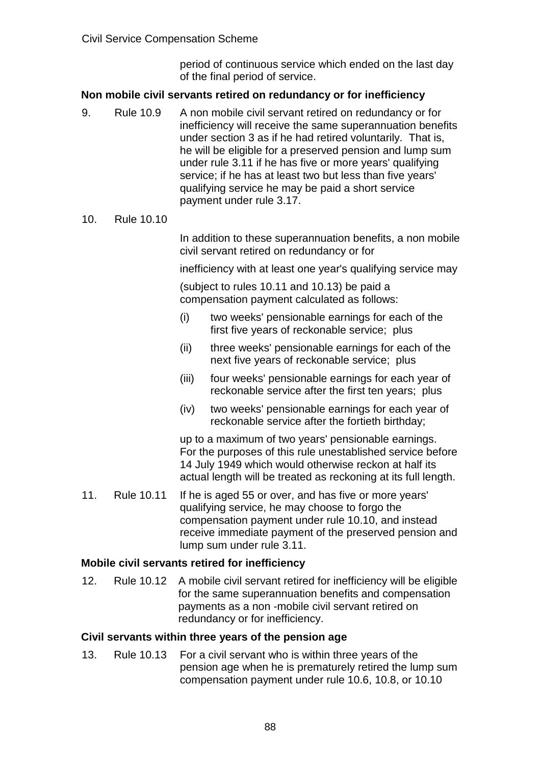period of continuous service which ended on the last day of the final period of service.

#### **Non mobile civil servants retired on redundancy or for inefficiency**

- 9. Rule 10.9 A non mobile civil servant retired on redundancy or for inefficiency will receive the same superannuation benefits under section 3 as if he had retired voluntarily. That is, he will be eligible for a preserved pension and lump sum under rule 3.11 if he has five or more years' qualifying service; if he has at least two but less than five years' qualifying service he may be paid a short service payment under rule 3.17.
- 10. Rule 10.10

In addition to these superannuation benefits, a non mobile civil servant retired on redundancy or for

inefficiency with at least one year's qualifying service may

(subject to rules 10.11 and 10.13) be paid a compensation payment calculated as follows:

- (i) two weeks' pensionable earnings for each of the first five years of reckonable service; plus
- (ii) three weeks' pensionable earnings for each of the next five years of reckonable service; plus
- (iii) four weeks' pensionable earnings for each year of reckonable service after the first ten years; plus
- (iv) two weeks' pensionable earnings for each year of reckonable service after the fortieth birthday;

up to a maximum of two years' pensionable earnings. For the purposes of this rule unestablished service before 14 July 1949 which would otherwise reckon at half its actual length will be treated as reckoning at its full length.

11. Rule 10.11 If he is aged 55 or over, and has five or more years' qualifying service, he may choose to forgo the compensation payment under rule 10.10, and instead receive immediate payment of the preserved pension and lump sum under rule 3.11.

#### **Mobile civil servants retired for inefficiency**

12. Rule 10.12 A mobile civil servant retired for inefficiency will be eligible for the same superannuation benefits and compensation payments as a non -mobile civil servant retired on redundancy or for inefficiency.

#### **Civil servants within three years of the pension age**

13. Rule 10.13 For a civil servant who is within three years of the pension age when he is prematurely retired the lump sum compensation payment under rule 10.6, 10.8, or 10.10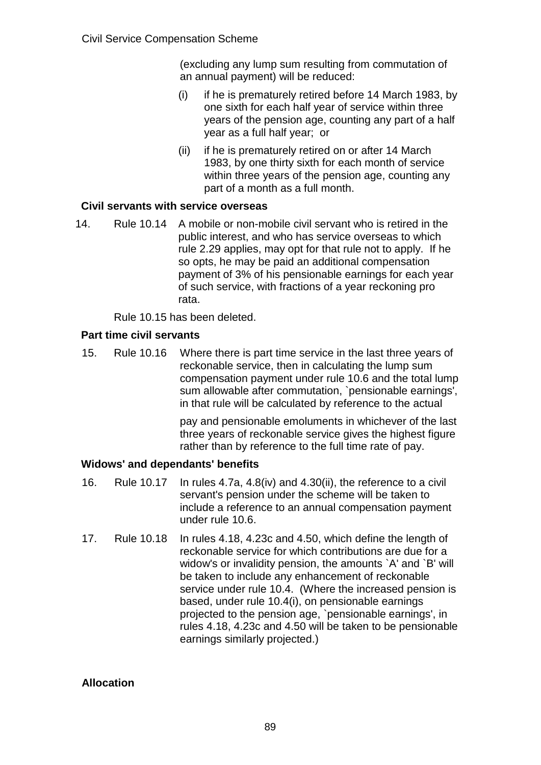(excluding any lump sum resulting from commutation of an annual payment) will be reduced:

- (i) if he is prematurely retired before 14 March 1983, by one sixth for each half year of service within three years of the pension age, counting any part of a half year as a full half year; or
- (ii) if he is prematurely retired on or after 14 March 1983, by one thirty sixth for each month of service within three years of the pension age, counting any part of a month as a full month.

## **Civil servants with service overseas**

14. Rule 10.14 A mobile or non-mobile civil servant who is retired in the public interest, and who has service overseas to which rule 2.29 applies, may opt for that rule not to apply. If he so opts, he may be paid an additional compensation payment of 3% of his pensionable earnings for each year of such service, with fractions of a year reckoning pro rata.

Rule 10.15 has been deleted.

# **Part time civil servants**

15. Rule 10.16 Where there is part time service in the last three years of reckonable service, then in calculating the lump sum compensation payment under rule 10.6 and the total lump sum allowable after commutation, `pensionable earnings', in that rule will be calculated by reference to the actual

> pay and pensionable emoluments in whichever of the last three years of reckonable service gives the highest figure rather than by reference to the full time rate of pay.

## **Widows' and dependants' benefits**

- 16. Rule 10.17 In rules 4.7a, 4.8(iv) and 4.30(ii), the reference to a civil servant's pension under the scheme will be taken to include a reference to an annual compensation payment under rule 10.6.
- 17. Rule 10.18 In rules 4.18, 4.23c and 4.50, which define the length of reckonable service for which contributions are due for a widow's or invalidity pension, the amounts `A' and `B' will be taken to include any enhancement of reckonable service under rule 10.4. (Where the increased pension is based, under rule 10.4(i), on pensionable earnings projected to the pension age, `pensionable earnings', in rules 4.18, 4.23c and 4.50 will be taken to be pensionable earnings similarly projected.)

## **Allocation**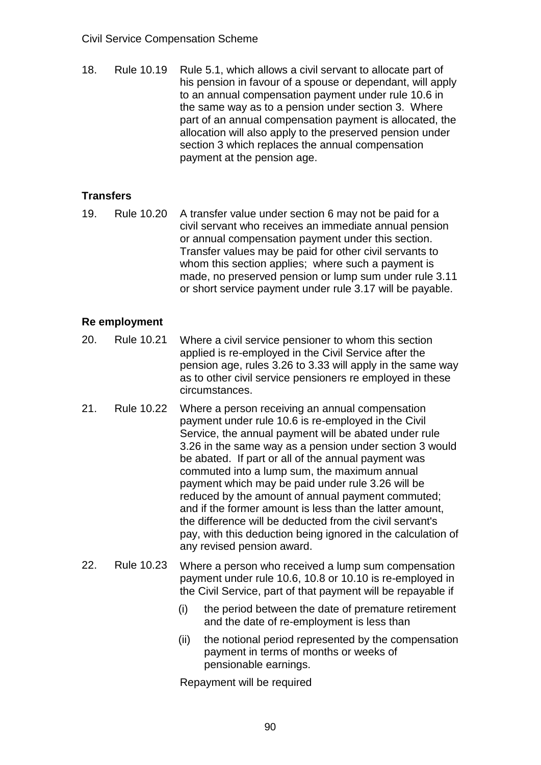18. Rule 10.19 Rule 5.1, which allows a civil servant to allocate part of his pension in favour of a spouse or dependant, will apply to an annual compensation payment under rule 10.6 in the same way as to a pension under section 3. Where part of an annual compensation payment is allocated, the allocation will also apply to the preserved pension under section 3 which replaces the annual compensation payment at the pension age.

# **Transfers**

19. Rule 10.20 A transfer value under section 6 may not be paid for a civil servant who receives an immediate annual pension or annual compensation payment under this section. Transfer values may be paid for other civil servants to whom this section applies; where such a payment is made, no preserved pension or lump sum under rule 3.11 or short service payment under rule 3.17 will be payable.

## **Re employment**

- 20. Rule 10.21 Where a civil service pensioner to whom this section applied is re-employed in the Civil Service after the pension age, rules 3.26 to 3.33 will apply in the same way as to other civil service pensioners re employed in these circumstances.
- 21. Rule 10.22 Where a person receiving an annual compensation payment under rule 10.6 is re-employed in the Civil Service, the annual payment will be abated under rule 3.26 in the same way as a pension under section 3 would be abated. If part or all of the annual payment was commuted into a lump sum, the maximum annual payment which may be paid under rule 3.26 will be reduced by the amount of annual payment commuted; and if the former amount is less than the latter amount, the difference will be deducted from the civil servant's pay, with this deduction being ignored in the calculation of any revised pension award.
- 22. Rule 10.23 Where a person who received a lump sum compensation payment under rule 10.6, 10.8 or 10.10 is re-employed in the Civil Service, part of that payment will be repayable if
	- (i) the period between the date of premature retirement and the date of re-employment is less than
	- (ii) the notional period represented by the compensation payment in terms of months or weeks of pensionable earnings.

Repayment will be required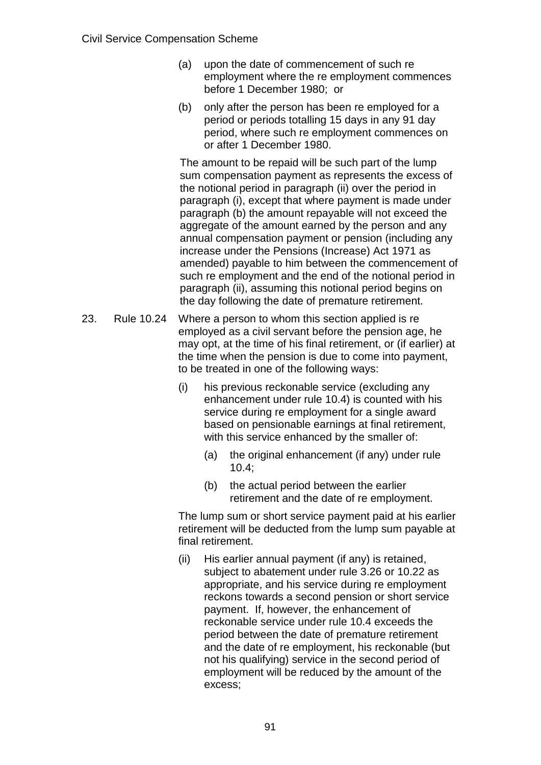- (a) upon the date of commencement of such re employment where the re employment commences before 1 December 1980; or
- (b) only after the person has been re employed for a period or periods totalling 15 days in any 91 day period, where such re employment commences on or after 1 December 1980.

The amount to be repaid will be such part of the lump sum compensation payment as represents the excess of the notional period in paragraph (ii) over the period in paragraph (i), except that where payment is made under paragraph (b) the amount repayable will not exceed the aggregate of the amount earned by the person and any annual compensation payment or pension (including any increase under the Pensions (Increase) Act 1971 as amended) payable to him between the commencement of such re employment and the end of the notional period in paragraph (ii), assuming this notional period begins on the day following the date of premature retirement.

- 23. Rule 10.24 Where a person to whom this section applied is re employed as a civil servant before the pension age, he may opt, at the time of his final retirement, or (if earlier) at the time when the pension is due to come into payment, to be treated in one of the following ways:
	- (i) his previous reckonable service (excluding any enhancement under rule 10.4) is counted with his service during re employment for a single award based on pensionable earnings at final retirement, with this service enhanced by the smaller of:
		- (a) the original enhancement (if any) under rule 10.4;
		- (b) the actual period between the earlier retirement and the date of re employment.

The lump sum or short service payment paid at his earlier retirement will be deducted from the lump sum payable at final retirement.

(ii) His earlier annual payment (if any) is retained, subject to abatement under rule 3.26 or 10.22 as appropriate, and his service during re employment reckons towards a second pension or short service payment. If, however, the enhancement of reckonable service under rule 10.4 exceeds the period between the date of premature retirement and the date of re employment, his reckonable (but not his qualifying) service in the second period of employment will be reduced by the amount of the excess;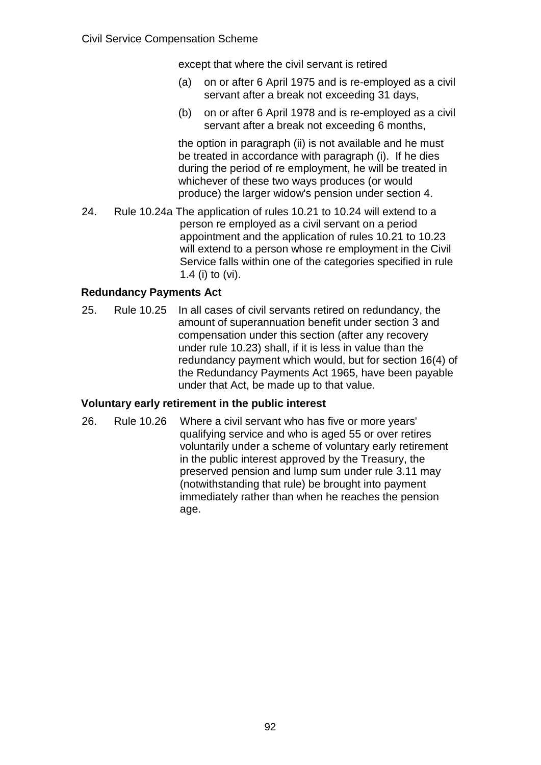except that where the civil servant is retired

- (a) on or after 6 April 1975 and is re-employed as a civil servant after a break not exceeding 31 days,
- (b) on or after 6 April 1978 and is re-employed as a civil servant after a break not exceeding 6 months,

the option in paragraph (ii) is not available and he must be treated in accordance with paragraph (i). If he dies during the period of re employment, he will be treated in whichever of these two ways produces (or would produce) the larger widow's pension under section 4.

24. Rule 10.24a The application of rules 10.21 to 10.24 will extend to a person re employed as a civil servant on a period appointment and the application of rules 10.21 to 10.23 will extend to a person whose re employment in the Civil Service falls within one of the categories specified in rule 1.4 (i) to (vi).

# **Redundancy Payments Act**

25. Rule 10.25 In all cases of civil servants retired on redundancy, the amount of superannuation benefit under section 3 and compensation under this section (after any recovery under rule 10.23) shall, if it is less in value than the redundancy payment which would, but for section 16(4) of the Redundancy Payments Act 1965, have been payable under that Act, be made up to that value.

## **Voluntary early retirement in the public interest**

26. Rule 10.26 Where a civil servant who has five or more years' qualifying service and who is aged 55 or over retires voluntarily under a scheme of voluntary early retirement in the public interest approved by the Treasury, the preserved pension and lump sum under rule 3.11 may (notwithstanding that rule) be brought into payment immediately rather than when he reaches the pension age.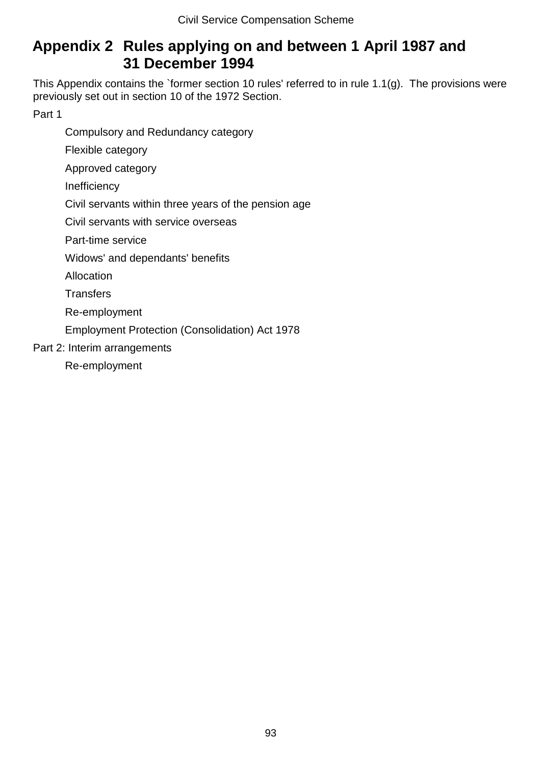# **Appendix 2 Rules applying on and between 1 April 1987 and 31 December 1994**

This Appendix contains the `former section 10 rules' referred to in rule 1.1(g). The provisions were previously set out in section 10 of the 1972 Section.

Part 1

Compulsory and Redundancy category

Flexible category

Approved category

Inefficiency

Civil servants within three years of the pension age

Civil servants with service overseas

Part-time service

Widows' and dependants' benefits

**Allocation** 

**Transfers** 

Re-employment

Employment Protection (Consolidation) Act 1978

Part 2: Interim arrangements

Re-employment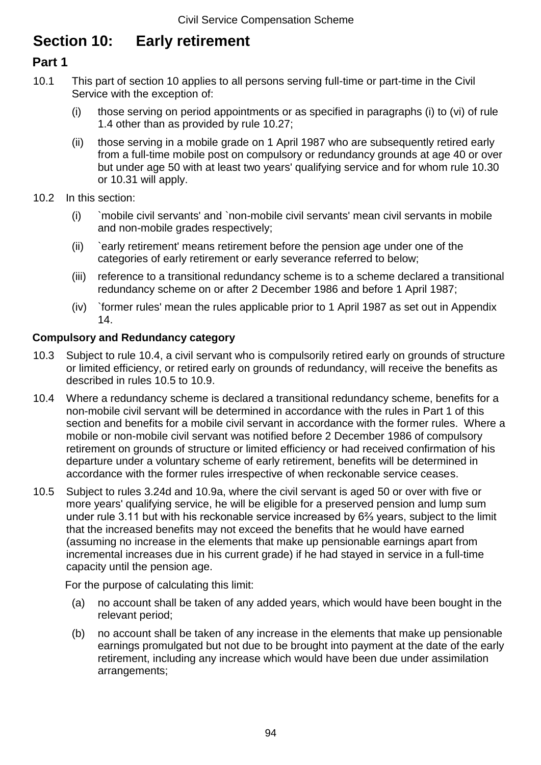# **Section 10: Early retirement**

# **Part 1**

- 10.1 This part of section 10 applies to all persons serving full-time or part-time in the Civil Service with the exception of:
	- (i) those serving on period appointments or as specified in paragraphs (i) to (vi) of rule 1.4 other than as provided by rule 10.27;
	- (ii) those serving in a mobile grade on 1 April 1987 who are subsequently retired early from a full-time mobile post on compulsory or redundancy grounds at age 40 or over but under age 50 with at least two years' qualifying service and for whom rule 10.30 or 10.31 will apply.
- 10.2 In this section:
	- (i) `mobile civil servants' and `non-mobile civil servants' mean civil servants in mobile and non-mobile grades respectively;
	- (ii) `early retirement' means retirement before the pension age under one of the categories of early retirement or early severance referred to below;
	- (iii) reference to a transitional redundancy scheme is to a scheme declared a transitional redundancy scheme on or after 2 December 1986 and before 1 April 1987;
	- (iv) `former rules' mean the rules applicable prior to 1 April 1987 as set out in Appendix 14.

# **Compulsory and Redundancy category**

- 10.3 Subject to rule 10.4, a civil servant who is compulsorily retired early on grounds of structure or limited efficiency, or retired early on grounds of redundancy, will receive the benefits as described in rules 10.5 to 10.9.
- 10.4 Where a redundancy scheme is declared a transitional redundancy scheme, benefits for a non-mobile civil servant will be determined in accordance with the rules in Part 1 of this section and benefits for a mobile civil servant in accordance with the former rules. Where a mobile or non-mobile civil servant was notified before 2 December 1986 of compulsory retirement on grounds of structure or limited efficiency or had received confirmation of his departure under a voluntary scheme of early retirement, benefits will be determined in accordance with the former rules irrespective of when reckonable service ceases.
- 10.5 Subject to rules 3.24d and 10.9a, where the civil servant is aged 50 or over with five or more years' qualifying service, he will be eligible for a preserved pension and lump sum under rule 3.11 but with his reckonable service increased by 6⅔ years, subject to the limit that the increased benefits may not exceed the benefits that he would have earned (assuming no increase in the elements that make up pensionable earnings apart from incremental increases due in his current grade) if he had stayed in service in a full-time capacity until the pension age.

For the purpose of calculating this limit:

- (a) no account shall be taken of any added years, which would have been bought in the relevant period;
- (b) no account shall be taken of any increase in the elements that make up pensionable earnings promulgated but not due to be brought into payment at the date of the early retirement, including any increase which would have been due under assimilation arrangements;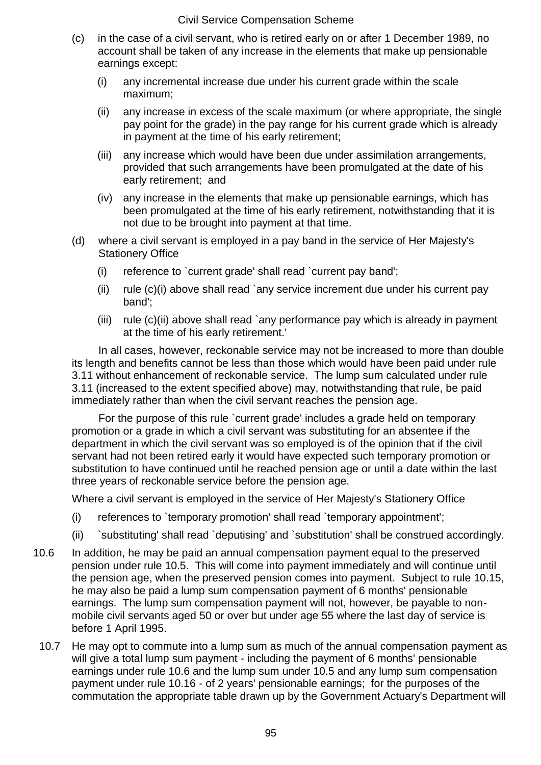- (c) in the case of a civil servant, who is retired early on or after 1 December 1989, no account shall be taken of any increase in the elements that make up pensionable earnings except:
	- (i) any incremental increase due under his current grade within the scale maximum;
	- (ii) any increase in excess of the scale maximum (or where appropriate, the single pay point for the grade) in the pay range for his current grade which is already in payment at the time of his early retirement;
	- (iii) any increase which would have been due under assimilation arrangements, provided that such arrangements have been promulgated at the date of his early retirement; and
	- (iv) any increase in the elements that make up pensionable earnings, which has been promulgated at the time of his early retirement, notwithstanding that it is not due to be brought into payment at that time.
- (d) where a civil servant is employed in a pay band in the service of Her Majesty's Stationery Office
	- (i) reference to `current grade' shall read `current pay band';
	- (ii) rule  $(c)(i)$  above shall read `any service increment due under his current pay band';
	- (iii) rule (c)(ii) above shall read `any performance pay which is already in payment at the time of his early retirement.'

In all cases, however, reckonable service may not be increased to more than double its length and benefits cannot be less than those which would have been paid under rule 3.11 without enhancement of reckonable service. The lump sum calculated under rule 3.11 (increased to the extent specified above) may, notwithstanding that rule, be paid immediately rather than when the civil servant reaches the pension age.

For the purpose of this rule `current grade' includes a grade held on temporary promotion or a grade in which a civil servant was substituting for an absentee if the department in which the civil servant was so employed is of the opinion that if the civil servant had not been retired early it would have expected such temporary promotion or substitution to have continued until he reached pension age or until a date within the last three years of reckonable service before the pension age.

Where a civil servant is employed in the service of Her Majesty's Stationery Office

- (i) references to `temporary promotion' shall read `temporary appointment';
- (ii) `substituting' shall read `deputising' and `substitution' shall be construed accordingly.
- 10.6 In addition, he may be paid an annual compensation payment equal to the preserved pension under rule 10.5. This will come into payment immediately and will continue until the pension age, when the preserved pension comes into payment. Subject to rule 10.15, he may also be paid a lump sum compensation payment of 6 months' pensionable earnings. The lump sum compensation payment will not, however, be payable to nonmobile civil servants aged 50 or over but under age 55 where the last day of service is before 1 April 1995.
- 10.7 He may opt to commute into a lump sum as much of the annual compensation payment as will give a total lump sum payment - including the payment of 6 months' pensionable earnings under rule 10.6 and the lump sum under 10.5 and any lump sum compensation payment under rule 10.16 - of 2 years' pensionable earnings; for the purposes of the commutation the appropriate table drawn up by the Government Actuary's Department will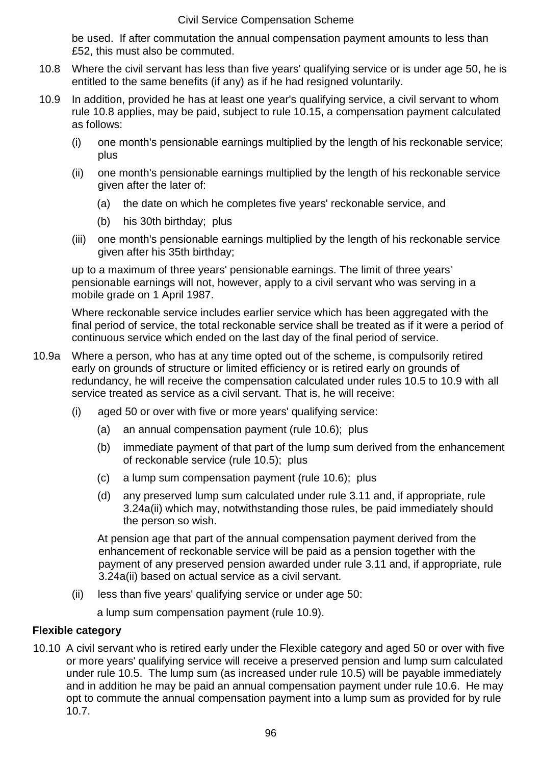be used. If after commutation the annual compensation payment amounts to less than £52, this must also be commuted.

- 10.8 Where the civil servant has less than five years' qualifying service or is under age 50, he is entitled to the same benefits (if any) as if he had resigned voluntarily.
- 10.9 In addition, provided he has at least one year's qualifying service, a civil servant to whom rule 10.8 applies, may be paid, subject to rule 10.15, a compensation payment calculated as follows:
	- (i) one month's pensionable earnings multiplied by the length of his reckonable service; plus
	- (ii) one month's pensionable earnings multiplied by the length of his reckonable service given after the later of:
		- (a) the date on which he completes five years' reckonable service, and
		- (b) his 30th birthday; plus
	- (iii) one month's pensionable earnings multiplied by the length of his reckonable service given after his 35th birthday;

up to a maximum of three years' pensionable earnings. The limit of three years' pensionable earnings will not, however, apply to a civil servant who was serving in a mobile grade on 1 April 1987.

Where reckonable service includes earlier service which has been aggregated with the final period of service, the total reckonable service shall be treated as if it were a period of continuous service which ended on the last day of the final period of service.

- 10.9a Where a person, who has at any time opted out of the scheme, is compulsorily retired early on grounds of structure or limited efficiency or is retired early on grounds of redundancy, he will receive the compensation calculated under rules 10.5 to 10.9 with all service treated as service as a civil servant. That is, he will receive:
	- (i) aged 50 or over with five or more years' qualifying service:
		- (a) an annual compensation payment (rule 10.6); plus
		- (b) immediate payment of that part of the lump sum derived from the enhancement of reckonable service (rule 10.5); plus
		- (c) a lump sum compensation payment (rule 10.6); plus
		- (d) any preserved lump sum calculated under rule 3.11 and, if appropriate, rule 3.24a(ii) which may, notwithstanding those rules, be paid immediately should the person so wish.

At pension age that part of the annual compensation payment derived from the enhancement of reckonable service will be paid as a pension together with the payment of any preserved pension awarded under rule 3.11 and, if appropriate, rule 3.24a(ii) based on actual service as a civil servant.

(ii) less than five years' qualifying service or under age 50:

a lump sum compensation payment (rule 10.9).

## **Flexible category**

10.10 A civil servant who is retired early under the Flexible category and aged 50 or over with five or more years' qualifying service will receive a preserved pension and lump sum calculated under rule 10.5. The lump sum (as increased under rule 10.5) will be payable immediately and in addition he may be paid an annual compensation payment under rule 10.6. He may opt to commute the annual compensation payment into a lump sum as provided for by rule 10.7.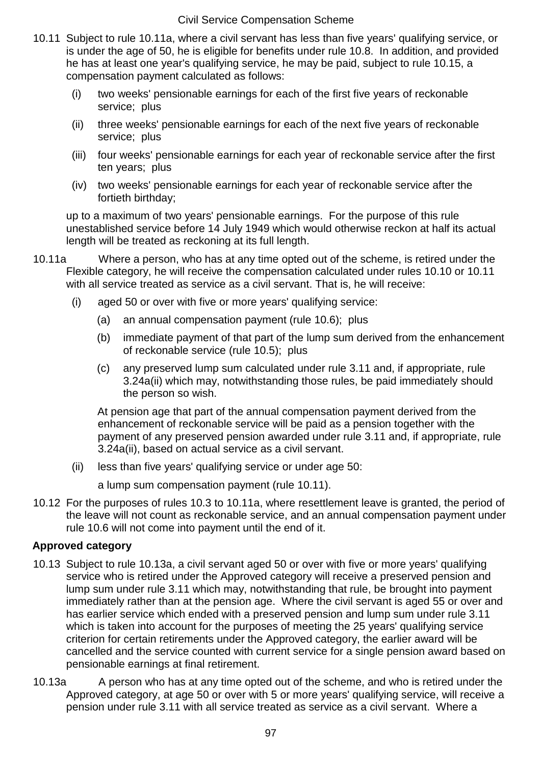- 10.11 Subject to rule 10.11a, where a civil servant has less than five years' qualifying service, or is under the age of 50, he is eligible for benefits under rule 10.8. In addition, and provided he has at least one year's qualifying service, he may be paid, subject to rule 10.15, a compensation payment calculated as follows:
	- (i) two weeks' pensionable earnings for each of the first five years of reckonable service; plus
	- (ii) three weeks' pensionable earnings for each of the next five years of reckonable service; plus
	- (iii) four weeks' pensionable earnings for each year of reckonable service after the first ten years; plus
	- (iv) two weeks' pensionable earnings for each year of reckonable service after the fortieth birthday;

up to a maximum of two years' pensionable earnings. For the purpose of this rule unestablished service before 14 July 1949 which would otherwise reckon at half its actual length will be treated as reckoning at its full length.

- 10.11a Where a person, who has at any time opted out of the scheme, is retired under the Flexible category, he will receive the compensation calculated under rules 10.10 or 10.11 with all service treated as service as a civil servant. That is, he will receive:
	- (i) aged 50 or over with five or more years' qualifying service:
		- (a) an annual compensation payment (rule 10.6); plus
		- (b) immediate payment of that part of the lump sum derived from the enhancement of reckonable service (rule 10.5); plus
		- (c) any preserved lump sum calculated under rule 3.11 and, if appropriate, rule 3.24a(ii) which may, notwithstanding those rules, be paid immediately should the person so wish.

At pension age that part of the annual compensation payment derived from the enhancement of reckonable service will be paid as a pension together with the payment of any preserved pension awarded under rule 3.11 and, if appropriate, rule 3.24a(ii), based on actual service as a civil servant.

(ii) less than five years' qualifying service or under age 50:

a lump sum compensation payment (rule 10.11).

10.12 For the purposes of rules 10.3 to 10.11a, where resettlement leave is granted, the period of the leave will not count as reckonable service, and an annual compensation payment under rule 10.6 will not come into payment until the end of it.

# **Approved category**

- 10.13 Subject to rule 10.13a, a civil servant aged 50 or over with five or more years' qualifying service who is retired under the Approved category will receive a preserved pension and lump sum under rule 3.11 which may, notwithstanding that rule, be brought into payment immediately rather than at the pension age. Where the civil servant is aged 55 or over and has earlier service which ended with a preserved pension and lump sum under rule 3.11 which is taken into account for the purposes of meeting the 25 years' qualifying service criterion for certain retirements under the Approved category, the earlier award will be cancelled and the service counted with current service for a single pension award based on pensionable earnings at final retirement.
- 10.13a A person who has at any time opted out of the scheme, and who is retired under the Approved category, at age 50 or over with 5 or more years' qualifying service, will receive a pension under rule 3.11 with all service treated as service as a civil servant. Where a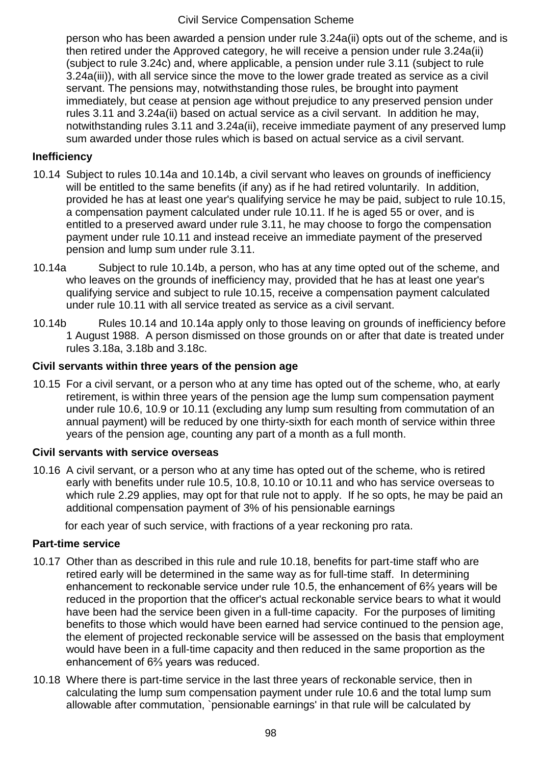person who has been awarded a pension under rule 3.24a(ii) opts out of the scheme, and is then retired under the Approved category, he will receive a pension under rule 3.24a(ii) (subject to rule 3.24c) and, where applicable, a pension under rule 3.11 (subject to rule 3.24a(iii)), with all service since the move to the lower grade treated as service as a civil servant. The pensions may, notwithstanding those rules, be brought into payment immediately, but cease at pension age without prejudice to any preserved pension under rules 3.11 and 3.24a(ii) based on actual service as a civil servant. In addition he may, notwithstanding rules 3.11 and 3.24a(ii), receive immediate payment of any preserved lump sum awarded under those rules which is based on actual service as a civil servant.

### **Inefficiency**

- 10.14 Subject to rules 10.14a and 10.14b, a civil servant who leaves on grounds of inefficiency will be entitled to the same benefits (if any) as if he had retired voluntarily. In addition, provided he has at least one year's qualifying service he may be paid, subject to rule 10.15, a compensation payment calculated under rule 10.11. If he is aged 55 or over, and is entitled to a preserved award under rule 3.11, he may choose to forgo the compensation payment under rule 10.11 and instead receive an immediate payment of the preserved pension and lump sum under rule 3.11.
- 10.14a Subject to rule 10.14b, a person, who has at any time opted out of the scheme, and who leaves on the grounds of inefficiency may, provided that he has at least one year's qualifying service and subject to rule 10.15, receive a compensation payment calculated under rule 10.11 with all service treated as service as a civil servant.
- 10.14b Rules 10.14 and 10.14a apply only to those leaving on grounds of inefficiency before 1 August 1988. A person dismissed on those grounds on or after that date is treated under rules 3.18a, 3.18b and 3.18c.

### **Civil servants within three years of the pension age**

10.15 For a civil servant, or a person who at any time has opted out of the scheme, who, at early retirement, is within three years of the pension age the lump sum compensation payment under rule 10.6, 10.9 or 10.11 (excluding any lump sum resulting from commutation of an annual payment) will be reduced by one thirty-sixth for each month of service within three years of the pension age, counting any part of a month as a full month.

#### **Civil servants with service overseas**

10.16 A civil servant, or a person who at any time has opted out of the scheme, who is retired early with benefits under rule 10.5, 10.8, 10.10 or 10.11 and who has service overseas to which rule 2.29 applies, may opt for that rule not to apply. If he so opts, he may be paid an additional compensation payment of 3% of his pensionable earnings

for each year of such service, with fractions of a year reckoning pro rata.

#### **Part-time service**

- 10.17 Other than as described in this rule and rule 10.18, benefits for part-time staff who are retired early will be determined in the same way as for full-time staff. In determining enhancement to reckonable service under rule 10.5, the enhancement of 6⅔ years will be reduced in the proportion that the officer's actual reckonable service bears to what it would have been had the service been given in a full-time capacity. For the purposes of limiting benefits to those which would have been earned had service continued to the pension age, the element of projected reckonable service will be assessed on the basis that employment would have been in a full-time capacity and then reduced in the same proportion as the enhancement of 6⅔ years was reduced.
- 10.18 Where there is part-time service in the last three years of reckonable service, then in calculating the lump sum compensation payment under rule 10.6 and the total lump sum allowable after commutation, `pensionable earnings' in that rule will be calculated by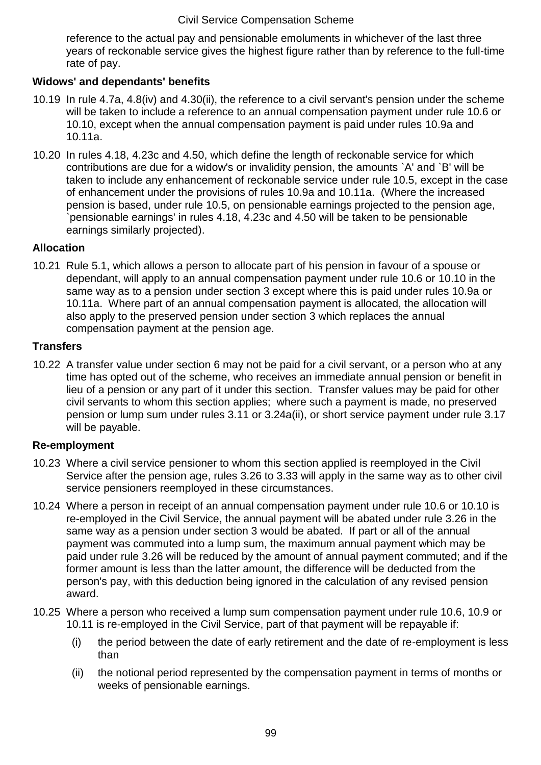reference to the actual pay and pensionable emoluments in whichever of the last three years of reckonable service gives the highest figure rather than by reference to the full-time rate of pay.

# **Widows' and dependants' benefits**

- 10.19 In rule 4.7a, 4.8(iv) and 4.30(ii), the reference to a civil servant's pension under the scheme will be taken to include a reference to an annual compensation payment under rule 10.6 or 10.10, except when the annual compensation payment is paid under rules 10.9a and 10.11a.
- 10.20 In rules 4.18, 4.23c and 4.50, which define the length of reckonable service for which contributions are due for a widow's or invalidity pension, the amounts `A' and `B' will be taken to include any enhancement of reckonable service under rule 10.5, except in the case of enhancement under the provisions of rules 10.9a and 10.11a. (Where the increased pension is based, under rule 10.5, on pensionable earnings projected to the pension age, `pensionable earnings' in rules 4.18, 4.23c and 4.50 will be taken to be pensionable earnings similarly projected).

## **Allocation**

10.21 Rule 5.1, which allows a person to allocate part of his pension in favour of a spouse or dependant, will apply to an annual compensation payment under rule 10.6 or 10.10 in the same way as to a pension under section 3 except where this is paid under rules 10.9a or 10.11a. Where part of an annual compensation payment is allocated, the allocation will also apply to the preserved pension under section 3 which replaces the annual compensation payment at the pension age.

### **Transfers**

10.22 A transfer value under section 6 may not be paid for a civil servant, or a person who at any time has opted out of the scheme, who receives an immediate annual pension or benefit in lieu of a pension or any part of it under this section. Transfer values may be paid for other civil servants to whom this section applies; where such a payment is made, no preserved pension or lump sum under rules 3.11 or 3.24a(ii), or short service payment under rule 3.17 will be payable.

## **Re-employment**

- 10.23 Where a civil service pensioner to whom this section applied is reemployed in the Civil Service after the pension age, rules 3.26 to 3.33 will apply in the same way as to other civil service pensioners reemployed in these circumstances.
- 10.24 Where a person in receipt of an annual compensation payment under rule 10.6 or 10.10 is re-employed in the Civil Service, the annual payment will be abated under rule 3.26 in the same way as a pension under section 3 would be abated. If part or all of the annual payment was commuted into a lump sum, the maximum annual payment which may be paid under rule 3.26 will be reduced by the amount of annual payment commuted; and if the former amount is less than the latter amount, the difference will be deducted from the person's pay, with this deduction being ignored in the calculation of any revised pension award.
- 10.25 Where a person who received a lump sum compensation payment under rule 10.6, 10.9 or 10.11 is re-employed in the Civil Service, part of that payment will be repayable if:
	- (i) the period between the date of early retirement and the date of re-employment is less than
	- (ii) the notional period represented by the compensation payment in terms of months or weeks of pensionable earnings.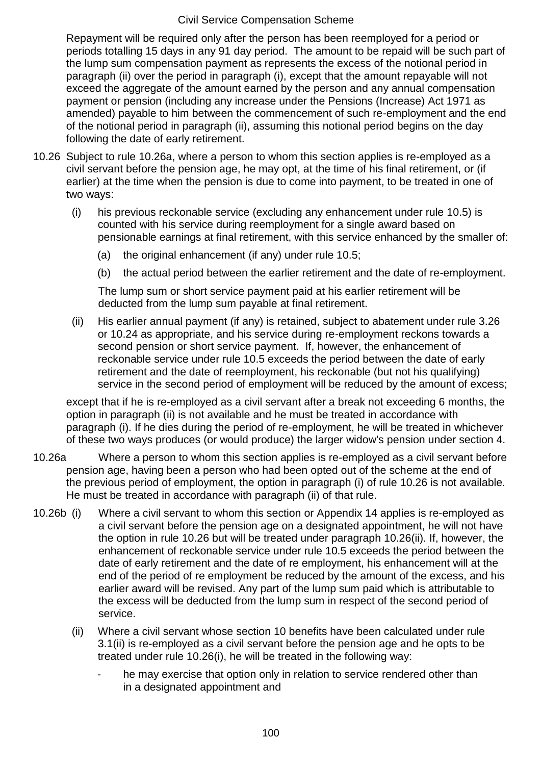Repayment will be required only after the person has been reemployed for a period or periods totalling 15 days in any 91 day period. The amount to be repaid will be such part of the lump sum compensation payment as represents the excess of the notional period in paragraph (ii) over the period in paragraph (i), except that the amount repayable will not exceed the aggregate of the amount earned by the person and any annual compensation payment or pension (including any increase under the Pensions (Increase) Act 1971 as amended) payable to him between the commencement of such re-employment and the end of the notional period in paragraph (ii), assuming this notional period begins on the day following the date of early retirement.

- 10.26 Subject to rule 10.26a, where a person to whom this section applies is re-employed as a civil servant before the pension age, he may opt, at the time of his final retirement, or (if earlier) at the time when the pension is due to come into payment, to be treated in one of two ways:
	- (i) his previous reckonable service (excluding any enhancement under rule 10.5) is counted with his service during reemployment for a single award based on pensionable earnings at final retirement, with this service enhanced by the smaller of:
		- (a) the original enhancement (if any) under rule 10.5;
		- (b) the actual period between the earlier retirement and the date of re-employment.

The lump sum or short service payment paid at his earlier retirement will be deducted from the lump sum payable at final retirement.

(ii) His earlier annual payment (if any) is retained, subject to abatement under rule 3.26 or 10.24 as appropriate, and his service during re-employment reckons towards a second pension or short service payment. If, however, the enhancement of reckonable service under rule 10.5 exceeds the period between the date of early retirement and the date of reemployment, his reckonable (but not his qualifying) service in the second period of employment will be reduced by the amount of excess;

except that if he is re-employed as a civil servant after a break not exceeding 6 months, the option in paragraph (ii) is not available and he must be treated in accordance with paragraph (i). If he dies during the period of re-employment, he will be treated in whichever of these two ways produces (or would produce) the larger widow's pension under section 4.

- 10.26a Where a person to whom this section applies is re-employed as a civil servant before pension age, having been a person who had been opted out of the scheme at the end of the previous period of employment, the option in paragraph (i) of rule 10.26 is not available. He must be treated in accordance with paragraph (ii) of that rule.
- 10.26b (i) Where a civil servant to whom this section or Appendix 14 applies is re-employed as a civil servant before the pension age on a designated appointment, he will not have the option in rule 10.26 but will be treated under paragraph 10.26(ii). If, however, the enhancement of reckonable service under rule 10.5 exceeds the period between the date of early retirement and the date of re employment, his enhancement will at the end of the period of re employment be reduced by the amount of the excess, and his earlier award will be revised. Any part of the lump sum paid which is attributable to the excess will be deducted from the lump sum in respect of the second period of service.
	- (ii) Where a civil servant whose section 10 benefits have been calculated under rule 3.1(ii) is re-employed as a civil servant before the pension age and he opts to be treated under rule 10.26(i), he will be treated in the following way:
		- he may exercise that option only in relation to service rendered other than in a designated appointment and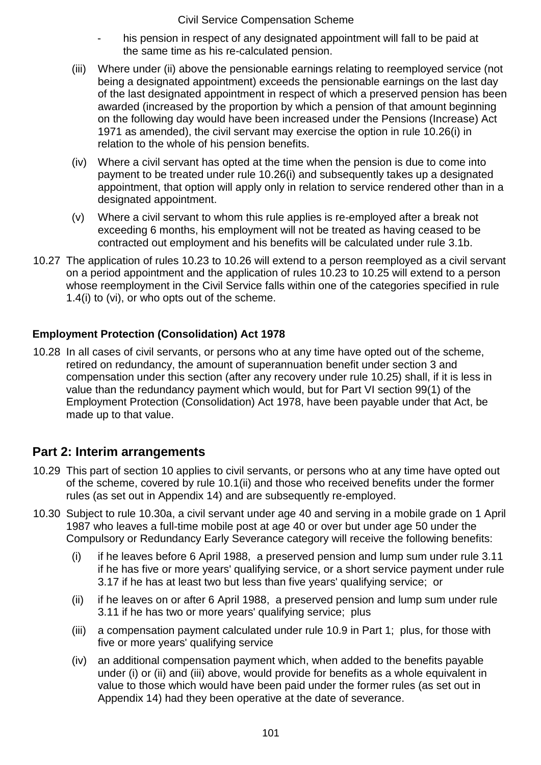- his pension in respect of any designated appointment will fall to be paid at the same time as his re-calculated pension.
- (iii) Where under (ii) above the pensionable earnings relating to reemployed service (not being a designated appointment) exceeds the pensionable earnings on the last day of the last designated appointment in respect of which a preserved pension has been awarded (increased by the proportion by which a pension of that amount beginning on the following day would have been increased under the Pensions (Increase) Act 1971 as amended), the civil servant may exercise the option in rule 10.26(i) in relation to the whole of his pension benefits.
- (iv) Where a civil servant has opted at the time when the pension is due to come into payment to be treated under rule 10.26(i) and subsequently takes up a designated appointment, that option will apply only in relation to service rendered other than in a designated appointment.
- (v) Where a civil servant to whom this rule applies is re-employed after a break not exceeding 6 months, his employment will not be treated as having ceased to be contracted out employment and his benefits will be calculated under rule 3.1b.
- 10.27 The application of rules 10.23 to 10.26 will extend to a person reemployed as a civil servant on a period appointment and the application of rules 10.23 to 10.25 will extend to a person whose reemployment in the Civil Service falls within one of the categories specified in rule 1.4(i) to (vi), or who opts out of the scheme.

# **Employment Protection (Consolidation) Act 1978**

10.28 In all cases of civil servants, or persons who at any time have opted out of the scheme, retired on redundancy, the amount of superannuation benefit under section 3 and compensation under this section (after any recovery under rule 10.25) shall, if it is less in value than the redundancy payment which would, but for Part VI section 99(1) of the Employment Protection (Consolidation) Act 1978, have been payable under that Act, be made up to that value.

# **Part 2: Interim arrangements**

- 10.29 This part of section 10 applies to civil servants, or persons who at any time have opted out of the scheme, covered by rule 10.1(ii) and those who received benefits under the former rules (as set out in Appendix 14) and are subsequently re-employed.
- 10.30 Subject to rule 10.30a, a civil servant under age 40 and serving in a mobile grade on 1 April 1987 who leaves a full-time mobile post at age 40 or over but under age 50 under the Compulsory or Redundancy Early Severance category will receive the following benefits:
	- (i) if he leaves before 6 April 1988, a preserved pension and lump sum under rule 3.11 if he has five or more years' qualifying service, or a short service payment under rule 3.17 if he has at least two but less than five years' qualifying service; or
	- (ii) if he leaves on or after 6 April 1988, a preserved pension and lump sum under rule 3.11 if he has two or more years' qualifying service; plus
	- (iii) a compensation payment calculated under rule 10.9 in Part 1; plus, for those with five or more years' qualifying service
	- (iv) an additional compensation payment which, when added to the benefits payable under (i) or (ii) and (iii) above, would provide for benefits as a whole equivalent in value to those which would have been paid under the former rules (as set out in Appendix 14) had they been operative at the date of severance.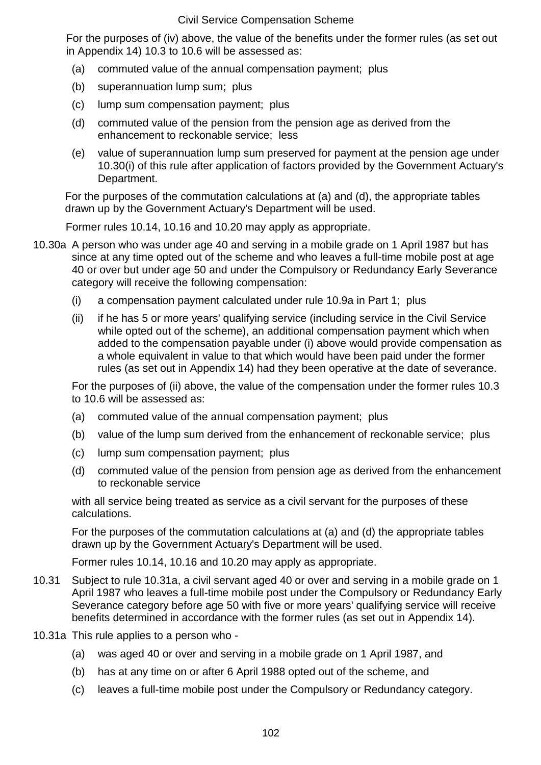For the purposes of (iv) above, the value of the benefits under the former rules (as set out in Appendix 14) 10.3 to 10.6 will be assessed as:

- (a) commuted value of the annual compensation payment; plus
- (b) superannuation lump sum; plus
- (c) lump sum compensation payment; plus
- (d) commuted value of the pension from the pension age as derived from the enhancement to reckonable service; less
- (e) value of superannuation lump sum preserved for payment at the pension age under 10.30(i) of this rule after application of factors provided by the Government Actuary's Department.

For the purposes of the commutation calculations at (a) and (d), the appropriate tables drawn up by the Government Actuary's Department will be used.

Former rules 10.14, 10.16 and 10.20 may apply as appropriate.

- 10.30a A person who was under age 40 and serving in a mobile grade on 1 April 1987 but has since at any time opted out of the scheme and who leaves a full-time mobile post at age 40 or over but under age 50 and under the Compulsory or Redundancy Early Severance category will receive the following compensation:
	- (i) a compensation payment calculated under rule 10.9a in Part 1; plus
	- (ii) if he has 5 or more years' qualifying service (including service in the Civil Service while opted out of the scheme), an additional compensation payment which when added to the compensation payable under (i) above would provide compensation as a whole equivalent in value to that which would have been paid under the former rules (as set out in Appendix 14) had they been operative at the date of severance.

For the purposes of (ii) above, the value of the compensation under the former rules 10.3 to 10.6 will be assessed as:

- (a) commuted value of the annual compensation payment; plus
- (b) value of the lump sum derived from the enhancement of reckonable service; plus
- (c) lump sum compensation payment; plus
- (d) commuted value of the pension from pension age as derived from the enhancement to reckonable service

with all service being treated as service as a civil servant for the purposes of these calculations.

For the purposes of the commutation calculations at (a) and (d) the appropriate tables drawn up by the Government Actuary's Department will be used.

Former rules 10.14, 10.16 and 10.20 may apply as appropriate.

- 10.31 Subject to rule 10.31a, a civil servant aged 40 or over and serving in a mobile grade on 1 April 1987 who leaves a full-time mobile post under the Compulsory or Redundancy Early Severance category before age 50 with five or more years' qualifying service will receive benefits determined in accordance with the former rules (as set out in Appendix 14).
- 10.31a This rule applies to a person who
	- (a) was aged 40 or over and serving in a mobile grade on 1 April 1987, and
	- (b) has at any time on or after 6 April 1988 opted out of the scheme, and
	- (c) leaves a full-time mobile post under the Compulsory or Redundancy category.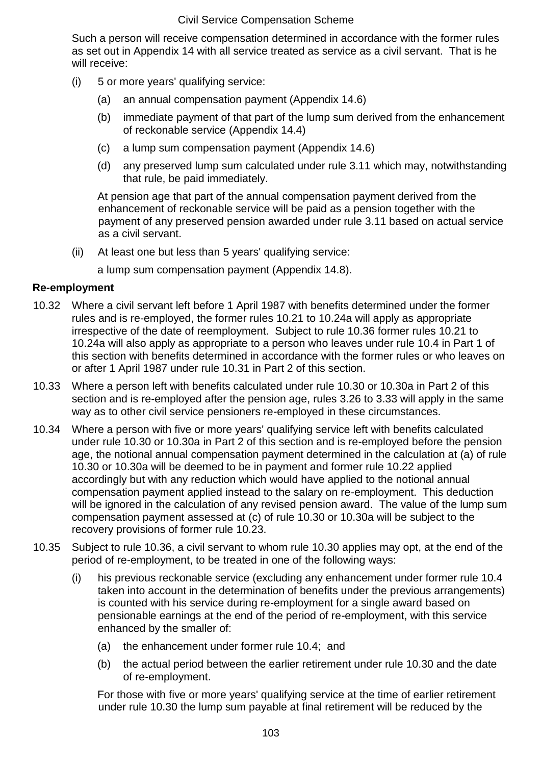Such a person will receive compensation determined in accordance with the former rules as set out in Appendix 14 with all service treated as service as a civil servant. That is he will receive:

- (i) 5 or more years' qualifying service:
	- (a) an annual compensation payment (Appendix 14.6)
	- (b) immediate payment of that part of the lump sum derived from the enhancement of reckonable service (Appendix 14.4)
	- (c) a lump sum compensation payment (Appendix 14.6)
	- (d) any preserved lump sum calculated under rule 3.11 which may, notwithstanding that rule, be paid immediately.

At pension age that part of the annual compensation payment derived from the enhancement of reckonable service will be paid as a pension together with the payment of any preserved pension awarded under rule 3.11 based on actual service as a civil servant.

(ii) At least one but less than 5 years' qualifying service:

a lump sum compensation payment (Appendix 14.8).

### **Re-employment**

- 10.32 Where a civil servant left before 1 April 1987 with benefits determined under the former rules and is re-employed, the former rules 10.21 to 10.24a will apply as appropriate irrespective of the date of reemployment. Subject to rule 10.36 former rules 10.21 to 10.24a will also apply as appropriate to a person who leaves under rule 10.4 in Part 1 of this section with benefits determined in accordance with the former rules or who leaves on or after 1 April 1987 under rule 10.31 in Part 2 of this section.
- 10.33 Where a person left with benefits calculated under rule 10.30 or 10.30a in Part 2 of this section and is re-employed after the pension age, rules 3.26 to 3.33 will apply in the same way as to other civil service pensioners re-employed in these circumstances.
- 10.34 Where a person with five or more years' qualifying service left with benefits calculated under rule 10.30 or 10.30a in Part 2 of this section and is re-employed before the pension age, the notional annual compensation payment determined in the calculation at (a) of rule 10.30 or 10.30a will be deemed to be in payment and former rule 10.22 applied accordingly but with any reduction which would have applied to the notional annual compensation payment applied instead to the salary on re-employment. This deduction will be ignored in the calculation of any revised pension award. The value of the lump sum compensation payment assessed at (c) of rule 10.30 or 10.30a will be subject to the recovery provisions of former rule 10.23.
- 10.35 Subject to rule 10.36, a civil servant to whom rule 10.30 applies may opt, at the end of the period of re-employment, to be treated in one of the following ways:
	- (i) his previous reckonable service (excluding any enhancement under former rule 10.4 taken into account in the determination of benefits under the previous arrangements) is counted with his service during re-employment for a single award based on pensionable earnings at the end of the period of re-employment, with this service enhanced by the smaller of:
		- (a) the enhancement under former rule 10.4; and
		- (b) the actual period between the earlier retirement under rule 10.30 and the date of re-employment.

For those with five or more years' qualifying service at the time of earlier retirement under rule 10.30 the lump sum payable at final retirement will be reduced by the